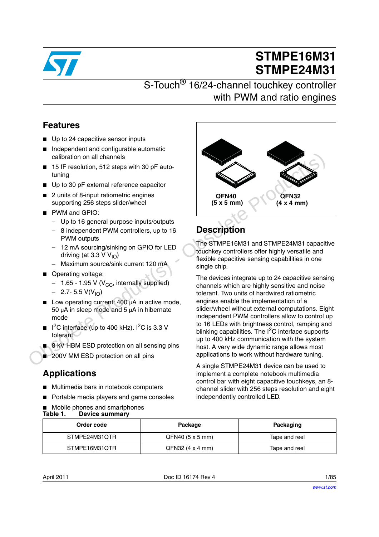

# **STMPE16M31 STMPE24M31**

## S-Touch<sup>®</sup> 16/24-channel touchkey controller with PWM and ratio engines

## **Features**

- Up to 24 capacitive sensor inputs
- Independent and configurable automatic calibration on all channels
- 15 fF resolution, 512 steps with 30 pF autotuning
- Up to 30 pF external reference capacitor
- 2 units of 8-input ratiometric engines supporting 256 steps slider/wheel
- PWM and GPIO:
	- Up to 16 general purpose inputs/outputs
	- 8 independent PWM controllers, up to 16 **PWM** outputs
	- 12 mA sourcing/sinking on GPIO for LED driving (at 3.3 V  $V_{10}$ )
	- Maximum source/sink current 120 mA
- Operating voltage:
	- $-$  1.65 1.95 V (V<sub>CC</sub>, internally supplied)
	- $-$  2.7- 5.5 V(V<sub>IO</sub>)
- Low operating current:  $400 \mu A$  in active mode, 50  $\mu$ A in sleep mode and 5  $\mu$ A in hibernate mode
- $1<sup>2</sup>C$  interface (up to 400 kHz).  $1<sup>2</sup>C$  is 3.3 V tolerant
- 8 kV HBM ESD protection on all sensing pins
- 200V MM ESD protection on all pins

## **Applications**

- Multimedia bars in notebook computers
- Portable media players and game consoles
- Mobile phones and smartphones<br>Table 1. Device summary **Device summary**



# **Description**

The STMPE16M31 and STMPE24M31 capacitive touchkey controllers offer highly versatile and flexible capacitive sensing capabilities in one single chip.

The devices integrate up to 24 capacitive sensing channels which are highly sensitive and noise tolerant. Two units of hardwired ratiometric engines enable the implementation of a slider/wheel without external computations. Eight independent PWM controllers allow to control up to 16 LEDs with brightness control, ramping and blinking capabilities. The  $I^2C$  interface supports up to 400 kHz communication with the system host. A very wide dynamic range allows most applications to work without hardware tuning. Calibration on all channels<br> **Example 15**<br> **Example 15**<br> **Example 15**<br> **Example 16** einput rationed respected to the distribution of the distribution of the distribution of the distribution of the distribution of the distr

A single STMPE24M31 device can be used to implement a complete notebook multimedia control bar with eight capacitive touchkeys, an 8 channel slider with 256 steps resolution and eight independently controlled LED.

| Order code    | Package            | Packaging     |
|---------------|--------------------|---------------|
| STMPE24M31QTR | $QFN40$ (5 x 5 mm) | Tape and reel |
| STMPE16M31QTR | $QFN32$ (4 x 4 mm) | Tape and reel |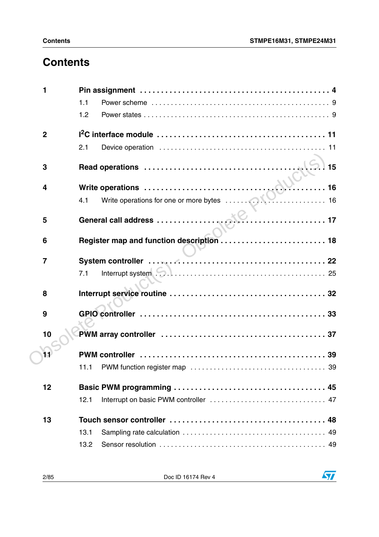## **Contents**

| 1                       |                                                                      |
|-------------------------|----------------------------------------------------------------------|
|                         | 1.1                                                                  |
|                         | 1.2                                                                  |
| $\overline{2}$          |                                                                      |
|                         | 2.1                                                                  |
| 3                       | 15                                                                   |
| $\overline{\mathbf{4}}$ | Write operations<br>4.1 Write operations for one or more bytes<br>16 |
|                         |                                                                      |
| 5                       |                                                                      |
|                         |                                                                      |
| 6                       | Register map and function description  18                            |
| $\overline{7}$          |                                                                      |
|                         | 7.1                                                                  |
| 8                       |                                                                      |
|                         |                                                                      |
| 9                       |                                                                      |
| 10                      |                                                                      |
| 11                      |                                                                      |
|                         | 11.1                                                                 |
| 12                      |                                                                      |
|                         | 12.1                                                                 |
| 13                      |                                                                      |
|                         | 13.1                                                                 |
|                         | 13.2                                                                 |

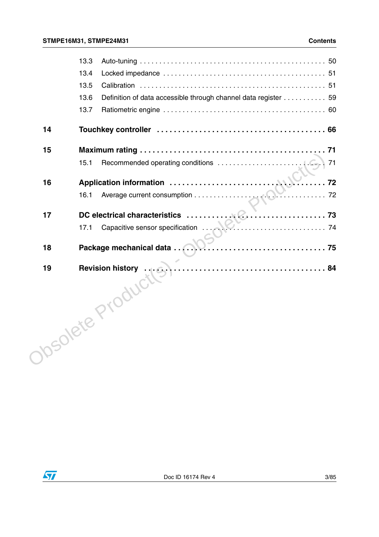|    | 13.3                                                                   |  |
|----|------------------------------------------------------------------------|--|
|    | 13.4                                                                   |  |
|    | 13.5                                                                   |  |
|    | 13.6<br>Definition of data accessible through channel data register 59 |  |
|    | 13.7                                                                   |  |
| 14 |                                                                        |  |
| 15 |                                                                        |  |
|    | 15.1                                                                   |  |
| 16 | 72                                                                     |  |
|    | 16.1                                                                   |  |
| 17 |                                                                        |  |
|    | 17.1                                                                   |  |
| 18 | Package mechanical data                                                |  |
| 19 |                                                                        |  |
|    | Josolete Product                                                       |  |

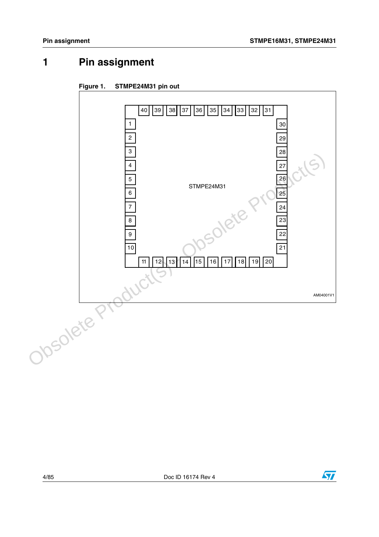## <span id="page-3-0"></span>**1 Pin assignment**





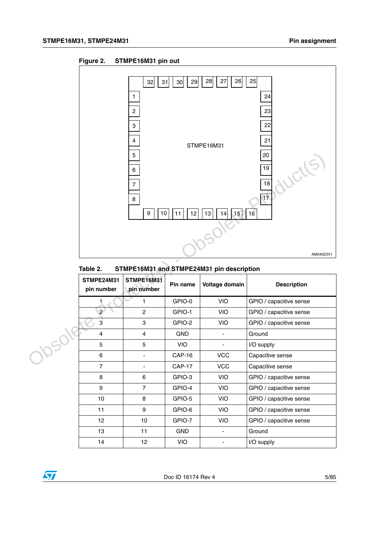



#### Table 2. STMPE16M31 and STMPE24M31 pin description

|       |                                 | 5<br>6<br>$\overline{7}$<br>$\bf8$<br>9<br>10 | 12<br>11      | 15<br>13<br>14                            | 20<br>ductles<br>$\overline{19}$<br>18<br>$\overline{17}$<br>16<br>AM04023V1 |
|-------|---------------------------------|-----------------------------------------------|---------------|-------------------------------------------|------------------------------------------------------------------------------|
|       | Table 2.                        |                                               |               | STMPE16M31 and STMPE24M31 pin description |                                                                              |
|       | <b>STMPE24M31</b><br>pin number | <b>STMPE16M31</b><br>pin number               | Pin name      | Voltage domain                            | <b>Description</b>                                                           |
|       | 1                               | 1                                             | GPIO-0        | <b>VIO</b>                                | GPIO / capacitive sense                                                      |
|       | $\overline{2}$                  | $\overline{c}$                                | GPIO-1        | <b>VIO</b>                                | GPIO / capacitive sense                                                      |
|       | $\overline{3}$                  | 3                                             | GPIO-2        | <b>VIO</b>                                | GPIO / capacitive sense                                                      |
|       | $\overline{4}$                  | $\overline{4}$                                | <b>GND</b>    | $\bar{\phantom{a}}$                       | Ground                                                                       |
|       | 5                               | 5                                             | <b>VIO</b>    | $\Box$                                    | I/O supply                                                                   |
| Josok | 6                               | $\blacksquare$                                | <b>CAP-16</b> | <b>VCC</b>                                | Capacitive sense                                                             |
|       | $\overline{7}$                  | $\blacksquare$                                | <b>CAP-17</b> | <b>VCC</b>                                | Capacitive sense                                                             |
|       | 8                               | 6                                             | GPIO-3        | VIO                                       | GPIO / capacitive sense                                                      |
|       | 9                               | $\overline{7}$                                | GPIO-4        | VIO                                       | GPIO / capacitive sense                                                      |
|       | 10                              | 8                                             | GPIO-5        | <b>VIO</b>                                | GPIO / capacitive sense                                                      |
|       | 11                              | 9                                             | GPIO-6        | VIO                                       | GPIO / capacitive sense                                                      |
|       | 12                              | 10                                            | GPIO-7        | <b>VIO</b>                                | GPIO / capacitive sense                                                      |
|       | 13                              | 11                                            | <b>GND</b>    | ä,                                        | Ground                                                                       |
|       | 14                              | 12                                            | <b>VIO</b>    | ۰                                         | I/O supply                                                                   |

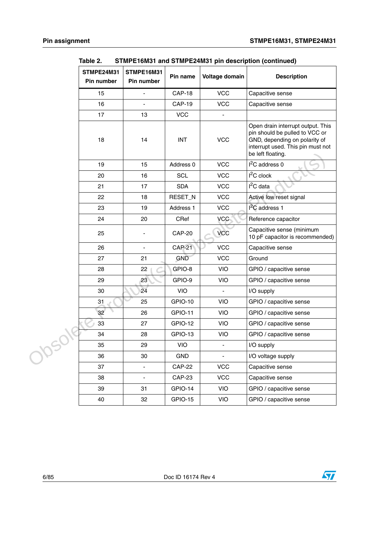| STMPE24M31<br>Pin number | STMPE16M31<br>Pin number | Pin name       | Voltage domain | <b>Description</b>                                                                                                                                             |
|--------------------------|--------------------------|----------------|----------------|----------------------------------------------------------------------------------------------------------------------------------------------------------------|
| 15                       |                          | <b>CAP-18</b>  | <b>VCC</b>     | Capacitive sense                                                                                                                                               |
| 16                       | $\blacksquare$           | <b>CAP-19</b>  | <b>VCC</b>     | Capacitive sense                                                                                                                                               |
| 17                       | 13                       | <b>VCC</b>     |                |                                                                                                                                                                |
| 18                       | 14                       | <b>INT</b>     | <b>VCC</b>     | Open drain interrupt output. This<br>pin should be pulled to VCC or<br>GND, depending on polarity of<br>interrupt used. This pin must not<br>be left floating. |
| 19                       | 15                       | Address 0      | <b>VCC</b>     | $I2C$ address 0                                                                                                                                                |
| 20                       | 16                       | <b>SCL</b>     | <b>VCC</b>     | $I2C$ clock                                                                                                                                                    |
| 21                       | 17                       | <b>SDA</b>     | <b>VCC</b>     | $I2C$ data                                                                                                                                                     |
| 22                       | 18                       | RESET_N        | <b>VCC</b>     | Active low reset signal                                                                                                                                        |
| 23                       | 19                       | Address 1      | <b>VCC</b>     | $I2C$ address 1                                                                                                                                                |
| 24                       | 20                       | CRef           | <b>VCC</b>     | Reference capacitor                                                                                                                                            |
| 25                       |                          | <b>CAP-20</b>  | <b>VCC</b>     | Capacitive sense (minimum<br>10 pF capacitor is recommended)                                                                                                   |
| 26                       | $\blacksquare$           | <b>CAP-21</b>  | <b>VCC</b>     | Capacitive sense                                                                                                                                               |
| 27                       | 21                       | GND            | <b>VCC</b>     | Ground                                                                                                                                                         |
| 28                       | 22                       | GPIO-8         | VIO            | GPIO / capacitive sense                                                                                                                                        |
| 29                       | 23                       | GPIO-9         | VIO            | GPIO / capacitive sense                                                                                                                                        |
| 30                       | 24                       | <b>VIO</b>     | $\blacksquare$ | I/O supply                                                                                                                                                     |
| 31                       | 25                       | GPIO-10        | VIO            | GPIO / capacitive sense                                                                                                                                        |
| 32                       | 26                       | <b>GPIO-11</b> | <b>VIO</b>     | GPIO / capacitive sense                                                                                                                                        |
| 33                       | 27                       | GPIO-12        | <b>VIO</b>     | GPIO / capacitive sense                                                                                                                                        |
| 34                       | 28                       | GPIO-13        | VIO            | GPIO / capacitive sense                                                                                                                                        |
| 35                       | 29                       | VIO            | $\blacksquare$ | I/O supply                                                                                                                                                     |
| 36                       | $30\,$                   | <b>GND</b>     | $\blacksquare$ | I/O voltage supply                                                                                                                                             |
| 37                       | $\frac{1}{2}$            | <b>CAP-22</b>  | <b>VCC</b>     | Capacitive sense                                                                                                                                               |
| 38                       | $\frac{1}{2}$            | <b>CAP-23</b>  | <b>VCC</b>     | Capacitive sense                                                                                                                                               |
| 39                       | 31                       | GPIO-14        | VIO            | GPIO / capacitive sense                                                                                                                                        |
| 40                       | 32                       | GPIO-15        | VIO            | GPIO / capacitive sense                                                                                                                                        |

**Table 2. STMPE16M31 and STMPE24M31 pin description (continued)**



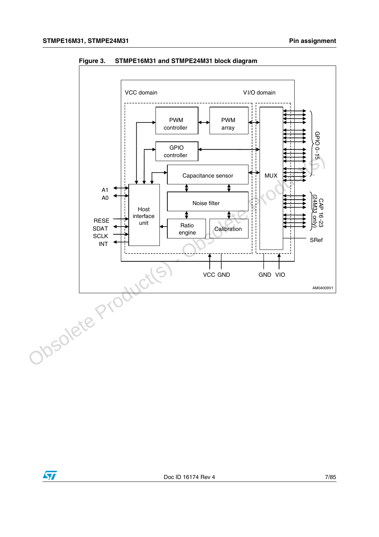



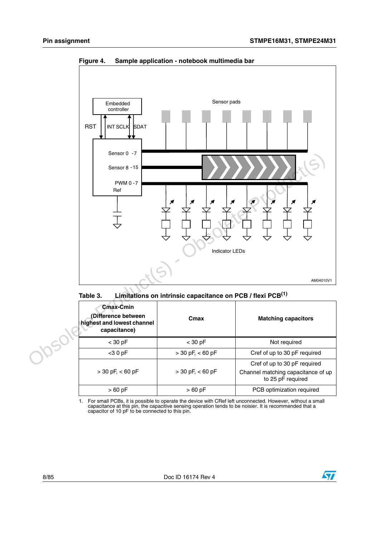

**Figure 4. Sample application - notebook multimedia bar**



| Cmax-Cmin<br>(Difference between<br>highest and lowest channel<br>capacitance) | Cmax                 | <b>Matching capacitors</b>                                                              |
|--------------------------------------------------------------------------------|----------------------|-----------------------------------------------------------------------------------------|
| $<$ 30 pF                                                                      | $<$ 30 pF            | Not required                                                                            |
| $<$ 30 pF                                                                      | $>$ 30 pF, $<$ 60 pF | Cref of up to 30 pF required                                                            |
| $>$ 30 pF, $<$ 60 pF                                                           | $>$ 30 pF, $<$ 60 pF | Cref of up to 30 pF required<br>Channel matching capacitance of up<br>to 25 pF required |
| $>60$ pF                                                                       | $>60$ pF             | PCB optimization required                                                               |

1. For small PCBs, it is possible to operate the device with CRef left unconnected. However, without a small capacitance at this pin, the capacitive sensing operation tends to be noisier. It is recommended that a capacitor of 10 pF to be connected to this pin.

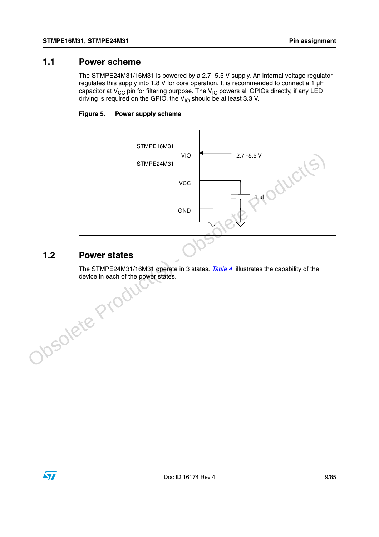#### <span id="page-8-0"></span>**1.1 Power scheme**

The STMPE24M31/16M31 is powered by a 2.7- 5.5 V supply. An internal voltage regulator regulates this supply into 1.8 V for core operation. It is recommended to connect a 1  $\mu$ F capacitor at  $V_{CC}$  pin for filtering purpose. The  $V_{IO}$  powers all GPIOs directly, if any LED driving is required on the GPIO, the  $V_{1O}$  should be at least 3.3 V.





### <span id="page-8-1"></span>**1.2 Power states**

The STMPE24M31/16M31 operate in 3 states. *Table 4* illustrates the capability of the device in each of the power states. Obsolete Production

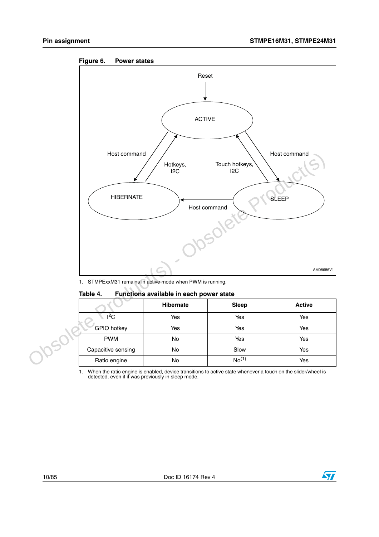



1. STMPExxM31 remains in active mode when PWM is running.

#### **Table 4. Functions available in each power state**

|                    | <b>Hibernate</b> | <b>Sleep</b>      | <b>Active</b> |
|--------------------|------------------|-------------------|---------------|
| $l^2C$             | Yes              | Yes               | Yes           |
| <b>GPIO</b> hotkey | Yes              | Yes               | Yes           |
| <b>PWM</b>         | No               | Yes               | Yes           |
| Capacitive sensing | No               | Slow              | Yes           |
| Ratio engine       | No               | No <sup>(1)</sup> | Yes           |

1. When the ratio engine is enabled, device transitions to active state whenever a touch on the slider/wheel is detected, even if it was previously in sleep mode.

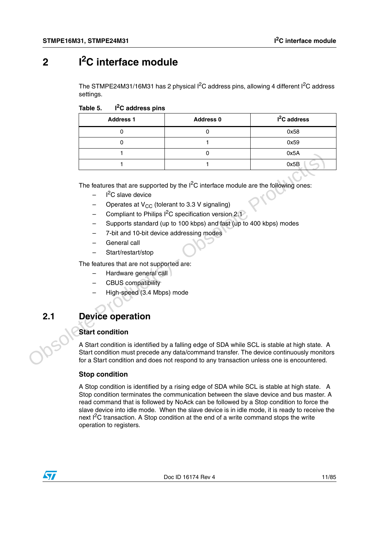## <span id="page-10-0"></span>**2 I2C interface module**

The STMPE24M31/16M31 has 2 physical  $I^2C$  address pins, allowing 4 different  $I^2C$  address settings.

| Table 5. | I <sup>2</sup> C address pins |  |
|----------|-------------------------------|--|
|----------|-------------------------------|--|

| <b>Address 1</b> | <b>Address 0</b> | $I2C$ address |
|------------------|------------------|---------------|
|                  |                  | 0x58          |
|                  |                  | 0x59          |
|                  |                  | 0x5A          |
|                  |                  | 0x5B          |

The features that are supported by the  $I^2C$  interface module are the following ones:

- $-$  I<sup>2</sup>C slave device
- Operates at  $V_{CC}$  (tolerant to 3.3 V signaling)
- Compliant to Philips  $I^2C$  specification version 2.1
- Supports standard (up to 100 kbps) and fast (up to 400 kbps) modes
- 7-bit and 10-bit device addressing modes
- General call
- Start/restart/stop

The features that are not supported are:

- Hardware general call
- CBUS compatibility
- High-speed (3.4 Mbps) mode

## <span id="page-10-1"></span>**2.1 Device operation**

#### **Start condition**

A Start condition is identified by a falling edge of SDA while SCL is stable at high state. A Start condition must precede any data/command transfer. The device continuously monitors for a Start condition and does not respond to any transaction unless one is encountered. The features that are supported by the I<sup>2</sup>C interface module are the following ones:<br>
The features that are supported by the I<sup>2</sup>C interface module are the following ones:<br>
- Colerates at V<sub>CC</sub> (tolerant to 3.3 V signalin

#### **Stop condition**

A Stop condition is identified by a rising edge of SDA while SCL is stable at high state. A Stop condition terminates the communication between the slave device and bus master. A read command that is followed by NoAck can be followed by a Stop condition to force the slave device into idle mode. When the slave device is in idle mode, it is ready to receive the next  $I^2C$  transaction. A Stop condition at the end of a write command stops the write operation to registers.

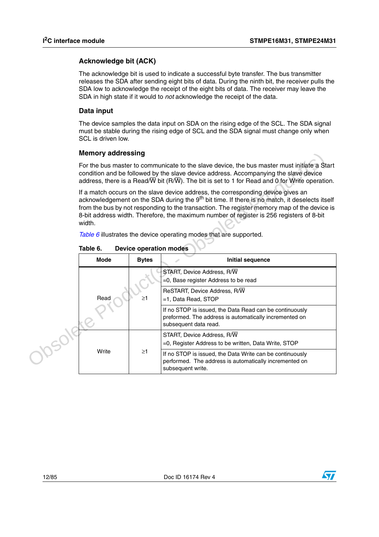#### **Acknowledge bit (ACK)**

The acknowledge bit is used to indicate a successful byte transfer. The bus transmitter releases the SDA after sending eight bits of data. During the ninth bit, the receiver pulls the SDA low to acknowledge the receipt of the eight bits of data. The receiver may leave the SDA in high state if it would to *not* acknowledge the receipt of the data.

#### **Data input**

The device samples the data input on SDA on the rising edge of the SCL. The SDA signal must be stable during the rising edge of SCL and the SDA signal must change only when SCL is driven low.

#### **Memory addressing**

|  | <b>Memory addressing</b>                                                                                                                                                                                                                                                                                                                                                                           |                                         |                                                                                                                                            |  |  |
|--|----------------------------------------------------------------------------------------------------------------------------------------------------------------------------------------------------------------------------------------------------------------------------------------------------------------------------------------------------------------------------------------------------|-----------------------------------------|--------------------------------------------------------------------------------------------------------------------------------------------|--|--|
|  | For the bus master to communicate to the slave device, the bus master must initiate a Start<br>condition and be followed by the slave device address. Accompanying the slave device<br>address, there is a Read/ $\overline{W}$ bit (R/ $\overline{W}$ ). The bit is set to 1 for Read and 0 for Write operation.                                                                                  |                                         |                                                                                                                                            |  |  |
|  | If a match occurs on the slave device address, the corresponding device gives an<br>acknowledgement on the SDA during the 9 <sup>th</sup> bit time. If there is no match, it deselects itself<br>from the bus by not responding to the transaction. The register memory map of the device is<br>8-bit address width. Therefore, the maximum number of register is 256 registers of 8-bit<br>width. |                                         |                                                                                                                                            |  |  |
|  |                                                                                                                                                                                                                                                                                                                                                                                                    |                                         | Table 6 illustrates the device operating modes that are supported.                                                                         |  |  |
|  | Table 6.<br><b>Device operation modes</b>                                                                                                                                                                                                                                                                                                                                                          |                                         |                                                                                                                                            |  |  |
|  | <b>Mode</b>                                                                                                                                                                                                                                                                                                                                                                                        | <b>Bytes</b><br><b>Initial sequence</b> |                                                                                                                                            |  |  |
|  |                                                                                                                                                                                                                                                                                                                                                                                                    | START, Device Address, R/W              |                                                                                                                                            |  |  |
|  |                                                                                                                                                                                                                                                                                                                                                                                                    |                                         | =0, Base register Address to be read                                                                                                       |  |  |
|  |                                                                                                                                                                                                                                                                                                                                                                                                    |                                         | ReSTART, Device Address, R/W                                                                                                               |  |  |
|  | Read                                                                                                                                                                                                                                                                                                                                                                                               | $\geq$ 1                                | =1, Data Read, STOP                                                                                                                        |  |  |
|  |                                                                                                                                                                                                                                                                                                                                                                                                    |                                         | If no STOP is issued, the Data Read can be continuously<br>preformed. The address is automatically incremented on<br>subsequent data read. |  |  |
|  |                                                                                                                                                                                                                                                                                                                                                                                                    |                                         | START, Device Address, R/W                                                                                                                 |  |  |
|  |                                                                                                                                                                                                                                                                                                                                                                                                    |                                         | $=$ 0. Register Address to be written, Data Write, STOP                                                                                    |  |  |
|  | Write                                                                                                                                                                                                                                                                                                                                                                                              | $\geq$ 1                                | If no STOP is issued, the Data Write can be continuously<br>performed. The address is automatically incremented on<br>subsequent write.    |  |  |

**Table 6. Device operation modes**



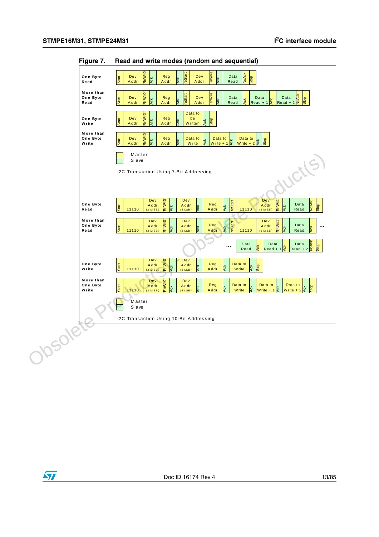

**Figure 7. Read and write modes (random and sequential)**

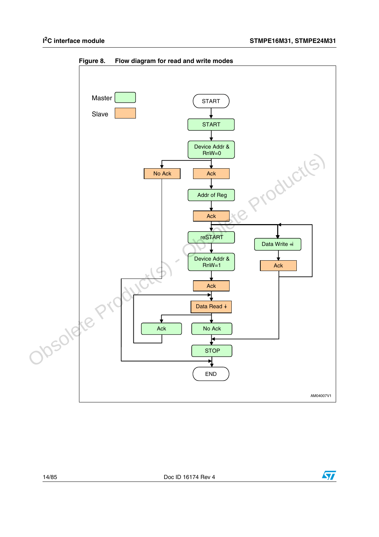

**Figure 8. Flow diagram for read and write modes**



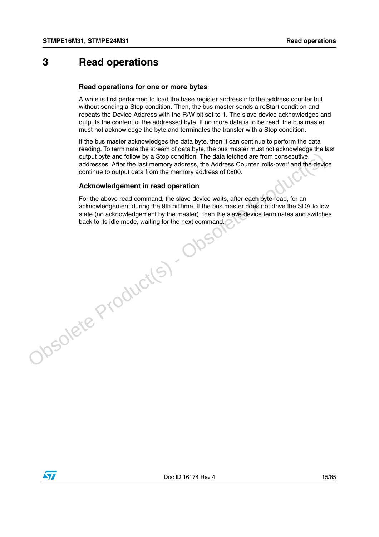## <span id="page-14-0"></span>**3 Read operations**

#### **Read operations for one or more bytes**

A write is first performed to load the base register address into the address counter but without sending a Stop condition. Then, the bus master sends a reStart condition and repeats the Device Address with the R/ $\overline{W}$  bit set to 1. The slave device acknowledges and outputs the content of the addressed byte. If no more data is to be read, the bus master must not acknowledge the byte and terminates the transfer with a Stop condition.

If the bus master acknowledges the data byte, then it can continue to perform the data reading. To terminate the stream of data byte, the bus master must not acknowledge the last output byte and follow by a Stop condition. The data fetched are from consecutive addresses. After the last memory address, the Address Counter 'rolls-over' and the device continue to output data from the memory address of 0x00.

#### **Acknowledgement in read operation**

For the above read command, the slave device waits, after each byte read, for an acknowledgement during the 9th bit time. If the bus master does not drive the SDA to low state (no acknowledgement by the master), then the slave device terminates and switches back to its idle mode, waiting for the next command.output byte and follow by a Stop condition. The data fetched are from consecutive<br>addresses. After the last memory address, the Address Counter 'rolls-over' and the device<br>continue to output data from the memory address of

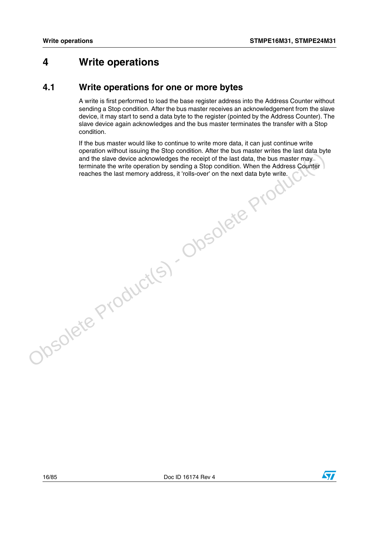## <span id="page-15-0"></span>**4 Write operations**

### <span id="page-15-1"></span>**4.1 Write operations for one or more bytes**

A write is first performed to load the base register address into the Address Counter without sending a Stop condition. After the bus master receives an acknowledgement from the slave device, it may start to send a data byte to the register (pointed by the Address Counter). The slave device again acknowledges and the bus master terminates the transfer with a Stop condition.

If the bus master would like to continue to write more data, it can just continue write operation without issuing the Stop condition. After the bus master writes the last data byte and the slave device acknowledges the receipt of the last data, the bus master may terminate the write operation by sending a Stop condition. When the Address Counter epideman who discussion by sending a Stop condition. When the Additional conditions were the last memory address, it 'rolls-over' on the next data byte write.<br>The Additional of the next data byte write. Configuration by se

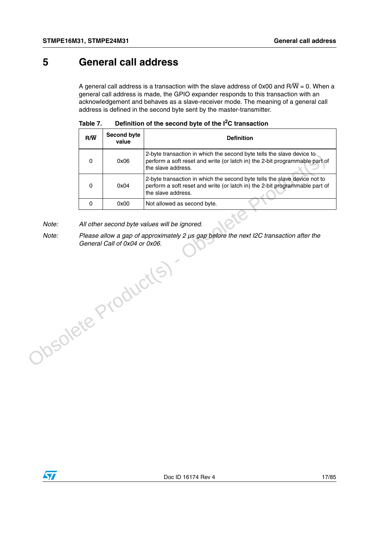## <span id="page-16-0"></span>**5 General call address**

A general call address is a transaction with the slave address of 0x00 and R/ $\overline{W}$  = 0. When a general call address is made, the GPIO expander responds to this transaction with an acknowledgement and behaves as a slave-receiver mode. The meaning of a general call address is defined in the second byte sent by the master-transmitter.

| $R/\overline{W}$ | <b>Second byte</b><br>value | <b>Definition</b>                                                                                                                                                              |
|------------------|-----------------------------|--------------------------------------------------------------------------------------------------------------------------------------------------------------------------------|
|                  | 0x06                        | 2-byte transaction in which the second byte tells the slave device to<br>perform a soft reset and write (or latch in) the 2-bit programmable part of<br>the slave address.     |
| n                | 0x04                        | 2-byte transaction in which the second byte tells the slave device not to<br>perform a soft reset and write (or latch in) the 2-bit programmable part of<br>the slave address. |
|                  | 0x00                        | Not allowed as second byte.                                                                                                                                                    |

| Table 7. | Definition of the second byte of the $I2C$ transaction |  |
|----------|--------------------------------------------------------|--|
|----------|--------------------------------------------------------|--|

*Note: All other second byte values will be ignored.*

*Note: Please allow a gap of approximately 2 µs gap before the next I2C transaction after the General Call of 0x04 or 0x06.* Obsolete Product(s) - Obsolete Product(s)

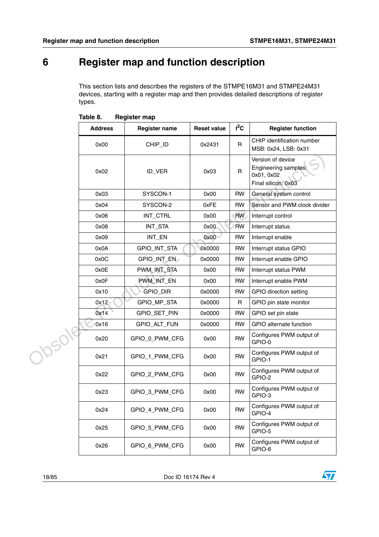## <span id="page-17-0"></span>**6 Register map and function description**

This section lists and describes the registers of the STMPE16M31 and STMPE24M31 devices, starting with a register map and then provides detailed descriptions of register types.

|        | <b>Address</b> | <b>Register name</b> | <b>Reset value</b> | $I^2C$    | <b>Register function</b>                                                       |
|--------|----------------|----------------------|--------------------|-----------|--------------------------------------------------------------------------------|
|        | 0x00           | CHIP_ID              | 0x2431             | R         | CHIP identification number<br>MSB: 0x24, LSB: 0x31                             |
|        | 0x02           | ID_VER               | 0x03               | R         | Version of device<br>Engineering samples:<br>0x01, 0x02<br>Final silicon: 0x03 |
|        | 0x03           | SYSCON-1             | 0x00               | <b>RW</b> | General system control                                                         |
|        | 0x04           | SYSCON-2             | 0xFE               | <b>RW</b> | Sensor and PWM clock divider                                                   |
|        | 0x06           | INT_CTRL             | 0x00               | <b>RW</b> | Interrupt control                                                              |
|        | 0x08           | INT_STA              | 0x00               | <b>RW</b> | Interrupt status                                                               |
|        | 0x09           | INT_EN               | 0x00               | <b>RW</b> | Interrupt enable                                                               |
|        | 0x0A           | GPIO_INT_STA         | 0x0000             | <b>RW</b> | Interrupt status GPIO                                                          |
|        | 0x0C           | GPIO_INT_EN          | 0x0000             | RW        | Interrupt enable GPIO                                                          |
|        | 0x0E           | PWM_INT_STA          | 0x00               | RW        | Interrupt status PWM                                                           |
|        | 0x0F           | PWM_INT_EN           | 0x00               | <b>RW</b> | Interrupt enable PWM                                                           |
|        | 0x10           | GPIO_DIR             | 0x0000             | RW        | GPIO direction setting                                                         |
|        | 0x12           | GPIO_MP_STA          | 0x0000             | R         | GPIO pin state monitor                                                         |
|        | 0x14           | GPIO_SET_PIN         | 0x0000             | <b>RW</b> | GPIO set pin state                                                             |
|        | 0x16           | GPIO_ALT_FUN         | 0x0000             | RW        | GPIO alternate function                                                        |
|        | 0x20           | GPIO 0 PWM CFG       | 0x00               | <b>RW</b> | Configures PWM output of<br>GPIO-0                                             |
| Josola | 0x21           | GPIO_1_PWM_CFG       | 0x00               | <b>RW</b> | Configures PWM output of<br>GPIO-1                                             |
|        | 0x22           | GPIO_2_PWM_CFG       | 0x00               | <b>RW</b> | Configures PWM output of<br>GPIO-2                                             |
|        | 0x23           | GPIO_3_PWM_CFG       | 0x00               | <b>RW</b> | Configures PWM output of<br>GPIO-3                                             |
|        | 0x24           | GPIO_4_PWM_CFG       | 0x00               | RW        | Configures PWM output of<br>GPIO-4                                             |
|        | 0x25           | GPIO_5_PWM_CFG       | 0x00               | <b>RW</b> | Configures PWM output of<br>GPIO-5                                             |
|        | 0x26           | GPIO_6_PWM_CFG       | 0x00               | <b>RW</b> | Configures PWM output of<br>GPIO-6                                             |

| Table 8. | <b>Register map</b> |  |
|----------|---------------------|--|
|          |                     |  |

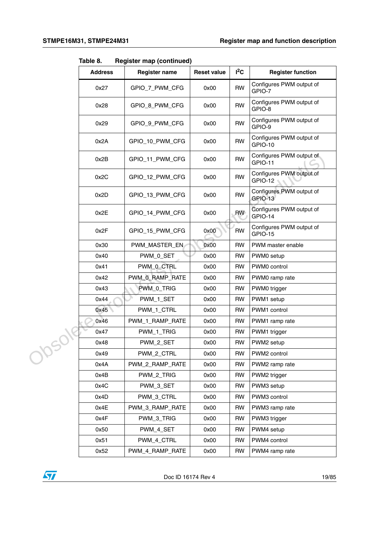**Table 8. Register map (continued)**

|  | <b>Address</b> | <b>Register name</b> | <b>Reset value</b> | $I^2C$    | <b>Register function</b>                   |
|--|----------------|----------------------|--------------------|-----------|--------------------------------------------|
|  | 0x27           | GPIO_7_PWM_CFG       | 0x00               | <b>RW</b> | Configures PWM output of<br>GPIO-7         |
|  | 0x28           | GPIO 8 PWM CFG       | 0x00               | <b>RW</b> | Configures PWM output of<br>GPIO-8         |
|  | 0x29           | GPIO_9_PWM_CFG       | 0x00               | <b>RW</b> | Configures PWM output of<br>GPIO-9         |
|  | 0x2A           | GPIO_10_PWM_CFG      | 0x00               | <b>RW</b> | Configures PWM output of<br><b>GPIO-10</b> |
|  | 0x2B           | GPIO_11_PWM_CFG      | 0x00               | <b>RW</b> | Configures PWM output of<br>GPIO-11        |
|  | 0x2C           | GPIO_12_PWM_CFG      | 0x00               | <b>RW</b> | Configures PWM output of<br>GPIO-12        |
|  | 0x2D           | GPIO_13_PWM_CFG      | 0x00               | <b>RW</b> | Configures PWM output of<br>GPIO-13        |
|  | 0x2E           | GPIO_14_PWM_CFG      | 0x00               | <b>RW</b> | Configures PWM output of<br>GPIO-14        |
|  | 0x2F           | GPIO_15_PWM_CFG      | 0x00               | <b>RW</b> | Configures PWM output of<br>GPIO-15        |
|  | 0x30           | PWM_MASTER_EN        | 0x00               | <b>RW</b> | PWM master enable                          |
|  | 0x40           | PWM_0_SET            | 0x00               | <b>RW</b> | PWM0 setup                                 |
|  | 0x41           | PWM_0_CTRL           | 0x00               | <b>RW</b> | PWM0 control                               |
|  | 0x42           | PWM_0_RAMP_RATE      | 0x00               | <b>RW</b> | PWM0 ramp rate                             |
|  | 0x43           | PWM_0_TRIG           | 0x00               | <b>RW</b> | PWM0 trigger                               |
|  | 0x44           | PWM_1_SET            | 0x00               | <b>RW</b> | PWM1 setup                                 |
|  | 0x45           | PWM_1_CTRL           | 0x00               | <b>RW</b> | PWM1 control                               |
|  | 0x46           | PWM_1_RAMP_RATE      | 0x00               | <b>RW</b> | PWM1 ramp rate                             |
|  | 0x47           | PWM_1_TRIG           | 0x00               | <b>RW</b> | PWM1 trigger                               |
|  | 0x48           | PWM_2_SET            | 0x00               | <b>RW</b> | PWM2 setup                                 |
|  | 0x49           | PWM_2_CTRL           | 0x00               | RW        | PWM2 control                               |
|  | 0x4A           | PWM_2_RAMP_RATE      | 0x00               | <b>RW</b> | PWM2 ramp rate                             |
|  | 0x4B           | PWM_2_TRIG           | 0x00               | <b>RW</b> | PWM2 trigger                               |
|  | 0x4C           | PWM_3_SET            | 0x00               | <b>RW</b> | PWM3 setup                                 |
|  | 0x4D           | PWM_3_CTRL           | 0x00               | <b>RW</b> | PWM3 control                               |
|  | 0x4E           | PWM_3_RAMP_RATE      | 0x00               | <b>RW</b> | PWM3 ramp rate                             |
|  | 0x4F           | PWM_3_TRIG           | 0x00               | <b>RW</b> | PWM3 trigger                               |
|  | 0x50           | PWM_4_SET            | 0x00               | <b>RW</b> | PWM4 setup                                 |
|  | 0x51           | PWM_4_CTRL           | 0x00               | <b>RW</b> | PWM4 control                               |
|  | 0x52           | PWM_4_RAMP_RATE      | 0x00               | RW        | PWM4 ramp rate                             |

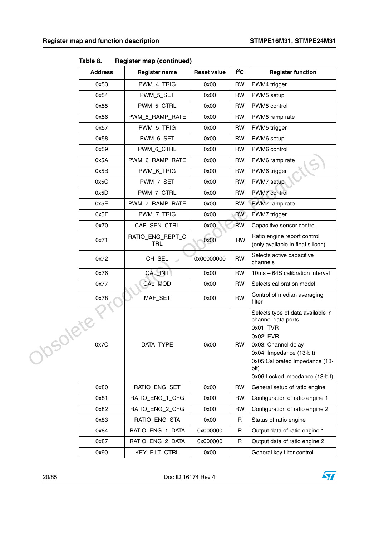|     | <b>Address</b> | <b>Register name</b>    | <b>Reset value</b> | $I^2C$    | <b>Register function</b>                                                                                                                                                                                          |
|-----|----------------|-------------------------|--------------------|-----------|-------------------------------------------------------------------------------------------------------------------------------------------------------------------------------------------------------------------|
|     | 0x53           | PWM_4_TRIG              | 0x00               | <b>RW</b> | PWM4 trigger                                                                                                                                                                                                      |
|     | 0x54           | PWM_5_SET               | 0x00               | <b>RW</b> | PWM5 setup                                                                                                                                                                                                        |
|     | 0x55           | PWM_5_CTRL              | 0x00               | <b>RW</b> | PWM5 control                                                                                                                                                                                                      |
|     | 0x56           | PWM_5_RAMP_RATE         | 0x00               | <b>RW</b> | PWM5 ramp rate                                                                                                                                                                                                    |
|     | 0x57           | PWM_5_TRIG              | 0x00               | <b>RW</b> | PWM5 trigger                                                                                                                                                                                                      |
|     | 0x58           | PWM_6_SET               | 0x00               | <b>RW</b> | PWM6 setup                                                                                                                                                                                                        |
|     | 0x59           | PWM_6_CTRL              | 0x00               | <b>RW</b> | PWM6 control                                                                                                                                                                                                      |
|     | 0x5A           | PWM_6_RAMP_RATE         | 0x00               | <b>RW</b> | PWM6 ramp rate<br>a.                                                                                                                                                                                              |
|     | 0x5B           | PWM_6_TRIG              | 0x00               | <b>RW</b> | PWM6 trigger                                                                                                                                                                                                      |
|     | 0x5C           | PWM_7_SET               | 0x00               | <b>RW</b> | PWM7 setup                                                                                                                                                                                                        |
|     | 0x5D           | PWM_7_CTRL              | 0x00               | <b>RW</b> | PWM7 control                                                                                                                                                                                                      |
|     | 0x5E           | PWM_7_RAMP_RATE         | 0x00               | <b>RW</b> | PWM7 ramp rate                                                                                                                                                                                                    |
|     | 0x5F           | PWM_7_TRIG              | 0x00               | <b>RW</b> | PWM7 trigger                                                                                                                                                                                                      |
|     | 0x70           | CAP_SEN_CTRL            | 0x00               | <b>RW</b> | Capacitive sensor control                                                                                                                                                                                         |
|     | 0x71           | RATIO_ENG_REPT_C<br>TRL | 0x00               | <b>RW</b> | Ratio engine report control<br>(only available in final silicon)                                                                                                                                                  |
|     | 0x72           | CH_SEL                  | 0x00000000         | <b>RW</b> | Selects active capacitive<br>channels                                                                                                                                                                             |
|     | 0x76           | CAL_INT                 | 0x00               | <b>RW</b> | 10ms - 64S calibration interval                                                                                                                                                                                   |
|     | 0x77           | CAL_MOD                 | 0x00               | <b>RW</b> | Selects calibration model                                                                                                                                                                                         |
|     | 0x78           | MAF_SET                 | 0x00               | <b>RW</b> | Control of median averaging<br>filter                                                                                                                                                                             |
| 218 | 0x7C           | DATA_TYPE               | 0x00               | <b>RW</b> | Selects type of data available in<br>channel data ports.<br>0x01: TVR<br>0x02: EVR<br>0x03: Channel delay<br>0x04: Impedance (13-bit)<br>0x05:Calibrated Impedance (13-<br>bit)<br>0x06:Locked impedance (13-bit) |
|     | 0x80           | RATIO_ENG_SET           | 0x00               | <b>RW</b> | General setup of ratio engine                                                                                                                                                                                     |
|     | 0x81           | RATIO_ENG_1_CFG         | 0x00               | <b>RW</b> | Configuration of ratio engine 1                                                                                                                                                                                   |
|     | 0x82           | RATIO_ENG_2_CFG         | 0x00               | <b>RW</b> | Configuration of ratio engine 2                                                                                                                                                                                   |
|     | 0x83           | RATIO_ENG_STA           | 0x00               | R         | Status of ratio engine                                                                                                                                                                                            |
|     | 0x84           | RATIO_ENG_1_DATA        | 0x000000           | R         | Output data of ratio engine 1                                                                                                                                                                                     |
|     | 0x87           | RATIO_ENG_2_DATA        | 0x000000           | R         | Output data of ratio engine 2                                                                                                                                                                                     |
|     | 0x90           | KEY_FILT_CTRL           | 0x00               |           | General key filter control                                                                                                                                                                                        |

**Table 8. Register map (continued)**

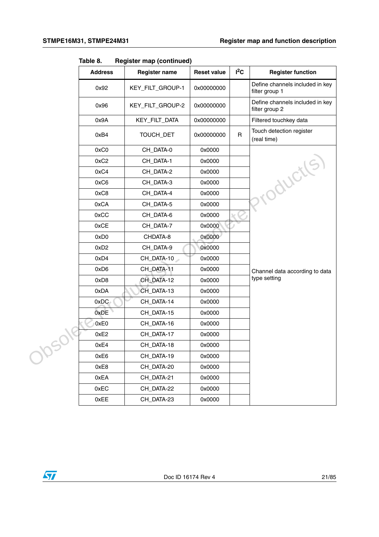|   | ιαυισ υ.<br>negister map (commuea) |                      | $I^2C$             |              |                                                   |
|---|------------------------------------|----------------------|--------------------|--------------|---------------------------------------------------|
|   | <b>Address</b>                     | <b>Register name</b> | <b>Reset value</b> |              | <b>Register function</b>                          |
|   | 0x92                               | KEY_FILT_GROUP-1     | 0x00000000         |              | Define channels included in key<br>filter group 1 |
|   | 0x96                               | KEY_FILT_GROUP-2     | 0x00000000         |              | Define channels included in key<br>filter group 2 |
|   | 0x9A                               | KEY_FILT_DATA        | 0x00000000         |              | Filtered touchkey data                            |
|   | 0xB4                               | TOUCH_DET            | 0x00000000         | $\mathsf{R}$ | Touch detection register<br>(real time)           |
|   | 0xC0                               | CH_DATA-0            | 0x0000             |              |                                                   |
|   | 0xC <sub>2</sub>                   | CH_DATA-1            | 0x0000             |              |                                                   |
|   | 0xC4                               | CH_DATA-2            | 0x0000             |              |                                                   |
|   | 0xC6                               | CH_DATA-3            | 0x0000             |              |                                                   |
|   | 0xC8                               | CH_DATA-4            | 0x0000             |              | roducts.                                          |
|   | 0xCA                               | CH_DATA-5            | 0x0000             |              |                                                   |
|   | 0xCC                               | CH_DATA-6            | 0x0000             |              |                                                   |
|   | 0xCE                               | CH_DATA-7            | 0x0000             |              |                                                   |
|   | 0xD0                               | CHDATA-8             | 0x0000             |              |                                                   |
|   | 0xD2                               | CH_DATA-9            | 0x0000             |              |                                                   |
|   | 0xD4                               | CH_DATA-10           | 0x0000             |              |                                                   |
|   | 0xD6                               | CH_DATA-11           | 0x0000             |              | Channel data according to data                    |
|   | 0xD8                               | CH_DATA-12           | 0x0000             |              | type setting                                      |
|   | 0xDA                               | CH_DATA-13           | 0x0000             |              |                                                   |
|   | 0xDC                               | CH_DATA-14           | 0x0000             |              |                                                   |
|   | 0xDE                               | CH_DATA-15           | 0x0000             |              |                                                   |
|   | 0xE0                               | CH_DATA-16           | 0x0000             |              |                                                   |
|   | 0xE2                               | CH_DATA-17           | 0x0000             |              |                                                   |
| ╰ | 0xE4                               | CH_DATA-18           | 0x0000             |              |                                                   |
|   | 0xE6                               | CH_DATA-19           | 0x0000             |              |                                                   |
|   | 0xE8                               | CH_DATA-20           | 0x0000             |              |                                                   |
|   | 0xEA                               | CH_DATA-21           | 0x0000             |              |                                                   |
|   | 0xEC                               | CH_DATA-22           | 0x0000             |              |                                                   |
|   | 0xEE                               | CH_DATA-23           | 0x0000             |              |                                                   |

**Table 8. Register map (continued)**

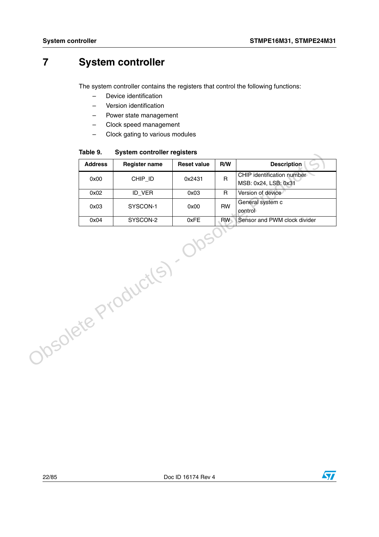## <span id="page-21-0"></span>**7 System controller**

The system controller contains the registers that control the following functions:

- Device identification
- Version identification
- Power state management
- Clock speed management
- Clock gating to various modules

**Table 9. System controller registers**

|                     | rapie 9.       | System controller registers |                    |              |                                                    |
|---------------------|----------------|-----------------------------|--------------------|--------------|----------------------------------------------------|
|                     | <b>Address</b> | <b>Register name</b>        | <b>Reset value</b> | R/W          | <b>Description</b>                                 |
|                     | 0x00           | CHIP_ID                     | 0x2431             | R.           | CHIP identification number<br>MSB: 0x24, LSB: 0x31 |
|                     | 0x02           | ID_VER                      | 0x03               | $\mathsf{R}$ | Version of device                                  |
|                     | 0x03           | SYSCON-1                    | 0x00               | <b>RW</b>    | General system c<br>control                        |
|                     | 0x04           | SYSCON-2                    | 0xFE               | RW           | Sensor and PWM clock divider                       |
| Obsolete Product(s) |                |                             |                    |              |                                                    |

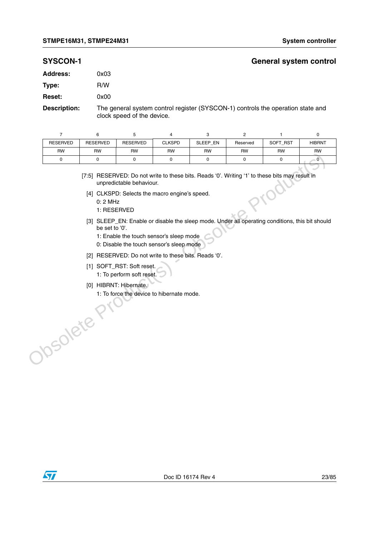#### **SYSCON-1 General system control**

| 0x03 |
|------|
| R/W  |
| 0x00 |
|      |

**Description:** The general system control register (SYSCON-1) controls the operation state and clock speed of the device.

| $\overline{7}$  | 6                                          | 5                                                                                                                                                                                                                                                                                                                                                         | 4             | 3        | $\overline{c}$ | 1                                                                                                                                                                                                 | $\pmb{0}$     |
|-----------------|--------------------------------------------|-----------------------------------------------------------------------------------------------------------------------------------------------------------------------------------------------------------------------------------------------------------------------------------------------------------------------------------------------------------|---------------|----------|----------------|---------------------------------------------------------------------------------------------------------------------------------------------------------------------------------------------------|---------------|
| <b>RESERVED</b> | <b>RESERVED</b>                            | <b>RESERVED</b>                                                                                                                                                                                                                                                                                                                                           | <b>CLKSPD</b> | SLEEP_EN | Reserved       | SOFT_RST                                                                                                                                                                                          | <b>HIBRNT</b> |
| RW              | RW                                         | RW                                                                                                                                                                                                                                                                                                                                                        | <b>RW</b>     | RW       | <b>RW</b>      | <b>RW</b>                                                                                                                                                                                         | <b>RW</b>     |
| 0               | 0                                          | 0                                                                                                                                                                                                                                                                                                                                                         | 0             | 0        | 0              | 0                                                                                                                                                                                                 | $\mathbf{0}$  |
| JOSOlete        | $0:2$ MHz<br>1: RESERVED<br>be set to '0'. | unpredictable behaviour.<br>[4] CLKSPD: Selects the macro engine's speed.<br>1: Enable the touch sensor's sleep mode<br>0: Disable the touch sensor's sleep mode<br>[2] RESERVED: Do not write to these bits. Reads '0'.<br>[1] SOFT_RST: Soft reset.<br>1: To perform soft reset.<br>[0] HIBRNT: Hibernate.<br>1: To force the device to hibernate mode. |               |          |                | [7:5] RESERVED: Do not write to these bits. Reads '0'. Writing '1' to these bits may result in<br>[3] SLEEP_EN: Enable or disable the sleep mode. Under all operating conditions, this bit should |               |

- [4] CLKSPD: Selects the macro engine's speed.
	- 0: 2 MHz
	- 1: RESERVED
- [3] SLEEP\_EN: Enable or disable the sleep mode. Under all operating conditions, this bit should be set to '0'.
	- 1: Enable the touch sensor's sleep mode
	- 0: Disable the touch sensor's sleep mode
- [2] RESERVED: Do not write to these bits. Reads '0'.
- [1] SOFT\_RST: Soft reset.
	- 1: To perform soft reset.
- [0] HIBRNT: Hibernate.
- 1: To force the device to hibernate mode.

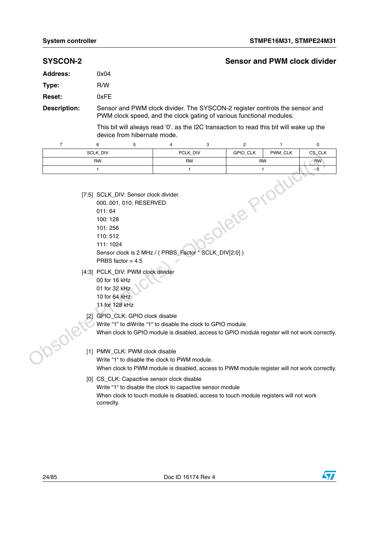|                     |                                                                   |                                   |                                                               |   |                                                                                                                                                     |                           | <b>Sensor and PWM clock divider</b> |
|---------------------|-------------------------------------------------------------------|-----------------------------------|---------------------------------------------------------------|---|-----------------------------------------------------------------------------------------------------------------------------------------------------|---------------------------|-------------------------------------|
| <b>Address:</b>     | 0x04                                                              |                                   |                                                               |   |                                                                                                                                                     |                           |                                     |
| Type:               | R/W                                                               |                                   |                                                               |   |                                                                                                                                                     |                           |                                     |
| Reset:              | 0xFE                                                              |                                   |                                                               |   |                                                                                                                                                     |                           |                                     |
| <b>Description:</b> |                                                                   |                                   |                                                               |   | Sensor and PWM clock divider. The SYSCON-2 register controls the sensor and<br>PWM clock speed, and the clock gating of various functional modules. |                           |                                     |
|                     |                                                                   | device from hibernate mode.       |                                                               |   | This bit will always read '0'. as the I2C transaction to read this bit will wake up the                                                             |                           |                                     |
| $\overline{7}$      | 6                                                                 | 5                                 | 4                                                             | 3 | $\overline{\mathbf{c}}$                                                                                                                             | 1                         | 0                                   |
|                     | SCLK_DIV                                                          | PCLK_DIV                          |                                                               |   | GPIO_CLK                                                                                                                                            | PWM_CLK                   | CS_CLK                              |
|                     | <b>RW</b><br>$\mathbf{1}$                                         |                                   | RW<br>$\mathbf{1}$                                            |   |                                                                                                                                                     | <b>RW</b><br>$\mathbf{1}$ | RW<br>$-0$                          |
|                     |                                                                   |                                   |                                                               |   |                                                                                                                                                     |                           |                                     |
|                     | 101:256<br>110:512<br>111:1024<br>PRBS factor $= 4.5$             |                                   | Sensor clock is 2 MHz / (PRBS_Factor * SCLK_DIV[2:0])         |   | solete Produ                                                                                                                                        |                           |                                     |
|                     | 00 for 16 kHz<br>01 for 32 kHz<br>10 for 64 kHz<br>11 for 128 kHz | [4:3] PCLK_DIV: PWM clock divider |                                                               |   |                                                                                                                                                     |                           |                                     |
|                     |                                                                   | [2] GPIO_CLK: GPIO clock disable  | Write "1" to diWrite "1" to disable the clock to GPIO module. |   | When clock to GPIO module is disabled, access to GPIO module register will not work correctly.                                                      |                           |                                     |
|                     |                                                                   | [1] PMW_CLK: PWM clock disable    | Write "1" to disable the clock to PWM module.                 |   | When clock to PWM module is disabled, access to PWM module register will not work correctly.                                                        |                           |                                     |

- 11 for 128 kHz
- [2] GPIO\_CLK: GPIO clock disable
	- Write "1" to diWrite "1" to disable the clock to GPIO module.

#### [1] PMW\_CLK: PWM clock disable

#### [0] CS\_CLK: Capacitive sensor clock disable Write "1" to disable the clock to capactive sensor module When clock to touch module is disabled, access to touch module registers will not work correclty.

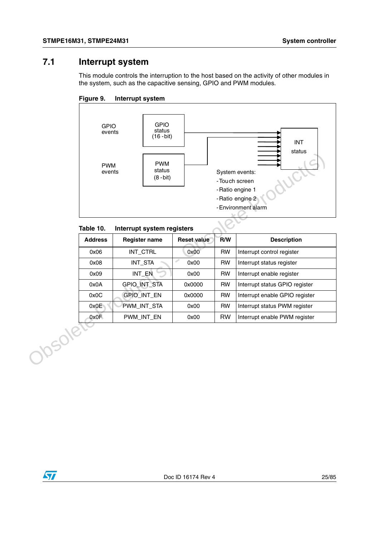## <span id="page-24-0"></span>**7.1 Interrupt system**

This module controls the interruption to the host based on the activity of other modules in the system, such as the capacitive sensing, GPIO and PWM modules.





#### Table 10. **Interrupt system registers**

|        |                             | <b>PWM</b><br><b>PWM</b><br>status<br>events<br>$(8 - bit)$ |  |                    | -Touch screen | olaluo<br>System events:<br>WC<br>- Ratio engine 1<br>- Ratio engine 2<br>- Environment alarm |
|--------|-----------------------------|-------------------------------------------------------------|--|--------------------|---------------|-----------------------------------------------------------------------------------------------|
|        | Table 10.<br><b>Address</b> | Interrupt system registers<br><b>Register name</b>          |  | <b>Reset value</b> | R/W           | <b>Description</b>                                                                            |
|        | 0x06                        | INT_CTRL                                                    |  | 0x00               | <b>RW</b>     | Interrupt control register                                                                    |
|        | 0x08                        | INT_STA                                                     |  | d,<br>0x00         | <b>RW</b>     | Interrupt status register                                                                     |
|        | 0x09                        | INT_EN                                                      |  | 0x00               | <b>RW</b>     | Interrupt enable register                                                                     |
|        | 0x0A                        | GPIO_INT_STA                                                |  | 0x0000             | <b>RW</b>     | Interrupt status GPIO register                                                                |
|        | 0x0C                        | GPIO_INT_EN                                                 |  | 0x0000             | <b>RW</b>     | Interrupt enable GPIO register                                                                |
|        | 0x0E                        | PWM_INT_STA                                                 |  | 0x00               | <b>RW</b>     | Interrupt status PWM register                                                                 |
|        | 0x0F                        | PWM_INT_EN                                                  |  | 0x00               | <b>RW</b>     | Interrupt enable PWM register                                                                 |
| Josole |                             |                                                             |  |                    |               |                                                                                               |

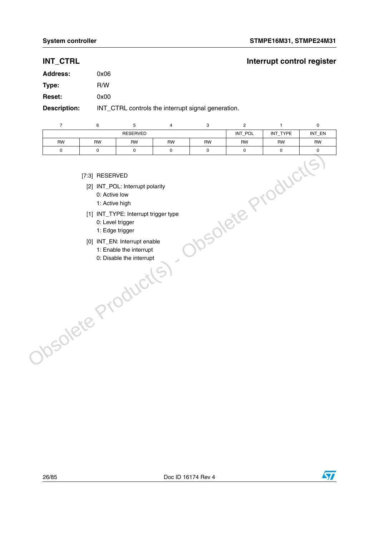## **INT\_CTRL INT\_CTRL**

| <b>Address:</b>     | 0x06                                               |
|---------------------|----------------------------------------------------|
| Type:               | R/W                                                |
| <b>Reset:</b>       | 0x00                                               |
| <b>Description:</b> | INT_CTRL controls the interrupt signal generation. |

| $\overline{7}$ | 6                                                                                                             | 5                                                                                                                                                              | $\overline{\mathbf{4}}$ | 3         | $\overline{c}$           | 1        | $\pmb{0}$ |
|----------------|---------------------------------------------------------------------------------------------------------------|----------------------------------------------------------------------------------------------------------------------------------------------------------------|-------------------------|-----------|--------------------------|----------|-----------|
|                |                                                                                                               | <b>RESERVED</b>                                                                                                                                                |                         |           | INT_POL                  | INT_TYPE | INT_EN    |
| <b>RW</b>      | <b>RW</b>                                                                                                     | RW                                                                                                                                                             | <b>RW</b>               | <b>RW</b> | RW                       | RW       | RW        |
| 0              | $\mathsf 0$                                                                                                   | $\mathbf 0$                                                                                                                                                    | $\mathbf 0$             | 0         | 0                        | 0        | 0         |
|                | [7:3] RESERVED<br>0: Active low<br>1: Active high<br>0: Level trigger<br>1: Edge trigger<br>Obsolete Products | [2] INT_POL: Interrupt polarity<br>[1] INT_TYPE: Interrupt trigger type<br>[0] INT_EN: Interrupt enable<br>1: Enable the interrupt<br>0: Disable the interrupt |                         |           | <b>Tosolete Products</b> |          |           |

- [7:3] RESERVED
	- [2] INT\_POL: Interrupt polarity
		- 0: Active low
		- 1: Active high
- [1] INT\_TYPE: Interrupt trigger type
	- 0: Level trigger
	- 1: Edge trigger
- [0] INT\_EN: Interrupt enable
	- 1: Enable the interrupt
	- 0: Disable the interrupt

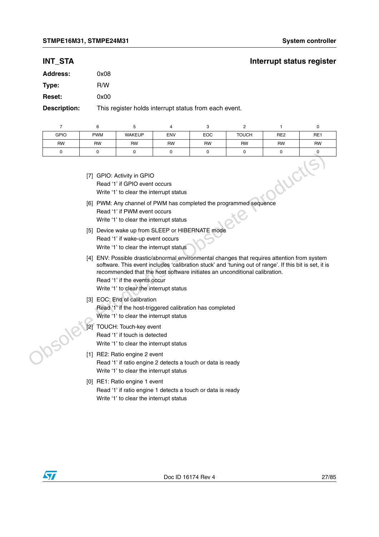### **INT\_STA** INT\_STA

| <b>Address:</b> | 0x08 |
|-----------------|------|
| Type:           | R/W  |
| <b>Reset:</b>   | 0x00 |
|                 |      |

**Description:** This register holds interrupt status from each event.

|             | 6          | 5                                                                                                      | 4          | 3          |              |                 |                 |
|-------------|------------|--------------------------------------------------------------------------------------------------------|------------|------------|--------------|-----------------|-----------------|
| <b>GPIO</b> | <b>PWM</b> | <b>WAKEUP</b>                                                                                          | <b>ENV</b> | <b>EOC</b> | <b>TOUCH</b> | RE <sub>2</sub> | RE <sub>1</sub> |
| <b>RW</b>   | <b>RW</b>  | <b>RW</b>                                                                                              | <b>RW</b>  | <b>RW</b>  | <b>RW</b>    | <b>RW</b>       | <b>RW</b>       |
|             |            |                                                                                                        | $\Omega$   | 0          |              | O               |                 |
|             |            | [7] GPIO: Activity in GPIO<br>Read '1' if GPIO event occurs<br>Write '1' to clear the interrupt status |            |            |              |                 |                 |

| [7] GPIO: Activity in GPIO              |
|-----------------------------------------|
| Read '1' if GPIO event occurs           |
| Write '1' to clear the interrupt status |

- [6] PWM: Any channel of PWM has completed the programmed sequence Read '1' if PWM event occurs Write '1' to clear the interrupt status
- [5] Device wake up from SLEEP or HIBERNATE mode Read '1' if wake-up event occurs
	- Write '1' to clear the interrupt status
- [4] ENV: Possible drastic/abnormal environmental changes that requires attention from system software. This event includes 'calibration stuck' and 'tuning out of range'. If this bit is set, it is recommended that the host software initiates an unconditional calibration. Trimate Production Scheme Controllers and the following the state of the Controllers (B) PWM: Any channel of PWM has completed the programmed sequence<br>
Write '1' to clear the interrupt status<br>
Write '1' to clear the interr
	- Read '1' if the events occur Write '1' to clear the interrupt status
	- [3] EOC: End of calibration Read '1' if the host-triggered calibration has completed
		- Write '1' to clear the interrupt status
	- [2] TOUCH: Touch-key event Read '1' if touch is detected Write '1' to clear the interrupt status
	- [1] RE2: Ratio engine 2 event Read '1' if ratio engine 2 detects a touch or data is ready Write '1' to clear the interrupt status
	- [0] RE1: Ratio engine 1 event Read '1' if ratio engine 1 detects a touch or data is ready Write '1' to clear the interrupt status

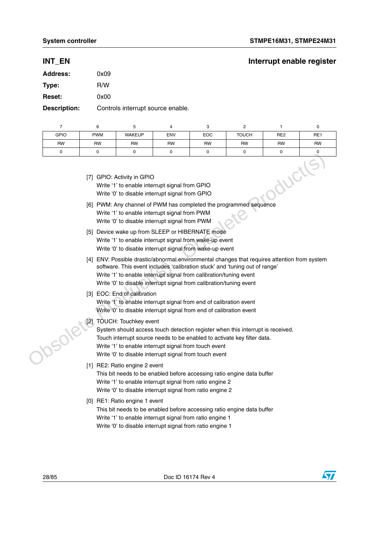## **INT\_EN** INT\_EN

| <b>Address:</b> | 0x09 |
|-----------------|------|
| Type:           | R/W  |
| <b>Reset:</b>   | 0x00 |
|                 |      |

**Description:** Controls interrupt source enable.

| <b>GPIO</b> | <b>PWM</b> | <b>WAKEUP</b> | <b>ENV</b> | <b>EOC</b> | <b>TOUCH</b> | RE <sub>2</sub> | RE1 |
|-------------|------------|---------------|------------|------------|--------------|-----------------|-----|
| <b>RW</b>   | RW         | <b>RW</b>     | <b>RW</b>  | <b>RW</b>  | <b>RW</b>    | <b>RW</b>       | RW  |
|             |            |               |            |            |              |                 |     |

| ductles<br>[7] GPIO: Activity in GPIO<br>Write '1' to enable interrupt signal from GPIO<br>Write '0' to disable interrupt signal from GPIO<br>[6] PWM: Any channel of PWM has completed the programmed sequence<br>Write '1' to enable interrupt signal from PWM<br>Write '0' to disable interrupt signal from PWM<br>[5] Device wake up from SLEEP or HIBERNATE mode<br>Write '1' to enable interrupt signal from wake-up event<br>Write '0' to disable interrupt signal from wake-up event<br>[4] ENV: Possible drastic/abnormal environmental changes that requires attention from system<br>software. This event includes 'calibration stuck' and 'tuning out of range'<br>Write '1' to enable interrupt signal from calibration/tuning event<br>Write '0' to disable interrupt signal from calibration/tuning event<br>[3] EOC: End of calibration<br>Write '1' to enable interrupt signal from end of calibration event<br>Write '0' to disable interrupt signal from end of calibration event<br>TOUCH: Touchkey event<br>System should access touch detection register when this interrupt is received.<br>Touch interrupt source needs to be enabled to activate key filter data.<br>Write '1' to enable interrupt signal from touch event<br>Write '0' to disable interrupt signal from touch event<br>[1] RE2: Ratio engine 2 event<br>This bit needs to be enabled before accessing ratio engine data buffer<br>Write '1' to enable interrupt signal from ratio engine 2<br>Write '0' to disable interrupt signal from ratio engine 2<br>[0] RE1: Ratio engine 1 event<br>This bit needs to be enabled before accessing ratio engine data buffer<br>Write '1' to enable interrupt signal from ratio engine 1<br>Write '0' to disable interrupt signal from ratio engine 1 | υ |  |  |  |  |  |  |  |  |  |
|---------------------------------------------------------------------------------------------------------------------------------------------------------------------------------------------------------------------------------------------------------------------------------------------------------------------------------------------------------------------------------------------------------------------------------------------------------------------------------------------------------------------------------------------------------------------------------------------------------------------------------------------------------------------------------------------------------------------------------------------------------------------------------------------------------------------------------------------------------------------------------------------------------------------------------------------------------------------------------------------------------------------------------------------------------------------------------------------------------------------------------------------------------------------------------------------------------------------------------------------------------------------------------------------------------------------------------------------------------------------------------------------------------------------------------------------------------------------------------------------------------------------------------------------------------------------------------------------------------------------------------------------------------------------------------------------------------------------------------------------------------------------------------------|---|--|--|--|--|--|--|--|--|--|
|                                                                                                                                                                                                                                                                                                                                                                                                                                                                                                                                                                                                                                                                                                                                                                                                                                                                                                                                                                                                                                                                                                                                                                                                                                                                                                                                                                                                                                                                                                                                                                                                                                                                                                                                                                                       |   |  |  |  |  |  |  |  |  |  |
|                                                                                                                                                                                                                                                                                                                                                                                                                                                                                                                                                                                                                                                                                                                                                                                                                                                                                                                                                                                                                                                                                                                                                                                                                                                                                                                                                                                                                                                                                                                                                                                                                                                                                                                                                                                       |   |  |  |  |  |  |  |  |  |  |
|                                                                                                                                                                                                                                                                                                                                                                                                                                                                                                                                                                                                                                                                                                                                                                                                                                                                                                                                                                                                                                                                                                                                                                                                                                                                                                                                                                                                                                                                                                                                                                                                                                                                                                                                                                                       |   |  |  |  |  |  |  |  |  |  |
|                                                                                                                                                                                                                                                                                                                                                                                                                                                                                                                                                                                                                                                                                                                                                                                                                                                                                                                                                                                                                                                                                                                                                                                                                                                                                                                                                                                                                                                                                                                                                                                                                                                                                                                                                                                       |   |  |  |  |  |  |  |  |  |  |
|                                                                                                                                                                                                                                                                                                                                                                                                                                                                                                                                                                                                                                                                                                                                                                                                                                                                                                                                                                                                                                                                                                                                                                                                                                                                                                                                                                                                                                                                                                                                                                                                                                                                                                                                                                                       |   |  |  |  |  |  |  |  |  |  |
|                                                                                                                                                                                                                                                                                                                                                                                                                                                                                                                                                                                                                                                                                                                                                                                                                                                                                                                                                                                                                                                                                                                                                                                                                                                                                                                                                                                                                                                                                                                                                                                                                                                                                                                                                                                       |   |  |  |  |  |  |  |  |  |  |
|                                                                                                                                                                                                                                                                                                                                                                                                                                                                                                                                                                                                                                                                                                                                                                                                                                                                                                                                                                                                                                                                                                                                                                                                                                                                                                                                                                                                                                                                                                                                                                                                                                                                                                                                                                                       |   |  |  |  |  |  |  |  |  |  |
|                                                                                                                                                                                                                                                                                                                                                                                                                                                                                                                                                                                                                                                                                                                                                                                                                                                                                                                                                                                                                                                                                                                                                                                                                                                                                                                                                                                                                                                                                                                                                                                                                                                                                                                                                                                       |   |  |  |  |  |  |  |  |  |  |

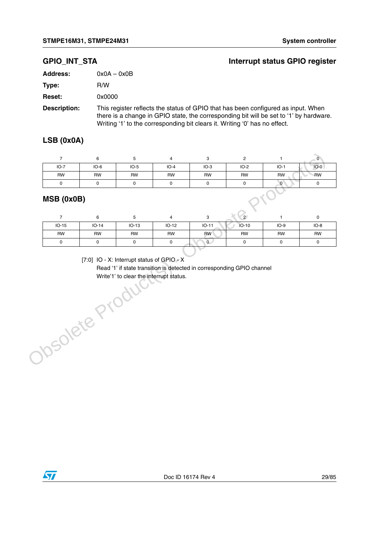#### **GPIO\_INT\_STA Interrupt status GPIO register**

| Address:           | $0x0A - 0x0B$                                             |
|--------------------|-----------------------------------------------------------|
| Type:              | R/W                                                       |
| <b>Reset:</b>      | 0x0000                                                    |
| <b>Decembettem</b> | This resistance fleate the status of $CDIQ$ that has been |

**Description:** This register reflects the status of GPIO that has been configured as input. When there is a change in GPIO state, the corresponding bit will be set to '1' by hardware. Writing '1' to the corresponding bit clears it. Writing '0' has no effect.

#### **LSB (0x0A)**

| $IO-7$    | $IO-6$ | $IO-5$    | $IO-4$    | $IO-3$    | $IO-2$    | $IO-1$    | $IO-0$    |
|-----------|--------|-----------|-----------|-----------|-----------|-----------|-----------|
| <b>RW</b> | RW     | <b>RW</b> | <b>RW</b> | <b>RW</b> | <b>RW</b> | <b>RW</b> | <b>RW</b> |
|           |        |           |           |           |           | $\sim$    |           |

#### **MSB (0x0B)**

|           |         |         |         |            | 2         |           |        |
|-----------|---------|---------|---------|------------|-----------|-----------|--------|
| $IO-15$   | $IO-14$ | $IO-13$ | $IO-12$ | $IO-11$    | $IO-10$   | $IO-9$    | $IO-8$ |
| <b>RW</b> | RW      | RW      | RW      | <b>RW</b>  | <b>RW</b> | <b>RW</b> | RW     |
|           |         |         |         | $^{\circ}$ |           |           |        |

[7:0] IO - X: Interrupt status of GPIO - X

Read '1' if state transition is detected in corresponding GPIO channel Write'1' to clear the interrupt status.Obsolete Product

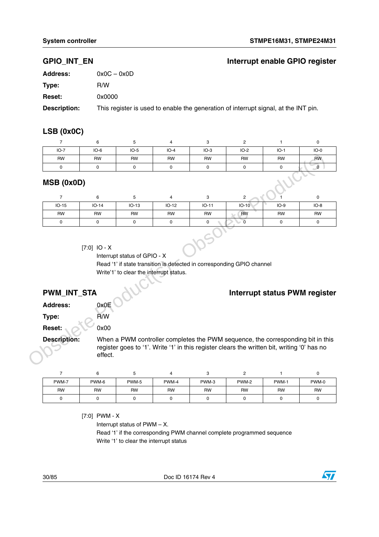#### **GPIO\_INT\_EN Interrupt enable GPIO register**

| <b>Address:</b>     | $0x0C - 0x0D$                                                                       |
|---------------------|-------------------------------------------------------------------------------------|
| Type:               | R/W                                                                                 |
| <b>Reset:</b>       | 0x0000                                                                              |
| <b>Description:</b> | This register is used to enable the generation of interrupt signal, at the INT pin. |

#### **LSB (0x0C)**

|            |           |           | 4         | ت         |           |           |           |
|------------|-----------|-----------|-----------|-----------|-----------|-----------|-----------|
| $IO-7$     | $IO-6$    | $IO-5$    | $IO-4$    | $IO-3$    | $IO-2$    | $IO-1$    | $IO-0$    |
| <b>RW</b>  | <b>RW</b> | <b>RW</b> | <b>RW</b> | <b>RW</b> | <b>RW</b> | <b>RW</b> | <b>RW</b> |
| 0          |           |           | C         |           |           |           |           |
| MSB (0x0D) |           |           |           |           |           |           |           |

#### **MSB (0x0D)**

|                                                                                                                                                                                                                             | <b>RW</b>           | <b>RW</b>   | <b>RW</b>   | <b>RW</b> | <b>RW</b>                                                                                                                                                                      | <b>RW</b>               | <b>RW</b>   | <b>RW</b>            |
|-----------------------------------------------------------------------------------------------------------------------------------------------------------------------------------------------------------------------------|---------------------|-------------|-------------|-----------|--------------------------------------------------------------------------------------------------------------------------------------------------------------------------------|-------------------------|-------------|----------------------|
|                                                                                                                                                                                                                             | 0                   | $\mathbf 0$ | $\mathbf 0$ | 0         | $\mathbf 0$                                                                                                                                                                    | $\mathbf 0$             | $\mathbf 0$ | $\overline{\bullet}$ |
|                                                                                                                                                                                                                             | MSB (0x0D)          |             |             |           |                                                                                                                                                                                |                         |             |                      |
|                                                                                                                                                                                                                             | $\overline{7}$      | 6           | 5           | 4         | 3                                                                                                                                                                              | $\overline{c}$          |             | 0                    |
|                                                                                                                                                                                                                             | $IO-15$             | $IO-14$     | $IO-13$     | $IO-12$   | $IO-11$                                                                                                                                                                        | $IO-10$                 | $IO-9$      | $IO-8$               |
|                                                                                                                                                                                                                             | <b>RW</b>           | <b>RW</b>   | <b>RW</b>   | <b>RW</b> | <b>RW</b>                                                                                                                                                                      | <b>RW</b>               | <b>RW</b>   | <b>RW</b>            |
|                                                                                                                                                                                                                             | 0                   | 0           | 0           | 0         | 0                                                                                                                                                                              | $\overline{\mathbf{0}}$ | $\mathbf 0$ | $\mathbf 0$          |
| Interrupt status of GPIO - X<br>Read '1' if state transition is detected in corresponding GPIO channel<br>Write'1' to clear the interrupt status.<br>PWM_INT_STA<br><b>Interrupt status PWM register</b><br><b>Address:</b> |                     |             |             |           |                                                                                                                                                                                |                         |             |                      |
|                                                                                                                                                                                                                             |                     | 0x0E        |             |           |                                                                                                                                                                                |                         |             |                      |
| Type:                                                                                                                                                                                                                       |                     | R/W         |             |           |                                                                                                                                                                                |                         |             |                      |
| Reset:                                                                                                                                                                                                                      |                     | 0x00        |             |           |                                                                                                                                                                                |                         |             |                      |
|                                                                                                                                                                                                                             | <b>Description:</b> |             |             |           | When a PWM controller completes the PWM sequence, the corresponding bit in this<br>register goes to '1'. Write '1' in this register clears the written bit, writing '0' has no |                         |             |                      |
|                                                                                                                                                                                                                             |                     | effect.     |             |           |                                                                                                                                                                                |                         |             |                      |
|                                                                                                                                                                                                                             | $\overline{7}$      | 6           | 5           | 4         | 3                                                                                                                                                                              | $\overline{c}$          | 1           | 0                    |

#### [7:0] IO - X

### **PWM\_INT\_STA**  $\bigcup$

| PWM-7     | PWM-6     | PWM-5     | PWM-4     | PWM-3     | PWM-2     | PWM-1     | PWM-0     |
|-----------|-----------|-----------|-----------|-----------|-----------|-----------|-----------|
| <b>RW</b> | <b>RW</b> | <b>RW</b> | <b>RW</b> | <b>RW</b> | <b>RW</b> | <b>RW</b> | <b>RW</b> |
|           |           |           |           |           |           |           |           |

[7:0] PWM - X

Interrupt status of PWM – X. Read '1' if the corresponding PWM channel complete programmed sequence Write '1' to clear the interrupt status

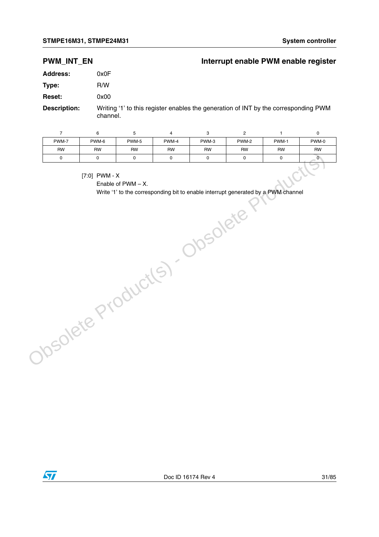#### **PWM\_INT\_EN** Interrupt enable PWM enable register

| Address:      | 0x0F |  |  |  |  |
|---------------|------|--|--|--|--|
| Type:         | R/W  |  |  |  |  |
| <b>Reset:</b> | 0x00 |  |  |  |  |
|               |      |  |  |  |  |

**Description:** Writing '1' to this register enables the generation of INT by the corresponding PWM channel.

| $\overline{7}$ | 6                  | 5                     | $\overline{4}$ | 3           | $\overline{c}$                                                                    | $\mathbf{1}$        | $\pmb{0}$      |
|----------------|--------------------|-----------------------|----------------|-------------|-----------------------------------------------------------------------------------|---------------------|----------------|
| PWM-7          | PWM-6              | PWM-5                 | PWM-4          | PWM-3       | PWM-2                                                                             | PWM-1               | PWM-0          |
| RW             | RW                 | <b>RW</b>             | RW             | RW          | RW                                                                                | RW                  | <b>RW</b>      |
| 0              | 0                  | $\pmb{0}$             | 0              | $\mathsf 0$ | $\pmb{0}$                                                                         | $\mathsf{O}\xspace$ | $\overline{0}$ |
|                | [7:0] PWM - $X$    | Enable of $PWM - X$ . |                |             |                                                                                   |                     |                |
|                |                    |                       |                |             | Write '1' to the corresponding bit to enable interrupt generated by a PWM channel |                     |                |
|                |                    |                       |                |             | Obsolete                                                                          |                     |                |
|                |                    |                       |                |             |                                                                                   |                     |                |
|                |                    |                       |                |             |                                                                                   |                     |                |
|                |                    |                       |                |             |                                                                                   |                     |                |
|                |                    |                       |                |             |                                                                                   |                     |                |
|                |                    |                       |                |             |                                                                                   |                     |                |
|                |                    |                       |                |             |                                                                                   |                     |                |
|                |                    |                       |                |             |                                                                                   |                     |                |
|                | Obsolete Products) |                       |                |             |                                                                                   |                     |                |
|                |                    |                       |                |             |                                                                                   |                     |                |
|                |                    |                       |                |             |                                                                                   |                     |                |
|                |                    |                       |                |             |                                                                                   |                     |                |
|                |                    |                       |                |             |                                                                                   |                     |                |
|                |                    |                       |                |             |                                                                                   |                     |                |
|                |                    |                       |                |             |                                                                                   |                     |                |
|                |                    |                       |                |             |                                                                                   |                     |                |
|                |                    |                       |                |             |                                                                                   |                     |                |

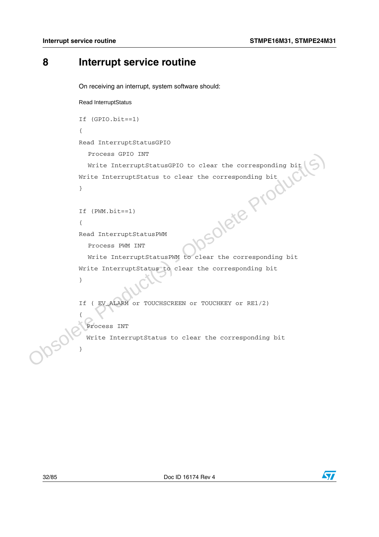## <span id="page-31-0"></span>**8 Interrupt service routine**

On receiving an interrupt, system software should:

#### Read InterruptStatus

```
If (GPIO.bit==1) 
               { 
               Read InterruptStatusGPIO 
                  Process GPIO INT
                  Write InterruptStatusGPIO to clear the corresponding bit
               Write InterruptStatus to clear the corresponding bit
               }
               If (PWM.bit==1) 
               { 
               Read InterruptStatusPWM
                  Process PWM INT
                  Write InterruptStatusPWM to clear the corresponding bit
               Write InterruptStatus to clear the corresponding bit
               }
               If ( EV_ALARM or TOUCHSCREEN or TOUCHKEY or RE1/2)
               {
                   Process INT
                   Write InterruptStatus to clear the corresponding bit
-sponding bit<br>
(xWM.bit==1)<br>
{<br>
Read InterruptStatusPWM<br>
Process PWM INT<br>
Write InterruptStatusPWM to clear the corresponding bit<br>
Write InterruptStatus to clear the corresponding bit<br>
{<br>
Process INT<br>
Write InterruptStatus
```


}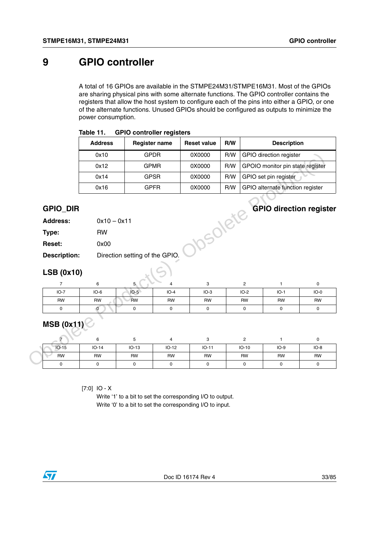## <span id="page-32-0"></span>**9 GPIO controller**

A total of 16 GPIOs are available in the STMPE24M31/STMPE16M31. Most of the GPIOs are sharing physical pins with some alternate functions. The GPIO controller contains the registers that allow the host system to configure each of the pins into either a GPIO, or one of the alternate functions. Unused GPIOs should be configured as outputs to minimize the power consumption.

|                                        | <b>Address</b>              |                                | <b>Register name</b> | <b>Reset value</b>   | R/W |                       | <b>Description</b>               |                                    |
|----------------------------------------|-----------------------------|--------------------------------|----------------------|----------------------|-----|-----------------------|----------------------------------|------------------------------------|
|                                        | 0x10                        |                                | <b>GPDR</b>          | 0X0000               | R/W |                       | <b>GPIO</b> direction register   |                                    |
|                                        | 0x12                        |                                | <b>GPMR</b>          | 0X0000               | R/W |                       | GPOIO monitor pin state register |                                    |
|                                        | 0x14                        |                                | <b>GPSR</b>          | 0X0000               | R/W |                       | GPIO set pin register            |                                    |
|                                        | 0x16                        |                                | <b>GPFR</b>          | 0X0000               | R/W |                       | GPIO alternate function register |                                    |
| <b>GPIO_DIR</b><br><b>Address:</b>     | $0x10 - 0x11$               |                                |                      | <b>10SOlete</b>      |     |                       | <b>GPIO direction register</b>   |                                    |
| Type:                                  | <b>RW</b>                   |                                |                      |                      |     |                       |                                  |                                    |
| Reset:                                 | 0x00                        |                                |                      |                      |     |                       |                                  |                                    |
| <b>Description:</b>                    |                             | Direction setting of the GPIO. |                      |                      |     |                       |                                  |                                    |
|                                        |                             |                                |                      |                      |     |                       |                                  |                                    |
|                                        |                             |                                |                      |                      |     |                       |                                  |                                    |
| 7                                      | 6                           | 5                              | 4                    | 3                    |     | $\overline{2}$        | $\mathbf{1}$                     | $\mathbf 0$                        |
| $IO-7$                                 | $IO-6$                      | $IO-5$                         | $IO-4$               | $IO-3$               |     | $IO-2$                | $IO-1$                           |                                    |
| <b>RW</b><br>0                         | <b>RW</b><br>$\overline{0}$ | <b>RW</b><br>$\mathbf 0$       | <b>RW</b><br>0       | <b>RW</b><br>0       |     | <b>RW</b><br>0        | <b>RW</b><br>0                   | $\mathbf 0$                        |
| <b>LSB (0x10)</b><br><b>MSB (0x11)</b> |                             |                                |                      |                      |     |                       |                                  |                                    |
| $\overline{7}$                         | 6                           | 5                              | $\overline{4}$       | 3                    |     | $\mathbf{2}^{\prime}$ | $\mathbf{1}$                     | $IO-0$<br><b>RW</b><br>$\mathsf 0$ |
| $IO-15$<br><b>RW</b>                   | $IO-14$<br><b>RW</b>        | $IO-13$<br><b>RW</b>           | $IO-12$<br><b>RW</b> | $IO-11$<br><b>RW</b> |     | $IO-10$<br><b>RW</b>  | $IO-9$<br><b>RW</b>              | $IO-8$<br><b>RW</b>                |

#### **Table 11. GPIO controller registers**

#### **GPIO\_DIR GPIO direction register**

| <b>Address:</b> | $0x10 - 0x11$ |
|-----------------|---------------|
|-----------------|---------------|

| Type:         | RW                             |
|---------------|--------------------------------|
| <b>Reset:</b> | 0x00                           |
| Description:  | Direction setting of the GPIO. |

#### **LSB (0x10)**

| $IO-7$    | $IO-6$    | $IO-5$    | $IO-4$    | $IO-3$    | $IO-2$    | $IO-1$    | $IO-0$    |
|-----------|-----------|-----------|-----------|-----------|-----------|-----------|-----------|
| <b>RW</b> | <b>RW</b> | <b>RW</b> | <b>RW</b> | <b>RW</b> | <b>RW</b> | <b>RW</b> | <b>RW</b> |
|           |           |           |           |           |           |           |           |

## **MSB (0x11)**

| $IO-15$   | $IO-14$ | $IO-13$   | $IO-12$ | $IO-11$   | $IO-10$ | $IO-9$    | $IO-8$ |
|-----------|---------|-----------|---------|-----------|---------|-----------|--------|
| <b>RW</b> | RW      | <b>RW</b> | RW      | <b>RW</b> | RW      | <b>RW</b> | RW     |
|           |         |           |         |           |         |           |        |

[7:0] IO - X

Write '1' to a bit to set the corresponding I/O to output. Write '0' to a bit to set the corresponding I/O to input.

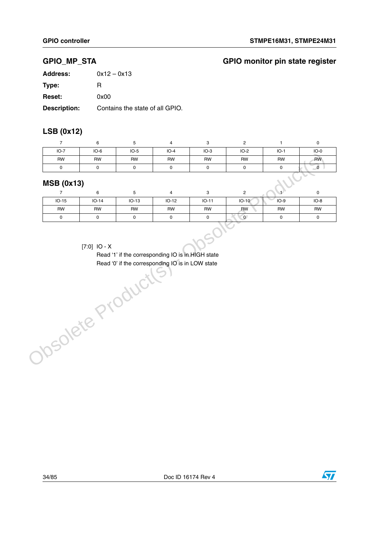### **GPIO\_MP\_STA GPIO monitor pin state register**

| <b>Address:</b>     | $0x12 - 0x13$                   |
|---------------------|---------------------------------|
| Type:               | н                               |
| <b>Reset:</b>       | 0x00                            |
| <b>Description:</b> | Contains the state of all GPIO. |

### **LSB (0x12)**

| $IO-7$            | $IO-6$    | $IO-5$    | $IO-4$    | $IO-3$    | IO-2      | $IO-1$    | $IO-0$    |
|-------------------|-----------|-----------|-----------|-----------|-----------|-----------|-----------|
| <b>RW</b>         | <b>RW</b> | <b>RW</b> | <b>RW</b> | <b>RW</b> | <b>RW</b> | <b>RW</b> | <b>RW</b> |
|                   |           |           |           |           |           |           |           |
| <b>MSB (0x13)</b> | c         |           |           | C         | C         |           | $\sim$    |

#### **MSB (0x13)**

|           | 6              | э         | 4         | 3         | ິ         |           |           |
|-----------|----------------|-----------|-----------|-----------|-----------|-----------|-----------|
| $IO-15$   | $IO-14$        | $IO-13$   | $IO-12$   | $IO-11$   | $IO-10$   | $IO-9$    | $IO-8$    |
| <b>RW</b> | RW             | <b>RW</b> | <b>RW</b> | <b>RW</b> | <b>RW</b> | <b>RW</b> | <b>RW</b> |
| 0         |                |           | 0         |           | $\Omega$  |           |           |
|           | $[7:0]$ IO - X |           |           |           |           |           |           |

#### [7:0] IO - X

Read '1' if the corresponding IO is in HIGH state Read '0' if the corresponding IO is in LOW stateObsolete Product



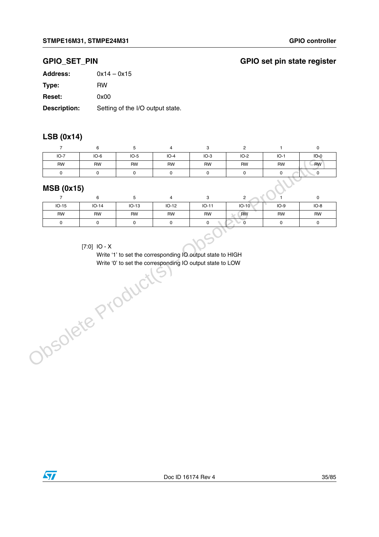### **GPIO\_SET\_PIN GPIO set pin state register**

| <b>Address:</b>     | $0x14 - 0x15$                    |
|---------------------|----------------------------------|
| Type:               | <b>RW</b>                        |
| <b>Reset:</b>       | 0x00                             |
| <b>Description:</b> | Setting of the I/O output state. |

### **LSB (0x14)**

| $IO-7$                                                                           | $IO-6$    | $IO-5$    | $IO-4$    | $IO-3$    | $IO-2$    | $IO-1$    | $IO-0$    |  |
|----------------------------------------------------------------------------------|-----------|-----------|-----------|-----------|-----------|-----------|-----------|--|
| <b>RW</b>                                                                        | <b>RW</b> | <b>RW</b> | <b>RW</b> | <b>RW</b> | <b>RW</b> | <b>RW</b> | <b>RW</b> |  |
| 0                                                                                |           |           |           |           |           |           |           |  |
| <b>MSB (0x15)</b><br><b>Contract Contract</b><br>$\sim$<br>C<br>$\sim$<br>$\sim$ |           |           |           |           |           |           |           |  |

#### **MSB (0x15)**

|                    | 6         |           | 4       |           | C         |           |           |  |
|--------------------|-----------|-----------|---------|-----------|-----------|-----------|-----------|--|
| $IO-15$            | $IO-14$   | $IO-13$   | $IO-12$ | $IO-11$   | $IO-10$   | $IO-9$    | $IO-8$    |  |
| <b>RW</b>          | <b>RW</b> | <b>RW</b> | RW      | <b>RW</b> | <b>RW</b> | <b>RW</b> | <b>RW</b> |  |
| 0                  |           |           | O       | 0         |           |           |           |  |
| $17.01$ $10.5$ $x$ |           |           |         |           |           |           |           |  |

#### [7:0] IO - X

Write '1' to set the corresponding IO output state to HIGH Write '0' to set the corresponding IO output state to LOWObsolete Product(s)

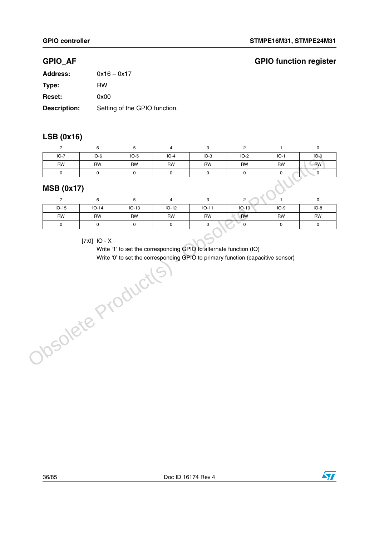### **GPIO\_AF GPIO function register**

| <b>Address:</b> | $0x16 - 0x17$                 |
|-----------------|-------------------------------|
| Type:           | RW                            |
| <b>Reset:</b>   | 0x00                          |
| Description:    | Setting of the GPIO function. |

### **LSB (0x16)**

|                           |           |           | 4         |           |           |           |           |  |
|---------------------------|-----------|-----------|-----------|-----------|-----------|-----------|-----------|--|
| $IO-7$                    | $IO-6$    | $IO-5$    | $IO-4$    | $IO-3$    | $IO-2$    | $IO-1$    | $IO-0$    |  |
| <b>RW</b>                 | <b>RW</b> | <b>RW</b> | <b>RW</b> | <b>RW</b> | <b>RW</b> | <b>RW</b> | <b>RW</b> |  |
|                           |           |           | r         |           |           |           |           |  |
| <b>MSB (0x17)</b><br>- 41 |           |           |           |           |           |           |           |  |

#### **MSB (0x17)**

| $IO-15$ | $IO-14$ | $IO-13$   | $IO-12$ | $IO-11$ | $IO-10$   | $IO-9$    | $IO-8$    |
|---------|---------|-----------|---------|---------|-----------|-----------|-----------|
| RW      | RW      | <b>RW</b> | RW      | RW      | <b>RW</b> | <b>RW</b> | <b>RW</b> |
|         |         |           |         |         |           |           |           |

#### [7:0] IO - X

Write '1' to set the corresponding GPIO to alternate function (IO) Write '0' to set the corresponding GPIO to primary function (capacitive sensor) $[7:0] \quad \text{IO - X}$ <br>
Write '1' to set the corresponding GPIO to alternat<br>
Write '0' to set the corresponding GPIO to primary<br>  $\text{O}(\text{O}(\text{C}))$ 



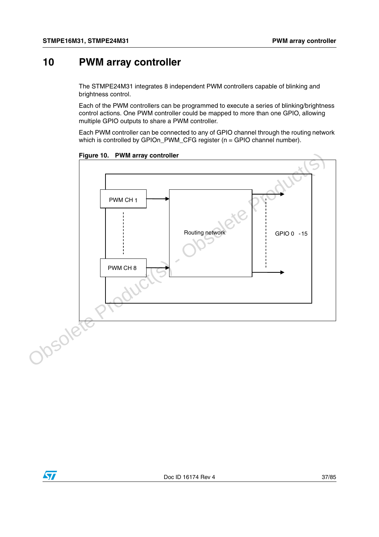# **10 PWM array controller**

The STMPE24M31 integrates 8 independent PWM controllers capable of blinking and brightness control.

Each of the PWM controllers can be programmed to execute a series of blinking/brightness control actions. One PWM controller could be mapped to more than one GPIO, allowing multiple GPIO outputs to share a PWM controller.

Each PWM controller can be connected to any of GPIO channel through the routing network which is controlled by GPIOn\_PWM\_CFG register (n = GPIO channel number).

**Figure 10. PWM array controller**



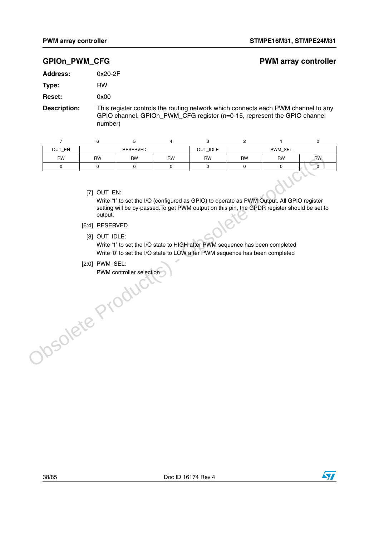### **GPIOn\_PWM\_CFG** extending the part of the part of the PWM array controller

| <b>Address:</b> | $0x20-2F$ |
|-----------------|-----------|
|                 |           |

**Type:** RW

**Reset:** 0x00

**Description:** This register controls the routing network which connects each PWM channel to any GPIO channel. GPIOn\_PWM\_CFG register (n=0-15, represent the GPIO channel number)

| OUT_EN    | <b>RESERVED</b> |           |           | OUT_IDLE  | PWM_SEL   |           |           |
|-----------|-----------------|-----------|-----------|-----------|-----------|-----------|-----------|
| <b>RW</b> | RW              | <b>RW</b> | <b>RW</b> | <b>RW</b> | <b>RW</b> | <b>RW</b> | <b>RW</b> |
|           |                 |           |           |           |           |           |           |

[7] OUT\_EN:

Write '1' to set the I/O (configured as GPIO) to operate as PWM Output. All GPIO register setting will be by-passed.To get PWM output on this pin, the GPDR register should be set to output. The UV of Configured as GPIO) to operate as PWM Output. All GPIO restring will be by-passed. To get PWM output on this pin, the GPDR register should to evaluate.<br>
The CPDR register should to the UV of the UV of the UV of t

- [6:4] RESERVED
	- [3] OUT\_IDLE:

Write '1' to set the I/O state to HIGH after PWM sequence has been completed Write '0' to set the I/O state to LOW after PWM sequence has been completed

[2:0] PWM\_SEL:

PWM controller selection



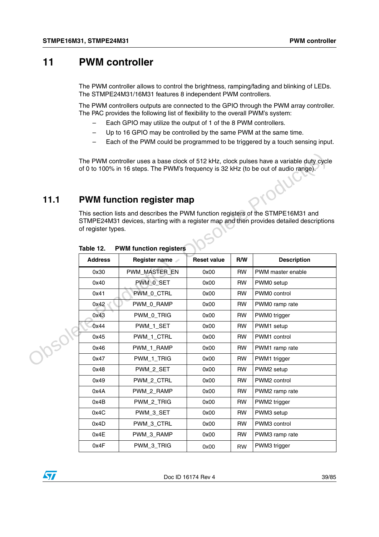# **11 PWM controller**

The PWM controller allows to control the brightness, ramping/fading and blinking of LEDs. The STMPE24M31/16M31 features 8 independent PWM controllers.

The PWM controllers outputs are connected to the GPIO through the PWM array controller. The PAC provides the following list of flexibility to the overall PWM's system:

- Each GPIO may utilize the output of 1 of the 8 PWM controllers.
- Up to 16 GPIO may be controlled by the same PWM at the same time.
- Each of the PWM could be programmed to be triggered by a touch sensing input.

## **11.1 PWM function register map**

| 11.1   |                                                                                                                                                                                                                                                   | of 0 to 100% in 16 steps. The PWM's frequency is 32 kHz (to be out of audio range).<br><b>PWM function register map</b> |                    |           | The PWM controller uses a base clock of 512 kHz, clock pulses have a variable duty cycle<br>aroduct |  |  |  |  |  |  |
|--------|---------------------------------------------------------------------------------------------------------------------------------------------------------------------------------------------------------------------------------------------------|-------------------------------------------------------------------------------------------------------------------------|--------------------|-----------|-----------------------------------------------------------------------------------------------------|--|--|--|--|--|--|
|        | This section lists and describes the PWM function registers of the STMPE16M31 and<br>STMPE24M31 devices, starting with a register map and then provides detailed descriptions<br>of register types.<br>Table 12.<br><b>PWM function registers</b> |                                                                                                                         |                    |           |                                                                                                     |  |  |  |  |  |  |
|        | <b>Address</b>                                                                                                                                                                                                                                    | Register name                                                                                                           | <b>Reset value</b> | R/W       | <b>Description</b>                                                                                  |  |  |  |  |  |  |
|        | 0x30                                                                                                                                                                                                                                              | PWM MASTER EN                                                                                                           | 0x00               | <b>RW</b> | PWM master enable                                                                                   |  |  |  |  |  |  |
|        | 0x40                                                                                                                                                                                                                                              | PWM_0_SET                                                                                                               | 0x00               | <b>RW</b> | PWM0 setup                                                                                          |  |  |  |  |  |  |
|        | 0x41                                                                                                                                                                                                                                              | PWM_0_CTRL                                                                                                              | 0x00               | <b>RW</b> | PWM0 control                                                                                        |  |  |  |  |  |  |
|        | 0x42                                                                                                                                                                                                                                              | PWM 0_RAMP                                                                                                              | 0x00               | <b>RW</b> | PWM0 ramp rate                                                                                      |  |  |  |  |  |  |
|        | 0x43                                                                                                                                                                                                                                              | PWM_0_TRIG                                                                                                              | 0x00               | <b>RW</b> | PWM0 trigger                                                                                        |  |  |  |  |  |  |
| J05019 | 0x44                                                                                                                                                                                                                                              | PWM_1_SET                                                                                                               | 0x00               | <b>RW</b> | PWM1 setup                                                                                          |  |  |  |  |  |  |
|        | 0x45                                                                                                                                                                                                                                              | PWM_1_CTRL                                                                                                              | 0x00               | <b>RW</b> | PWM1 control                                                                                        |  |  |  |  |  |  |
|        | 0x46                                                                                                                                                                                                                                              | PWM_1_RAMP                                                                                                              | 0x00               | <b>RW</b> | PWM1 ramp rate                                                                                      |  |  |  |  |  |  |
|        | 0x47                                                                                                                                                                                                                                              | PWM_1_TRIG                                                                                                              | 0x00               | <b>RW</b> | PWM1 trigger                                                                                        |  |  |  |  |  |  |
|        | 0x48                                                                                                                                                                                                                                              | PWM_2_SET                                                                                                               | 0x00               | <b>RW</b> | PWM2 setup                                                                                          |  |  |  |  |  |  |
|        | 0x49                                                                                                                                                                                                                                              | PWM 2 CTRL                                                                                                              | 0x00               | <b>RW</b> | PWM2 control                                                                                        |  |  |  |  |  |  |
|        | 0x4A                                                                                                                                                                                                                                              | PWM_2_RAMP                                                                                                              | 0x00               | <b>RW</b> | PWM2 ramp rate                                                                                      |  |  |  |  |  |  |
|        | 0x4B                                                                                                                                                                                                                                              | PWM_2_TRIG                                                                                                              | 0x00               | <b>RW</b> | PWM2 trigger                                                                                        |  |  |  |  |  |  |
|        | 0x4C                                                                                                                                                                                                                                              | PWM_3_SET                                                                                                               | 0x00               | <b>RW</b> | PWM3 setup                                                                                          |  |  |  |  |  |  |
|        | 0x4D                                                                                                                                                                                                                                              | PWM_3_CTRL                                                                                                              | 0x00               | RW        | PWM3 control                                                                                        |  |  |  |  |  |  |
|        | 0x4E                                                                                                                                                                                                                                              | PWM_3_RAMP                                                                                                              | 0x00               | <b>RW</b> | PWM3 ramp rate                                                                                      |  |  |  |  |  |  |
|        | 0x4F                                                                                                                                                                                                                                              | PWM_3_TRIG                                                                                                              | 0x00               | <b>RW</b> | PWM3 trigger                                                                                        |  |  |  |  |  |  |

**Table 12. PWM function registers**

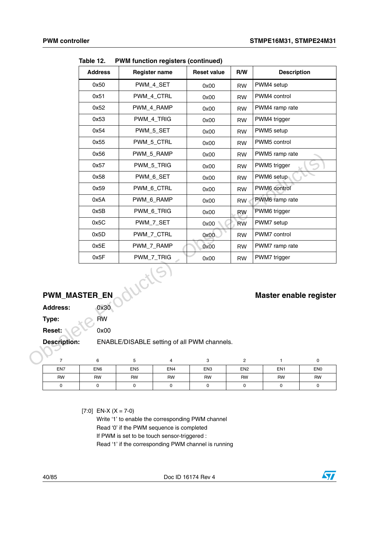|                     | <b>Address</b>               |                              | <b>Register name</b> | <b>Reset value</b>                          | R/W                          | <b>Description</b>            |                              |
|---------------------|------------------------------|------------------------------|----------------------|---------------------------------------------|------------------------------|-------------------------------|------------------------------|
|                     | 0x50                         | PWM_4_SET                    |                      | 0x00                                        | <b>RW</b>                    | PWM4 setup                    |                              |
|                     | 0x51                         | PWM_4_CTRL                   |                      | 0x00                                        | <b>RW</b>                    | PWM4 control                  |                              |
|                     | 0x52                         | PWM_4_RAMP                   |                      | 0x00                                        | <b>RW</b>                    | PWM4 ramp rate                |                              |
|                     | 0x53                         | PWM_4_TRIG                   |                      | 0x00                                        | <b>RW</b>                    | PWM4 trigger                  |                              |
|                     | 0x54                         | PWM_5_SET                    |                      | 0x00                                        | <b>RW</b>                    | PWM5 setup                    |                              |
|                     | 0x55                         | PWM_5_CTRL                   |                      | 0x00                                        | <b>RW</b>                    | PWM5 control                  |                              |
|                     | 0x56                         | PWM_5_RAMP                   |                      | 0x00                                        | <b>RW</b>                    | PWM5 ramp rate                |                              |
|                     | 0x57                         | PWM_5_TRIG                   |                      | 0x00                                        | <b>RW</b>                    | PWM5 trigger                  |                              |
|                     | 0x58                         | PWM_6_SET                    |                      | 0x00                                        | <b>RW</b>                    | PWM6 setup                    |                              |
|                     | 0x59                         | PWM_6_CTRL                   |                      | 0x00                                        | <b>RW</b>                    | PWM6 control                  |                              |
|                     | 0x5A                         | PWM_6_RAMP                   |                      | 0x00                                        | <b>RW</b>                    | PWM6 ramp rate                |                              |
|                     | 0x5B                         | PWM_6_TRIG                   |                      | 0x00                                        | <b>RW</b>                    | PWM6 trigger                  |                              |
|                     | 0x5C                         | PWM_7_SET                    |                      | 0x00                                        | <b>RW</b>                    | PWM7 setup                    |                              |
|                     | 0x5D                         | PWM_7_CTRL                   |                      | 0x00                                        | <b>RW</b>                    | PWM7 control                  |                              |
|                     | 0x5E                         | PWM_7_RAMP                   |                      | 0x00                                        | <b>RW</b>                    | PWM7 ramp rate                |                              |
|                     | 0x5F                         | PWM_7_TRIG                   |                      | 0x00                                        | <b>RW</b>                    | PWM7 trigger                  |                              |
|                     | <b>PWM_MASTER_EN</b>         | ductle                       |                      |                                             |                              | <b>Master enable register</b> |                              |
| <b>Address:</b>     | 0x30                         |                              |                      |                                             |                              |                               |                              |
| Type:               | <b>RW</b>                    |                              |                      |                                             |                              |                               |                              |
| Reset:              | 0x00                         |                              |                      |                                             |                              |                               |                              |
| <b>Description:</b> |                              |                              |                      | ENABLE/DISABLE setting of all PWM channels. |                              |                               |                              |
|                     |                              |                              |                      |                                             |                              |                               |                              |
| 7                   | 6                            | $\mathbf 5$                  | 4                    | 3                                           | $\overline{\mathbf{c}}$      | 1                             | $\mathsf{O}\xspace$          |
| EN7<br><b>RW</b>    | EN <sub>6</sub><br><b>RW</b> | EN <sub>5</sub><br><b>RW</b> | EN4<br><b>RW</b>     | EN <sub>3</sub><br><b>RW</b>                | EN <sub>2</sub><br><b>RW</b> | EN <sub>1</sub><br><b>RW</b>  | EN <sub>0</sub><br><b>RW</b> |
|                     | $\sim$                       | $\sim$                       | $\sim$               | $\sim$                                      | $\Omega$                     | $\sim$                        | $\sim$                       |

**Table 12. PWM function registers (continued)**

# **PWM\_MASTER\_EN Master enable register**

| EN7 | EN <sub>6</sub> | EN <sub>5</sub> | EN4       | EN <sub>3</sub> | EN <sub>2</sub> | EN <sub>1</sub> | EN <sub>0</sub> |
|-----|-----------------|-----------------|-----------|-----------------|-----------------|-----------------|-----------------|
| RW  | RW              | <b>RW</b>       | <b>RW</b> | RW              | <b>RW</b>       | <b>RW</b>       | <b>RW</b>       |
|     |                 |                 |           |                 |                 |                 |                 |

 $[7:0]$  EN-X (X = 7-0)

Write '1' to enable the corresponding PWM channel Read '0' if the PWM sequence is completed If PWM is set to be touch sensor-triggered : Read '1' if the corresponding PWM channel is running

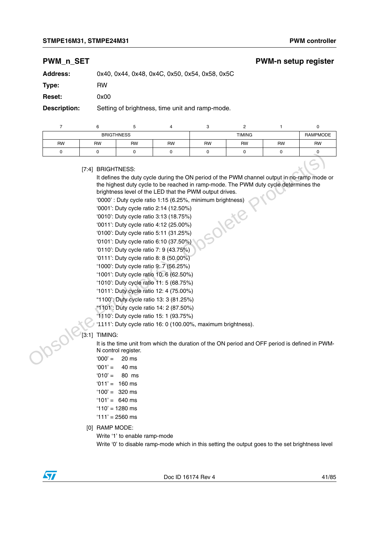## **PWM\_n\_SET** PWM-n setup register

| <b>Address:</b>     | 0x40, 0x44, 0x48, 0x4C, 0x50, 0x54, 0x58, 0x5C  |
|---------------------|-------------------------------------------------|
| Type:               | RW                                              |
| <b>Reset:</b>       | 0x00                                            |
| <b>Description:</b> | Setting of brightness, time unit and ramp-mode. |
|                     |                                                 |

| <b>BRIGTHNESS</b> |           |           |           |           | <b>TIMING</b> |           | RAMPMODE  |
|-------------------|-----------|-----------|-----------|-----------|---------------|-----------|-----------|
| <b>RW</b>         | <b>RW</b> | <b>RW</b> | <b>RW</b> | <b>RW</b> | <b>RW</b>     | <b>RW</b> | <b>RW</b> |
| u                 |           |           |           |           |               |           |           |

[7:4] BRIGHTNESS:

It defines the duty cycle during the ON period of the PWM channel output in no-ramp mode or the highest duty cycle to be reached in ramp-mode. The PWM duty cycle determines the brightness level of the LED that the PWM output drives. Traditional Backlete Production (S) - Observation (S) - Observation (S) - Observation (S) - Observation (S) - Observation (S) - Observation (S) - Observation (S) - Observation (S) - Observation (S) - Observation (S) - Obs

'0000' : Duty cycle ratio 1:15 (6.25%, minimum brightness)<br>'0001': Duty cycle ratio 2:14 (12.50%)<br>'0010': Duty cycle ratio 3:13 (18.75%)<br>'0011': Duty cycle ratio 4:12 (25.00%)<br>'0100': Duty cycle ratio 5:11 (22.00%)

'0001': Duty cycle ratio 2:14 (12.50%)

- '0010': Duty cycle ratio 3:13 (18.75%)
- '0011': Duty cycle ratio 4:12 (25.00%)
- '0100': Duty cycle ratio 5:11 (31.25%)
- '0101': Duty cycle ratio 6:10 (37.50%)
- '0110': Duty cycle ratio 7: 9 (43.75%)
- '0111': Duty cycle ratio 8: 8 (50.00%)
- '1000': Duty cycle ratio 9: 7 (56.25%)
- '1001': Duty cycle ratio 10: 6 (62.50%)
- '1010': Duty cycle ratio 11: 5 (68.75%)
- '1011': Duty cycle ratio 12: 4 (75.00%)
- "1100': Duty cycle ratio 13: 3 (81.25%)
- "1101': Duty cycle ratio 14: 2 (87.50%)
- '1110': Duty cycle ratio 15: 1 (93.75%)
- '1111': Duty cycle ratio 16: 0 (100.00%, maximum brightness).

### [3:1] TIMING:

It is the time unit from which the duration of the ON period and OFF period is defined in PWM-N control register.

- $'000' = 20$  ms
- $'001' = 40$  ms
- $'010' = 80$  ms
- $'011' = 160$  ms
- $'100' = 320$  ms
- $'101' = 640$  ms
- '110' = 1280 ms
- $'111' = 2560$  ms
- [0] RAMP MODE:

Write '1' to enable ramp-mode

Write '0' to disable ramp-mode which in this setting the output goes to the set brightness level

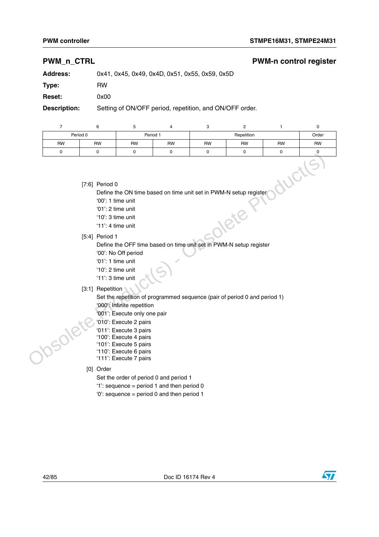## **PWM\_n\_CTRL PWM-n control register**

**Address:** 0x41, 0x45, 0x49, 0x4D, 0x51, 0x55, 0x59, 0x5D

**Type:** RW

**Reset:** 0x00

**Description:** Setting of ON/OFF period, repetition, and ON/OFF order.

|           | 6              | 5                  |           | 3                                                                 |            |           | 0         |
|-----------|----------------|--------------------|-----------|-------------------------------------------------------------------|------------|-----------|-----------|
|           | Period 0       |                    | Period 1  |                                                                   | Repetition |           | Order     |
| <b>RW</b> | <b>RW</b>      | <b>RW</b>          | <b>RW</b> | <b>RW</b>                                                         | <b>RW</b>  | <b>RW</b> | <b>RW</b> |
| 0         |                |                    | 0         |                                                                   |            | 0         |           |
|           | [7:6] Period 0 | $(00'$ 1 time unit |           | Define the ON time based on time unit set in PWM-N setup register |            |           |           |

- '00': 1 time unit
- '01': 2 time unit
- '10': 3 time unit
- '11': 4 time unit
- [5:4] Period 1

Define the OFF time based on time unit set in PWM-N setup register

- '00': No Off period
- '01': 1 time unit
- '10': 2 time unit '11': 3 time unit

[3:1] Repetition

Set the repetition of programmed sequence (pair of period 0 and period 1) '000': Infinite repetition (7:6) Period 0<br>
Define the ON time based on time unit set in PWM-N setup register<br>
00 : 1 : Deriva unit<br>
10 : 3 time unit<br>
11 : 3 time unit<br>
154) Period 1<br>
Define the OFF time based on time unit set in PWM-N setup register

- '001': Execute only one pair
- '010': Execute 2 pairs
- '011': Execute 3 pairs
- '100': Execute 4 pairs
- '101': Execute 5 pairs
- '110': Execute 6 pairs '111': Execute 7 pairs
- 
- [0] Order

Set the order of period 0 and period 1

- '1': sequence = period 1 and then period 0
- '0': sequence = period 0 and then period 1

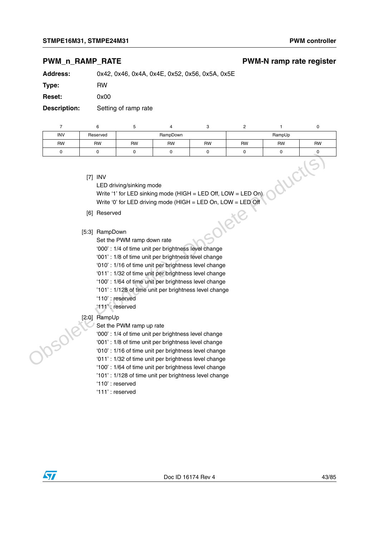## **PWM\_n\_RAMP\_RATE** example a part of the PWM-N ramp rate register

**Address:** 0x42, 0x46, 0x4A, 0x4E, 0x52, 0x56, 0x5A, 0x5E

**Type:** RW

**Reset:** 0x00

**Description:** Setting of ramp rate

| <b>INV</b> | Reserved  | RampDown  |           |           | RampUp    |           |           |  |
|------------|-----------|-----------|-----------|-----------|-----------|-----------|-----------|--|
| <b>RW</b>  | <b>RW</b> | <b>RW</b> | <b>RW</b> | <b>RW</b> | <b>RW</b> | <b>RW</b> | <b>RW</b> |  |
|            |           |           |           |           |           |           |           |  |

[7] INV

LED driving/sinking mode Write '1' for LED sinking mode (HIGH = LED Off, LOW = LED On) Write '0' for LED driving mode (HIGH = LED On, LOW = LED Off  $\text{RampDown}$ <br>
Set the PWM ramp down rate<br>
'000' : 1/4 of time unit per brightness level change Tri INV<br>
CEO driving/sinkling mode<br>
Write "0" for LED sinking mode (HIGH = LED Off, LOW = LED On)<br>
Write "0" for LED driving mode (HIGH = LED Off, LOW = LED On)<br>
(6) Reserved<br>
Set the PVM ramp down rate<br>
200°: 1/4 of time

- [6] Reserved
- [5:3] RampDown
	- Set the PWM ramp down rate
	-
	- '001' : 1/8 of time unit per brightness level change
	- '010' : 1/16 of time unit per brightness level change
	- '011' : 1/32 of time unit per brightness level change
	- '100' : 1/64 of time unit per brightness level change
	- '101' : 1/128 of time unit per brightness level change
	- '110' : reserved
	- '111' : reserved
- [2:0] RampUp
	- Set the PWM ramp up rate
	- '000' : 1/4 of time unit per brightness level change
	- '001' : 1/8 of time unit per brightness level change
	- '010' : 1/16 of time unit per brightness level change
	- '011' : 1/32 of time unit per brightness level change
	- '100' : 1/64 of time unit per brightness level change
	- '101' : 1/128 of time unit per brightness level change
	- '110' : reserved
	- '111' : reserved

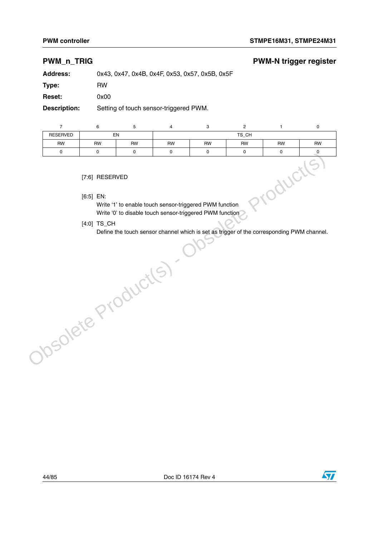## **PWM\_n\_TRIG PWM-N trigger register**

**Address:** 0x43, 0x47, 0x4B, 0x4F, 0x53, 0x57, 0x5B, 0x5F

**Type:** RW

**Reset:** 0x00

**Description:** Setting of touch sensor-triggered PWM.

|                                                                                                                     | 6                             | 5         |           | 3         | っ         |           |           |  |  |  |
|---------------------------------------------------------------------------------------------------------------------|-------------------------------|-----------|-----------|-----------|-----------|-----------|-----------|--|--|--|
| <b>RESERVED</b>                                                                                                     |                               | EN        |           |           | TS CH     |           |           |  |  |  |
| <b>RW</b>                                                                                                           | <b>RW</b>                     | <b>RW</b> | <b>RW</b> | <b>RW</b> | <b>RW</b> | <b>RW</b> | <b>RW</b> |  |  |  |
| 0                                                                                                                   | $\Omega$                      |           | $\Omega$  | O         |           | 0         |           |  |  |  |
|                                                                                                                     | [7:6] RESERVED<br>$[6:5]$ EN: |           |           |           |           |           |           |  |  |  |
| Write '1' to enable touch sensor-triggered PWM function<br>Write '0' to disable touch sensor-triggered PWM function |                               |           |           |           |           |           |           |  |  |  |

[4:0] TS\_CH

Define the touch sensor channel which is set as trigger of the corresponding PWM channel.Obsolete Product(s)



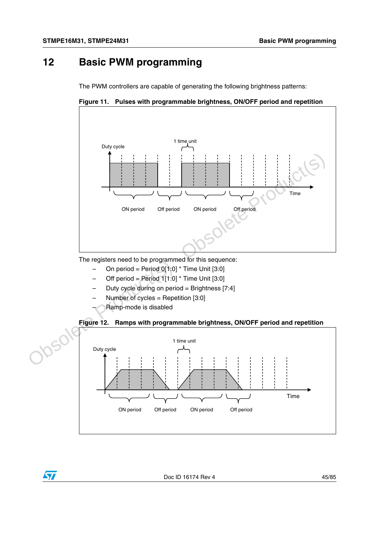# **12 Basic PWM programming**

The PWM controllers are capable of generating the following brightness patterns:





The registers need to be programmed for this sequence:

- On period = Period  $0[1:0]$  \* Time Unit [3:0]
- Off period = Period  $1[1:0]$  \* Time Unit [3:0]
- Duty cycle during on period = Brightness  $[7:4]$
- Number of cycles = Repetition [3:0]
- Ramp-mode is disabled

 $\sqrt{2}$ 



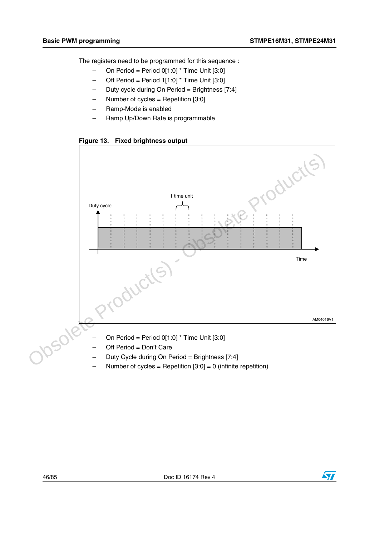The registers need to be programmed for this sequence :

- $-$  On Period = Period 0[1:0] \* Time Unit [3:0]
- $-$  Off Period = Period 1[1:0]  $*$  Time Unit [3:0]
- Duty cycle during On Period = Brightness [7:4]
- Number of cycles = Repetition  $[3:0]$
- Ramp-Mode is enabled
- Ramp Up/Down Rate is programmable

**Figure 13. Fixed brightness output**



- On Period = Period  $0[1:0]$  \* Time Unit  $[3:0]$
- Off Period = Don't Care
- Duty Cycle during On Period = Brightness [7:4]
- Number of cycles = Repetition  $[3:0] = 0$  (infinite repetition)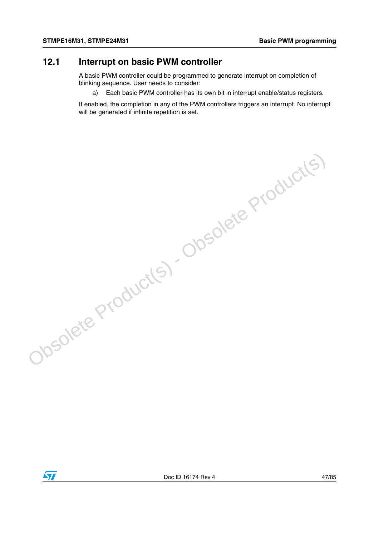# **12.1 Interrupt on basic PWM controller**

A basic PWM controller could be programmed to generate interrupt on completion of blinking sequence. User needs to consider:

Obsolete Product(s) - Obsolete Product(s)

a) Each basic PWM controller has its own bit in interrupt enable/status registers.

If enabled, the completion in any of the PWM controllers triggers an interrupt. No interrupt will be generated if infinite repetition is set.

 $\sqrt{1}$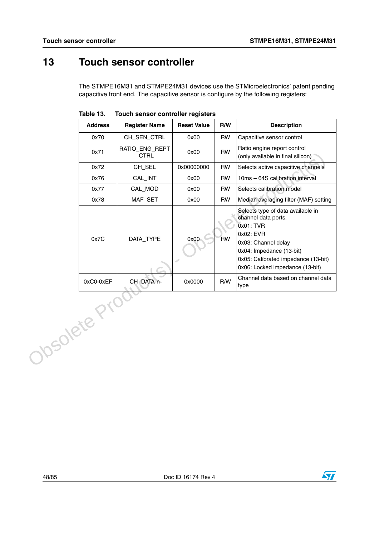# **13 Touch sensor controller**

The STMPE16M31 and STMPE24M31 devices use the STMicroelectronics' patent pending capacitive front end. The capacitive sensor is configure by the following registers:

| <b>Address</b> | <b>Register Name</b>       | <b>Reset Value</b> | R/W       | <b>Description</b>                                                                                                                                                                                              |
|----------------|----------------------------|--------------------|-----------|-----------------------------------------------------------------------------------------------------------------------------------------------------------------------------------------------------------------|
| 0x70           | CH_SEN_CTRL                | 0x00               | <b>RW</b> | Capacitive sensor control                                                                                                                                                                                       |
| 0x71           | RATIO_ENG_REPT<br>$_C$ TRL | 0x00               | <b>RW</b> | Ratio engine report control<br>(only available in final silicon)                                                                                                                                                |
| 0x72           | CH_SEL                     | 0x00000000         | <b>RW</b> | Selects active capacitive channels                                                                                                                                                                              |
| 0x76           | CAL_INT                    | 0x00               | <b>RW</b> | 10ms - 64S calibration interval                                                                                                                                                                                 |
| 0x77           | CAL_MOD                    | 0x00               | <b>RW</b> | Selects calibration model                                                                                                                                                                                       |
| 0x78           | MAF_SET                    | 0x00               | <b>RW</b> | Median averaging filter (MAF) setting                                                                                                                                                                           |
| 0x7C           | DATA_TYPE                  | 0x00               | <b>RW</b> | Selects type of data available in<br>channel data ports.<br>0x01: TVR<br>0x02: EVR<br>0x03: Channel delay<br>0x04: Impedance (13-bit)<br>0x05: Calibrated impedance (13-bit)<br>0x06: Locked impedance (13-bit) |
| 0xC0-0xEF      | CH_DATA-n                  | 0x0000             | R/W       | Channel data based on channel data<br>type                                                                                                                                                                      |
| Josolete P.    |                            |                    |           |                                                                                                                                                                                                                 |

**Table 13. Touch sensor controller registers**

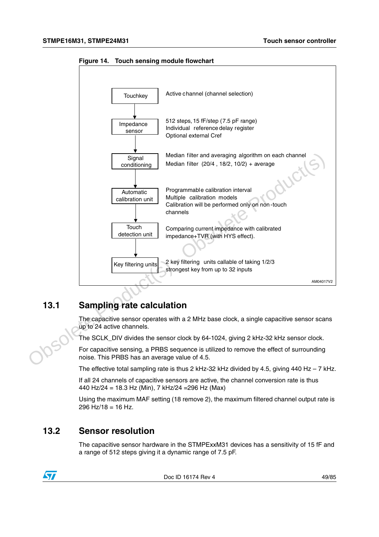

**Figure 14. Touch sensing module flowchart**

## **13.1 Sampling rate calculation**

The capacitive sensor operates with a 2 MHz base clock, a single capacitive sensor scans up to 24 active channels.

The SCLK\_DIV divides the sensor clock by 64-1024, giving 2 kHz-32 kHz sensor clock.

For capacitive sensing, a PRBS sequence is utilized to remove the effect of surrounding noise. This PRBS has an average value of 4.5.

The effective total sampling rate is thus 2 kHz-32 kHz divided by 4.5, giving 440 Hz  $-7$  kHz.

If all 24 channels of capacitive sensors are active, the channel conversion rate is thus 440 Hz/24 = 18.3 Hz (Min), 7 kHz/24 =296 Hz (Max)

Using the maximum MAF setting (18 remove 2), the maximum filtered channel output rate is 296 Hz/18 = 16 Hz.

## **13.2 Sensor resolution**

The capacitive sensor hardware in the STMPExxM31 devices has a sensitivity of 15 fF and a range of 512 steps giving it a dynamic range of 7.5 pF.



Doc ID 16174 Rev 4 49/85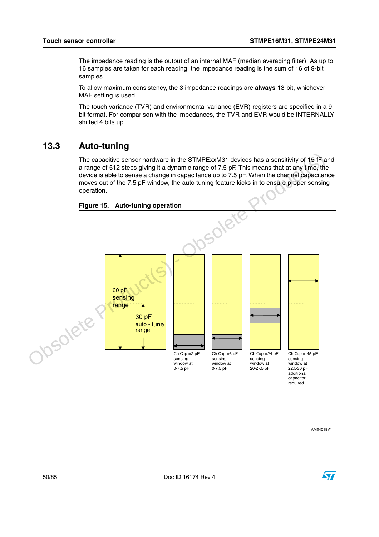The impedance reading is the output of an internal MAF (median averaging filter). As up to 16 samples are taken for each reading, the impedance reading is the sum of 16 of 9-bit samples.

To allow maximum consistency, the 3 impedance readings are **always** 13-bit, whichever MAF setting is used.

The touch variance (TVR) and environmental variance (EVR) registers are specified in a 9 bit format. For comparison with the impedances, the TVR and EVR would be INTERNALLY shifted 4 bits up.

## **13.3 Auto-tuning**

The capacitive sensor hardware in the STMPExxM31 devices has a sensitivity of 15 fF and a range of 512 steps giving it a dynamic range of 7.5 pF. This means that at any time, the device is able to sense a change in capacitance up to 7.5 pF. When the channel capacitance moves out of the 7.5 pF window, the auto tuning feature kicks in to ensure proper sensing operation.



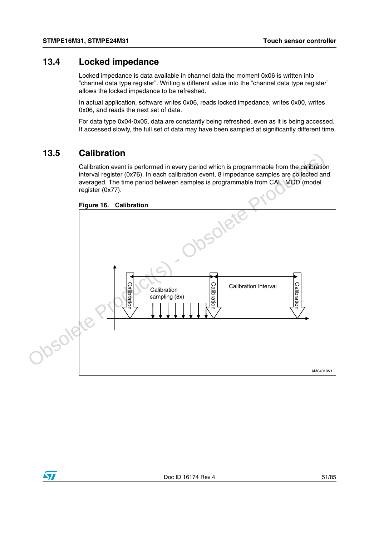## **13.4 Locked impedance**

Locked impedance is data available in channel data the moment 0x06 is written into "channel data type register". Writing a different value into the "channel data type register" allows the locked impedance to be refreshed.

In actual application, software writes 0x06, reads locked impedance, writes 0x00, writes 0x06, and reads the next set of data.

For data type 0x04-0x05, data are constantly being refreshed, even as it is being accessed. If accessed slowly, the full set of data may have been sampled at significantly different time.

## **13.5 Calibration**

Calibration event is performed in every period which is programmable from the calibration interval register (0x76). In each calibration event, 8 impedance samples are collected and averaged. The time period between samples is programmable from CAL\_MOD (model register (0x77).



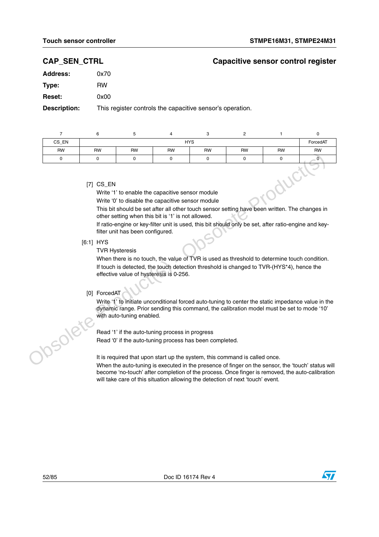## **CAP\_SEN\_CTRL Capacitive sensor control register**

| Address:      | 0x70 |
|---------------|------|
| Type:         | RW   |
| <b>Reset:</b> | 0x00 |
|               |      |

**Description:** This register controls the capacitive sensor's operation.

| CS EN     |                                                                 |           |           | <b>HYS</b> |           |           | ForcedAT  |  |
|-----------|-----------------------------------------------------------------|-----------|-----------|------------|-----------|-----------|-----------|--|
| <b>RW</b> | <b>RW</b>                                                       | <b>RW</b> | <b>RW</b> | <b>RW</b>  | <b>RW</b> | <b>RW</b> | <b>RW</b> |  |
|           |                                                                 |           |           |            |           |           |           |  |
|           | $[7]$ CS_EN<br>Write '1' to enable the capacitive sensor module |           |           |            |           |           |           |  |

Write '0' to disable the capacitive sensor module

This bit should be set after all other touch sensor setting have been written. The changes in other setting when this bit is '1' is not allowed.

If ratio-engine or key-filter unit is used, this bit should only be set, after ratio-engine and keyfilter unit has been configured.

[6:1] HYS

TVR Hysteresis

When there is no touch, the value of TVR is used as threshold to determine touch condition. If touch is detected, the touch detection threshold is changed to TVR-(HYS\*4), hence the effective value of hysteresis is 0-256. Controller Controller Controller Controller Controller Controller Controller Controller Controller Controller Controller Controller Controller Controller Controller Controller Controller Controller Controller Controller Co

### [0] ForcedAT

Write '1' to initiate unconditional forced auto-tuning to center the static impedance value in the dynamic range. Prior sending this command, the calibration model must be set to mode '10' with auto-tuning enabled.

Read '1' if the auto-tuning process in progress Read '0' if the auto-tuning process has been completed.

It is required that upon start up the system, this command is called once.

When the auto-tuning is executed in the presence of finger on the sensor, the 'touch' status will become 'no-touch' after completion of the process. Once finger is removed, the auto-calibration will take care of this situation allowing the detection of next 'touch' event.

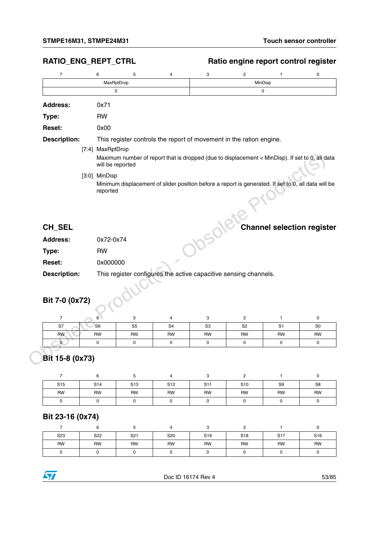## RATIO\_ENG\_REPT\_CTRL Ratio engine report control register

| $\overline{7}$                    | 6                | 5                                                                | 4                                                                                                   | 3              | $\overline{2}$ | $\mathbf{1}$                      | 0                   |  |  |  |  |  |
|-----------------------------------|------------------|------------------------------------------------------------------|-----------------------------------------------------------------------------------------------------|----------------|----------------|-----------------------------------|---------------------|--|--|--|--|--|
|                                   |                  | MaxRptDrop                                                       |                                                                                                     | MinDisp        |                |                                   |                     |  |  |  |  |  |
|                                   |                  | $\Omega$<br>$\Omega$                                             |                                                                                                     |                |                |                                   |                     |  |  |  |  |  |
| <b>Address:</b>                   | 0x71             |                                                                  |                                                                                                     |                |                |                                   |                     |  |  |  |  |  |
| Type:                             | <b>RW</b>        |                                                                  |                                                                                                     |                |                |                                   |                     |  |  |  |  |  |
| <b>Reset:</b>                     | 0x00             |                                                                  |                                                                                                     |                |                |                                   |                     |  |  |  |  |  |
| <b>Description:</b>               |                  |                                                                  | This register controls the report of movement in the ration engine.                                 |                |                |                                   |                     |  |  |  |  |  |
|                                   | [7:4] MaxRptDrop |                                                                  | Maximum number of report that is dropped (due to displacement < MinDisp). If set to 0, all data     |                |                |                                   |                     |  |  |  |  |  |
|                                   |                  | will be reported                                                 |                                                                                                     |                |                |                                   |                     |  |  |  |  |  |
|                                   | [3:0] MinDisp    |                                                                  |                                                                                                     |                |                |                                   |                     |  |  |  |  |  |
|                                   | reported         |                                                                  | Minimum displacement of slider position before a report is generated. If set to 0, all data will be |                |                |                                   |                     |  |  |  |  |  |
| CH_SEL                            |                  |                                                                  |                                                                                                     |                |                | <b>Channel selection register</b> |                     |  |  |  |  |  |
| <b>Address:</b>                   | 0x72-0x74        |                                                                  |                                                                                                     |                |                |                                   |                     |  |  |  |  |  |
| Type:                             | <b>RW</b>        |                                                                  |                                                                                                     |                |                |                                   |                     |  |  |  |  |  |
| <b>Reset:</b>                     | 0x000000         |                                                                  |                                                                                                     |                |                |                                   |                     |  |  |  |  |  |
| <b>Description:</b>               |                  | This register configures the active capacitive sensing channels. |                                                                                                     |                |                |                                   |                     |  |  |  |  |  |
| Bit 7-0 (0x72)                    |                  |                                                                  |                                                                                                     |                |                |                                   |                     |  |  |  |  |  |
| $\overline{7}$                    | 6                | 5                                                                | 4                                                                                                   | 3              | $\overline{c}$ | $\mathbf{1}$                      | $\mathsf{O}\xspace$ |  |  |  |  |  |
| S7                                | S <sub>6</sub>   | S <sub>5</sub>                                                   | S <sub>4</sub>                                                                                      | S <sub>3</sub> | S <sub>2</sub> | S <sub>1</sub>                    | S <sub>0</sub>      |  |  |  |  |  |
| <b>RW</b>                         | <b>RW</b>        | <b>RW</b>                                                        | <b>RW</b>                                                                                           | <b>RW</b>      | <b>RW</b>      | <b>RW</b>                         | <b>RW</b>           |  |  |  |  |  |
| $\overline{0}$<br>Bit 15-8 (0x73) | 0                | $\mathbf 0$                                                      | 0                                                                                                   | 0              | $\pmb{0}$      | 0                                 | 0                   |  |  |  |  |  |
| 7                                 | 6                | 5                                                                | 4                                                                                                   | 3              | 2              | 1                                 | 0                   |  |  |  |  |  |
| S <sub>15</sub>                   | S <sub>14</sub>  | S <sub>13</sub>                                                  | S <sub>12</sub>                                                                                     | S11            | S10            | S9                                | S8                  |  |  |  |  |  |

| CH SEL              | <b>Channel selection register</b>                                |
|---------------------|------------------------------------------------------------------|
| <b>Address:</b>     | 0x72-0x74                                                        |
| Type:               | <b>RW</b>                                                        |
| <b>Reset:</b>       | 0x000000                                                         |
| <b>Description:</b> | This register configures the active capacitive sensing channels. |

## **Bit 7-0 (0x72)**

| S7        | S <sub>6</sub> | S <sub>5</sub> | S <sub>4</sub> | S <sub>3</sub> | S <sub>2</sub> | S <sub>1</sub> | S <sub>0</sub> |
|-----------|----------------|----------------|----------------|----------------|----------------|----------------|----------------|
| <b>RW</b> | <b>RW</b>      | <b>RW</b>      | <b>RW</b>      | RW             | <b>RW</b>      | <b>RW</b>      | RW             |
|           |                |                |                |                |                |                |                |

## **Bit 15-8 (0x73)**

| S <sub>15</sub> | S14 | S <sub>13</sub> | S <sub>12</sub> | S <sub>11</sub> | S <sub>10</sub> | S <sub>9</sub> | S <sub>8</sub> |
|-----------------|-----|-----------------|-----------------|-----------------|-----------------|----------------|----------------|
| <b>RW</b>       | RW  | RW              | <b>RW</b>       | RW              | <b>RW</b>       | <b>RW</b>      | RW             |
|                 |     |                 |                 |                 |                 |                |                |

## **Bit 23-16 (0x74)**

| S <sub>23</sub> | S22       | S <sub>21</sub> | S <sub>20</sub> | S <sub>19</sub> | S <sub>18</sub> | S <sub>17</sub> | S <sub>16</sub> |
|-----------------|-----------|-----------------|-----------------|-----------------|-----------------|-----------------|-----------------|
| <b>RW</b>       | <b>RW</b> | <b>RW</b>       | <b>RW</b>       | <b>RW</b>       | <b>RW</b>       | <b>RW</b>       | <b>RW</b>       |
|                 |           |                 |                 |                 |                 |                 |                 |

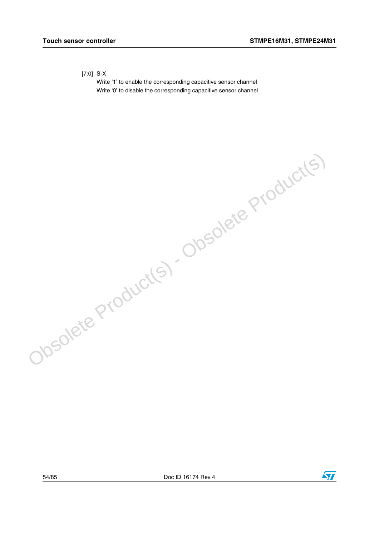### [7:0] S-X

Write '1' to enable the corresponding capacitive sensor channel Write '0' to disable the corresponding capacitive sensor channel

Obsolete Product(s) - Obsolete Product(s)

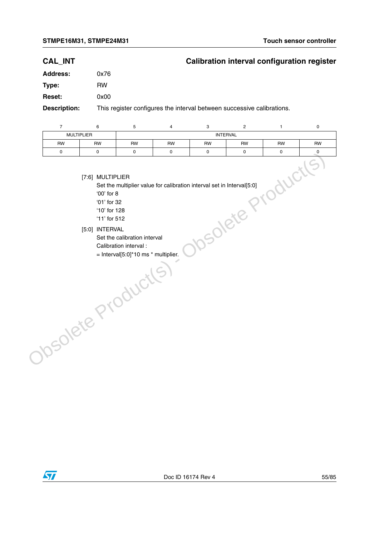## **CAL\_INT Calibration interval configuration register**

| <b>Address:</b>      | 0x76                   |
|----------------------|------------------------|
| Type:                | RW                     |
| <b>Reset:</b>        | 0x00                   |
| <b>December 1990</b> | بالمتلم أبداها والمالي |

**Description:** This register configures the interval between successive calibrations.

|           | <b>MULTIPLIER</b> |           | <b>INTERVAL</b> |           |           |           |           |  |
|-----------|-------------------|-----------|-----------------|-----------|-----------|-----------|-----------|--|
| <b>RW</b> | RW                | <b>RW</b> | RW              | <b>RW</b> | <b>RW</b> | <b>RW</b> | <b>RW</b> |  |
|           |                   |           |                 |           |           |           |           |  |

[7:6] MULTIPLIER

Set the multiplier value for calibration interval set in Interval[5:0]

'00' for 8 '01' for 32

'10' for 128

'11' for 512

- 
- [5:0] INTERVAL
	- Set the calibration interval
	- Calibration interval :
- = Interval[5:0]\*10 ms \* multiplier.Obsolete Product(s)

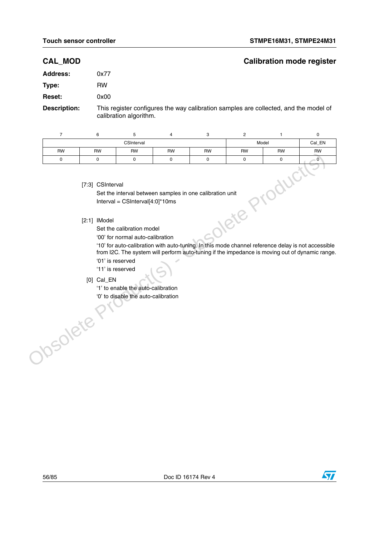## **CAL\_MOD Calibration mode register**

| <b>Address:</b> | 0x77 |
|-----------------|------|
| Type:           | RW   |
| <b>Reset:</b>   | 0x00 |

**Description:** This register configures the way calibration samples are collected, and the model of calibration algorithm.

| $\overline{7}$  | 6                                                  | 5                                                                                                                                                                                                                                                                                    | 4         | 3         | $\overline{\mathbf{c}}$ | 1                                                                                                                                                                                                             | 0              |
|-----------------|----------------------------------------------------|--------------------------------------------------------------------------------------------------------------------------------------------------------------------------------------------------------------------------------------------------------------------------------------|-----------|-----------|-------------------------|---------------------------------------------------------------------------------------------------------------------------------------------------------------------------------------------------------------|----------------|
|                 |                                                    | CSInterval                                                                                                                                                                                                                                                                           |           |           |                         | Model                                                                                                                                                                                                         | Cal_EN         |
| <b>RW</b>       | <b>RW</b>                                          | <b>RW</b>                                                                                                                                                                                                                                                                            | <b>RW</b> | <b>RW</b> | <b>RW</b>               | <b>RW</b>                                                                                                                                                                                                     | <b>RW</b>      |
| 0               | 0                                                  | 0                                                                                                                                                                                                                                                                                    | 0         | 0         | 0                       | 0                                                                                                                                                                                                             | $\overline{0}$ |
| <b>70SOlete</b> | [7:3] CSInterval<br>$[2:1]$ IModel<br>$[0]$ Cal_EN | Set the interval between samples in one calibration unit<br>Interval = $CSInterval[4:0]^*10ms$<br>Set the calibration model<br>'00' for normal auto-calibration<br>'01' is reserved<br>'11' is reserved<br>'1' to enable the auto-calibration<br>'0' to disable the auto-calibration |           |           | Oletep                  | oduci<br>'10' for auto-calibration with auto-tuning. In this mode channel reference delay is not accessible<br>from I2C. The system will perform auto-tuning if the impedance is moving out of dynamic range. | $\sim$         |

### [7:3] CSInterval

### [2:1] IModel

- '01' is reserved
- '11' is reserved
- [0] Cal\_EN



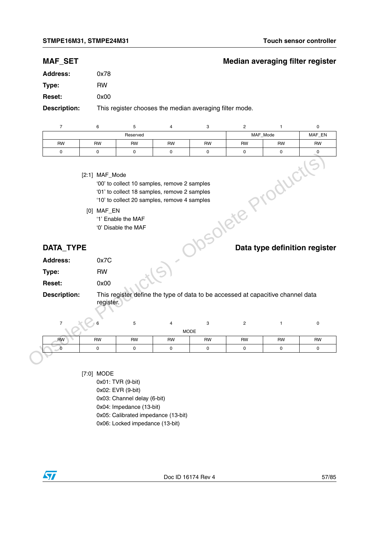## **MAF\_SET Median averaging filter register**

| <b>Address:</b>          | 0x78           |                                           |                                                                                                                                              |                  |                                                                                 |                               |           |
|--------------------------|----------------|-------------------------------------------|----------------------------------------------------------------------------------------------------------------------------------------------|------------------|---------------------------------------------------------------------------------|-------------------------------|-----------|
| Type:                    | <b>RW</b>      |                                           |                                                                                                                                              |                  |                                                                                 |                               |           |
| <b>Reset:</b>            | 0x00           |                                           |                                                                                                                                              |                  |                                                                                 |                               |           |
| <b>Description:</b>      |                |                                           | This register chooses the median averaging filter mode.                                                                                      |                  |                                                                                 |                               |           |
| $\overline{7}$           | 6              | 5                                         | 4                                                                                                                                            | 3                | $\overline{c}$                                                                  | $\mathbf{1}$                  | 0         |
|                          |                | Reserved                                  |                                                                                                                                              |                  |                                                                                 | MAF_Mode                      | MAF_EN    |
| <b>RW</b><br>$\mathsf 0$ | <b>RW</b><br>0 | RW<br>0                                   | RW<br>0                                                                                                                                      | RW<br>0          | RW<br>$\mathbf 0$                                                               | <b>RW</b><br>$\mathbf 0$      | RW<br>0   |
|                          | [2:1] MAF_Mode |                                           |                                                                                                                                              |                  |                                                                                 |                               |           |
|                          |                |                                           | '00' to collect 10 samples, remove 2 samples<br>'01' to collect 18 samples, remove 2 samples<br>'10' to collect 20 samples, remove 4 samples |                  |                                                                                 |                               |           |
|                          | [0] MAF_EN     | '1' Enable the MAF<br>'0' Disable the MAF |                                                                                                                                              |                  | solete Production                                                               |                               |           |
| DATA_TYPE                |                |                                           |                                                                                                                                              |                  |                                                                                 | Data type definition register |           |
| <b>Address:</b>          | 0x7C           |                                           |                                                                                                                                              |                  |                                                                                 |                               |           |
| Type:                    | <b>RW</b>      |                                           |                                                                                                                                              |                  |                                                                                 |                               |           |
| <b>Reset:</b>            | 0x00           |                                           |                                                                                                                                              |                  |                                                                                 |                               |           |
| <b>Description:</b>      | register.      |                                           |                                                                                                                                              |                  | This register define the type of data to be accessed at capacitive channel data |                               |           |
| $\overline{7}$           |                | 5                                         | 4                                                                                                                                            | 3<br><b>MODE</b> | $\overline{2}$                                                                  | $\mathbf{1}$                  | $\pmb{0}$ |
| <b>RW</b>                | <b>RW</b>      | RW                                        | RW                                                                                                                                           | <b>RW</b>        | <b>RW</b>                                                                       | <b>RW</b>                     | <b>RW</b> |
| $\overline{0}$           | $\pmb{0}$      | 0                                         | $\mathbf 0$                                                                                                                                  | 0                | 0                                                                               | $\mathsf 0$                   | 0         |
|                          |                |                                           |                                                                                                                                              |                  |                                                                                 |                               |           |

0x01: TVR (9-bit)

0x02: EVR (9-bit)

0x03: Channel delay (6-bit)

0x04: Impedance (13-bit)

0x05: Calibrated impedance (13-bit)

0x06: Locked impedance (13-bit)

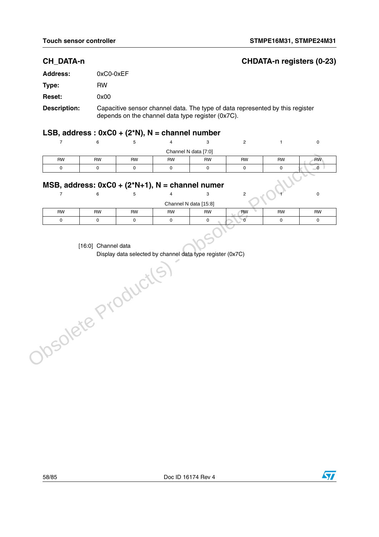## **CH\_DATA-n CHDATA-n registers (0-23)**

| <b>Address:</b> | 0xC0-0xEF                                                                                                                          |
|-----------------|------------------------------------------------------------------------------------------------------------------------------------|
| Type:           | RW                                                                                                                                 |
| <b>Reset:</b>   | 0x00                                                                                                                               |
| Description:    | Capacitive sensor channel data. The type of data represented by this register<br>depends on the channel data type register (0x7C). |

## **LSB, address : 0xC0 + (2\*N), N = channel number**

|                                                    |           |           |           | Channel N data [7:0] |           |           |           |  |
|----------------------------------------------------|-----------|-----------|-----------|----------------------|-----------|-----------|-----------|--|
| <b>RW</b>                                          | <b>RW</b> | <b>RW</b> | <b>RW</b> | <b>RW</b>            | <b>RW</b> | <b>RW</b> | <b>RW</b> |  |
|                                                    |           |           |           |                      |           |           |           |  |
| MSB, address: $0xC0 + (2*N+1)$ , N = channel numer |           |           |           |                      |           |           |           |  |
|                                                    |           |           |           |                      |           |           |           |  |

## **MSB, address: 0xC0 + (2\*N+1), N = channel numer**

|           |                     |           |           |                       |           |           | υ         |  |
|-----------|---------------------|-----------|-----------|-----------------------|-----------|-----------|-----------|--|
|           |                     |           |           | Channel N data [15:8] |           |           |           |  |
| <b>RW</b> | <b>RW</b>           | <b>RW</b> | <b>RW</b> | RW                    | <b>RW</b> | <b>RW</b> | <b>RW</b> |  |
|           |                     |           |           |                       |           |           |           |  |
|           |                     |           |           |                       |           |           |           |  |
|           | [16:0] Channel data |           |           |                       |           |           |           |  |

[16:0] Channel data

Display data selected by channel data type register (0x7C)Obsolete Product(s)

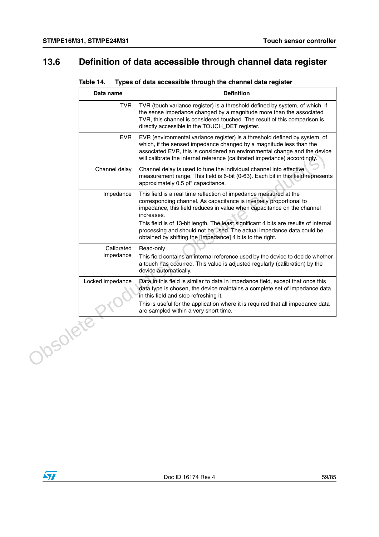÷.

# **13.6 Definition of data accessible through channel data register**

| Table 14. |  | Types of data accessible through the channel data register |  |
|-----------|--|------------------------------------------------------------|--|
|-----------|--|------------------------------------------------------------|--|

|          | Data name               | <b>Definition</b>                                                                                                                                                                                                                                                                                           |
|----------|-------------------------|-------------------------------------------------------------------------------------------------------------------------------------------------------------------------------------------------------------------------------------------------------------------------------------------------------------|
|          | <b>TVR</b>              | TVR (touch variance register) is a threshold defined by system, of which, if<br>the sense impedance changed by a magnitude more than the associated<br>TVR, this channel is considered touched. The result of this comparison is<br>directly accessible in the TOUCH_DET register.                          |
|          | <b>EVR</b>              | EVR (environmental variance register) is a threshold defined by system, of<br>which, if the sensed impedance changed by a magnitude less than the<br>associated EVR, this is considered an environmental change and the device<br>will calibrate the internal reference (calibrated impedance) accordingly. |
|          | Channel delay           | Channel delay is used to tune the individual channel into effective<br>measurement range. This field is 6-bit (0-63). Each bit in this field represents<br>approximately 0.5 pF capacitance.                                                                                                                |
|          | Impedance               | This field is a real time reflection of impedance measured at the<br>corresponding channel. As capacitance is inversely proportional to<br>impedance, this field reduces in value when capacitance on the channel<br>increases.                                                                             |
|          |                         | This field is of 13-bit length. The least significant 4 bits are results of internal<br>processing and should not be used. The actual impedance data could be<br>obtained by shifting the [Impedance] 4 bits to the right.                                                                                  |
|          | Calibrated<br>Impedance | Read-only<br>This field contains an internal reference used by the device to decide whether<br>a touch has occurred. This value is adjusted regularly (calibration) by the<br>device automatically.                                                                                                         |
|          | Locked impedance        | Data in this field is similar to data in impedance field, except that once this<br>data type is chosen, the device maintains a complete set of impedance data<br>in this field and stop refreshing it.                                                                                                      |
|          |                         | This is useful for the application where it is required that all impedance data<br>are sampled within a very short time.                                                                                                                                                                                    |
| Josolete |                         |                                                                                                                                                                                                                                                                                                             |
|          |                         |                                                                                                                                                                                                                                                                                                             |

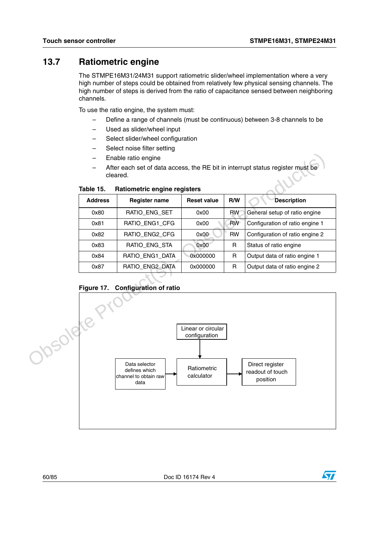## **13.7 Ratiometric engine**

The STMPE16M31/24M31 support ratiometric slider/wheel implementation where a very high number of steps could be obtained from relatively few physical sensing channels. The high number of steps is derived from the ratio of capacitance sensed between neighboring channels.

To use the ratio engine, the system must:

- Define a range of channels (must be continuous) between 3-8 channels to be
- Used as slider/wheel input
- Select slider/wheel configuration
- Select noise filter setting
- Enable ratio engine
- After each set of data access, the RE bit in interrupt status register must be cleared.

| <b>Address</b> | <b>Register name</b> | <b>Reset value</b> | R/W       | <b>Description</b>              |
|----------------|----------------------|--------------------|-----------|---------------------------------|
| 0x80           | RATIO ENG SET        | 0x00               | <b>RW</b> | General setup of ratio engine   |
| 0x81           | RATIO ENG1 CFG       | 0x00               | <b>RW</b> | Configuration of ratio engine 1 |
| 0x82           | RATIO ENG2 CFG       | 0x00               | <b>RW</b> | Configuration of ratio engine 2 |
| 0x83           | RATIO ENG STA        | 0x00               | R         | Status of ratio engine          |
| 0x84           | RATIO ENG1 DATA      | 0x000000           | R         | Output data of ratio engine 1   |
| 0x87           | RATIO ENG2 DATA      | 0x000000           | R         | Output data of ratio engine 2   |

**Table 15. Ratiometric engine registers**





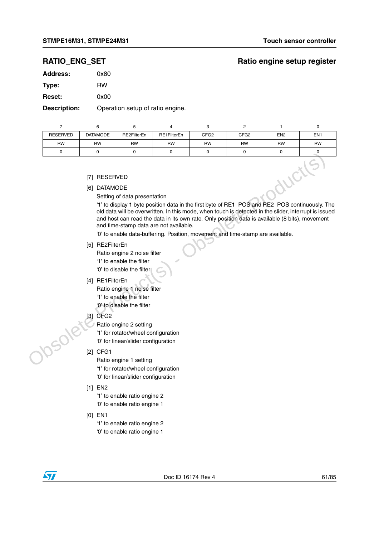## **RATIO\_ENG\_SET** Ratio engine setup register

| Address:      | 0x80 |
|---------------|------|
| Type:         | RW   |
| <b>Reset:</b> | 0x00 |

**Description:** Operation setup of ratio engine.

|                 | 6                                         | 5                            | 4           | 3                | 2                |                 | 0               |
|-----------------|-------------------------------------------|------------------------------|-------------|------------------|------------------|-----------------|-----------------|
| <b>RESERVED</b> | <b>DATAMODE</b>                           | RE2FilterEn                  | RE1FilterEn | CFG <sub>2</sub> | CFG <sub>2</sub> | EN <sub>2</sub> | EN <sub>1</sub> |
| <b>RW</b>       | <b>RW</b>                                 | <b>RW</b>                    | <b>RW</b>   | <b>RW</b>        | <b>RW</b>        | <b>RW</b>       | <b>RW</b>       |
| 0               |                                           |                              | 0           | 0                |                  | $\Omega$        |                 |
|                 | RESERVED<br>[7]<br><b>DATAMODE</b><br>[6] | Setting of data presentation |             |                  |                  |                 |                 |

### [7] RESERVED

- [6] DATAMODE
	- Setting of data presentation

'1' to display 1 byte position data in the first byte of RE1\_POS and RE2\_POS continuously. The old data will be overwritten. In this mode, when touch is detected in the slider, interrupt is issued and host can read the data in its own rate. Only position data is available (8 bits), movement and time-stamp data are not available. Trimes and the second of the method of the method of the method of the method of the method of the method of the method of the method of the method of the state of the method of the method of the method of the method of th

'0' to enable data-buffering. Position, movement and time-stamp are available.

- [5] RE2FilterEn
	- Ratio engine 2 noise filter
	- '1' to enable the filter
	- '0' to disable the filter
- [4] RE1FilterEn
	- Ratio engine 1 noise filter
	- '1' to enable the filter
	- '0' to disable the filter
- [3] CFG2

Ratio engine 2 setting

'1' for rotator/wheel configuration '0' for linear/slider configuration

### [2] CFG1

Ratio engine 1 setting '1' for rotator/wheel configuration '0' for linear/slider configuration

[1] EN2

'1' to enable ratio engine 2

'0' to enable ratio engine 1

[0] EN1

'1' to enable ratio engine 2

'0' to enable ratio engine 1

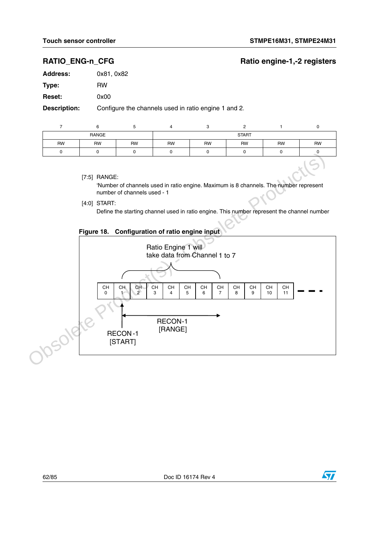$\bm{\varPi}$ 

## RATIO\_ENG-n\_CFG RATIO\_ENG-n\_CFG

| <b>Address:</b> | 0x81, 0x82                                           |
|-----------------|------------------------------------------------------|
| Type:           | <b>RW</b>                                            |
| <b>Reset:</b>   | 0x00                                                 |
| Description:    | Configure the channels used in ratio engine 1 and 2. |

| RANGE     |    |           | <b>START</b> |           |           |           |           |
|-----------|----|-----------|--------------|-----------|-----------|-----------|-----------|
| <b>RW</b> | RW | <b>RW</b> | <b>RW</b>    | <b>RW</b> | <b>RW</b> | <b>RW</b> | <b>RW</b> |
| u         |    |           |              |           |           |           |           |

[7:5] RANGE:

'Number of channels used in ratio engine. Maximum is 8 channels. The number represent number of channels used - 1

[4:0] START:

RECON-1 [START]

Define the starting channel used in ratio engine. This number represent the channel number



[RANGE]

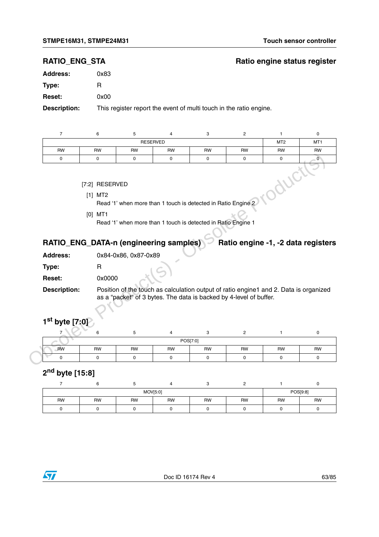## **RATIO\_ENG\_STA** Ratio engine status register

| <b>Address:</b> | 0x83                                |
|-----------------|-------------------------------------|
| Type:           | R                                   |
| <b>Reset:</b>   | 0x00                                |
| .               | المرجان برجاله والمراجين المؤلما Ti |

**Description:** This register report the event of multi touch in the ratio engine.

|                                                                                              | 6         |           |                 |           |           |                 |                 |
|----------------------------------------------------------------------------------------------|-----------|-----------|-----------------|-----------|-----------|-----------------|-----------------|
|                                                                                              |           |           | <b>RESERVED</b> |           |           | MT <sub>2</sub> | MT <sub>1</sub> |
| <b>RW</b>                                                                                    | <b>RW</b> | <b>RW</b> | <b>RW</b>       | <b>RW</b> | <b>RW</b> | <b>RW</b>       | <b>RW</b>       |
|                                                                                              |           |           | 0               |           |           |                 |                 |
| [7:2] RESERVED<br>$[1]$ MT2<br>Read '1' when more than 1 touch is detected in Ratio Engine 2 |           |           |                 |           |           |                 |                 |

### [7:2] RESERVED

### Read '1' when more than 1 touch is detected in Ratio Engine 1

# RATIO\_ENG\_DATA-n (engineering samples) **Ratio engine -1, -2 data registers**

| <b>Address:</b>     | 0x84-0x86, 0x87-0x89       |
|---------------------|----------------------------|
| Type:               | R                          |
| <b>Reset:</b>       | 0x0000                     |
| <b>Description:</b> | Position of the touch as c |

# **1st byte [7:0]**

| 0                                      | 0                                        | 0                    | 0 | 0                                                                                                                                                           | 0              | 0                                  | 0           |
|----------------------------------------|------------------------------------------|----------------------|---|-------------------------------------------------------------------------------------------------------------------------------------------------------------|----------------|------------------------------------|-------------|
|                                        | [7:2] RESERVED<br>$[1]$ MT2<br>$[0]$ MT1 |                      |   | Read '1' when more than 1 touch is detected in Ratio Engine 2<br>Read '1' when more than 1 touch is detected in Ratio Engine 1                              |                |                                    |             |
| RATIO_ENG_DATA-n (engineering samples) |                                          |                      |   |                                                                                                                                                             |                | Ratio engine -1, -2 data registers |             |
| <b>Address:</b>                        |                                          | 0x84-0x86, 0x87-0x89 |   |                                                                                                                                                             |                |                                    |             |
| Type:                                  | $\mathsf{R}$                             |                      |   |                                                                                                                                                             |                |                                    |             |
|                                        |                                          |                      |   |                                                                                                                                                             |                |                                    |             |
| Reset:                                 | 0x0000                                   |                      |   |                                                                                                                                                             |                |                                    |             |
| <b>Description:</b>                    |                                          |                      |   | Position of the touch as calculation output of ratio engine1 and 2. Data is organized<br>as a "packet" of 3 bytes. The data is backed by 4-level of buffer. |                |                                    |             |
| 1 <sup>st</sup> byte [7:0]             |                                          |                      |   |                                                                                                                                                             |                |                                    |             |
|                                        | 6                                        | 5                    | 4 | 3                                                                                                                                                           | $\overline{2}$ | 1                                  | $\mathbf 0$ |
|                                        |                                          |                      |   | POS[7:0]                                                                                                                                                    |                |                                    |             |

# **2nd byte [15:8]**

| MOV[5:0] |           |           |           |           |           |           | POS[9:8] |
|----------|-----------|-----------|-----------|-----------|-----------|-----------|----------|
| RW       | <b>RW</b> | <b>RW</b> | <b>RW</b> | <b>RW</b> | <b>RW</b> | <b>RW</b> | RW       |
|          |           |           |           |           |           |           |          |

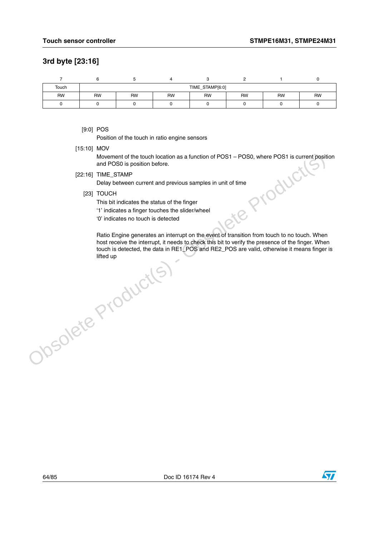## **3rd byte [23:16]**

| Touch     |           | TIME_STAMP[6:0] |           |           |           |           |           |  |  |
|-----------|-----------|-----------------|-----------|-----------|-----------|-----------|-----------|--|--|
| <b>RW</b> | <b>RW</b> | <b>RW</b>       | <b>RW</b> | <b>RW</b> | <b>RW</b> | <b>RW</b> | <b>RW</b> |  |  |
|           |           |                 |           |           |           |           |           |  |  |

[9:0] POS

Position of the touch in ratio engine sensors

[15:10] MOV

Movement of the touch location as a function of POS1 – POS0, where POS1 is current position<br>and POS0 is position before.<br>TIME\_STAMP<br>Delay between current and previous samples in unit of time<br>TOUCH<br>This bit indicates the st and POS0 is position before.

[22:16] TIME\_STAMP

Delay between current and previous samples in unit of time

- [23] TOUCH
	- This bit indicates the status of the finger
	- '1' indicates a finger touches the slider/wheel
	- '0' indicates no touch is detected

Ratio Engine generates an interrupt on the event of transition from touch to no touch. When host receive the interrupt, it needs to check this bit to verify the presence of the finger. When touch is detected, the data in RE1\_POS and RE2\_POS are valid, otherwise it means finger is lifted upMovement of the louch location as a function of POS1 – POS0, where POS1 is current position and POS0 is position before.<br>
[22:16] TIME\_STAMP<br>
Delay between current and previous samples in unit of time<br>
23) TOUCH<br>
This bit

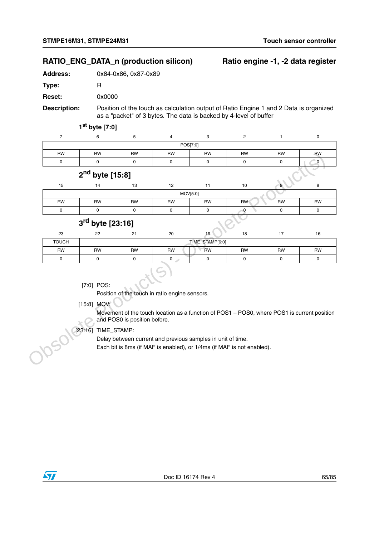## RATIO\_ENG\_DATA\_n (production silicon) Ratio engine -1, -2 data register

**Address:** 0x84-0x86, 0x87-0x89

**Type:** R

**Reset:** 0x0000

**Description:** Position of the touch as calculation output of Ratio Engine 1 and 2 Data is organized as a "packet" of 3 bytes. The data is backed by 4-level of buffer

**1st byte [7:0]**

| POS[7:0]  |           |           |           |           |           |           |           |  |
|-----------|-----------|-----------|-----------|-----------|-----------|-----------|-----------|--|
| <b>RW</b> | <b>RW</b> | <b>RW</b> | <b>RW</b> | <b>RW</b> | <b>RW</b> | <b>RW</b> | <b>RW</b> |  |
|           |           |           |           |           |           |           |           |  |
|           |           |           |           |           |           |           |           |  |

|              | RW                 | RW          | RW          | RW              | RW        | RW        | <b>RW</b>    |
|--------------|--------------------|-------------|-------------|-----------------|-----------|-----------|--------------|
| 0            | 0                  | $\mathbf 0$ | $\mathbf 0$ | 0               | 0         | 0         | $\mathbf{0}$ |
|              | $2nd$ byte [15:8]  |             |             |                 |           |           | است.         |
| 15           | 14                 | 13          | 12          | 11              | 10        |           | 8            |
|              |                    |             | MOV[5:0]    |                 |           |           |              |
| <b>RW</b>    | <b>RW</b>          | <b>RW</b>   | <b>RW</b>   | <b>RW</b>       | <b>RW</b> | <b>RW</b> | <b>RW</b>    |
| 0            | 0                  | 0           | 0           | 0               | 0         | 0         | 0            |
|              | $3rd$ byte [23:16] |             |             |                 |           |           |              |
| 23           | 22                 | 21          | 20          | 19              | 18        | 17        | 16           |
| <b>TOUCH</b> |                    |             |             | TIME_STAMP[6:0] |           |           |              |
| <b>RW</b>    | <b>RW</b>          | <b>RW</b>   | <b>RW</b>   | <b>RW</b>       | <b>RW</b> | <b>RW</b> | <b>RW</b>    |
| 0            | 0                  | 0           | $\mathbf 0$ | $\mathbf 0$     | 0         | 0         | $\mathsf 0$  |
|              |                    |             |             |                 |           |           |              |

## **3rd byte [23:16]**

| 23           | 22        | $\sim$<br><u>_</u> | 20        | 19        | 18 |           | 16        |  |  |
|--------------|-----------|--------------------|-----------|-----------|----|-----------|-----------|--|--|
| <b>TOUCH</b> |           | TIME_STAMP[6:0]    |           |           |    |           |           |  |  |
| RW           | <b>RW</b> | <b>RW</b>          | <b>RW</b> | <b>RW</b> | RW | <b>RW</b> | <b>RW</b> |  |  |
|              |           |                    |           |           |    |           |           |  |  |

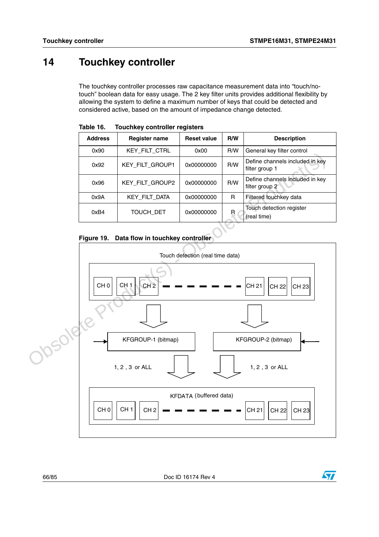# **14 Touchkey controller**

The touchkey controller processes raw capacitance measurement data into "touch/notouch" boolean data for easy usage. The 2 key filter units provides additional flexibility by allowing the system to define a maximum number of keys that could be detected and considered active, based on the amount of impedance change detected.

| <b>Address</b> | <b>Register name</b> | <b>Reset value</b> | R/W | <b>Description</b>                                |
|----------------|----------------------|--------------------|-----|---------------------------------------------------|
| 0x90           | <b>KEY_FILT_CTRL</b> | 0x00               | R/W | General key filter control                        |
| 0x92           | KEY_FILT_GROUP1      | 0x00000000         | R/W | Define channels included in key<br>filter group 1 |
| 0x96           | KEY_FILT_GROUP2      | 0x00000000         | R/W | Define channels included in key<br>filter group 2 |
| 0x9A           | KEY FILT DATA        | 0x00000000         | R   | Filtered touchkey data                            |
| 0xB4           | TOUCH DET            | 0x00000000         | R   | Touch detection register<br>(real time)           |

**Table 16. Touchkey controller registers**

### **Figure 19. Data flow in touchkey controller**

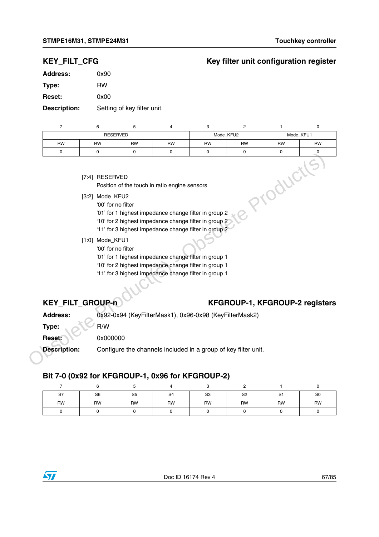## **KEY\_FILT\_CFG Key filter unit configuration register**

| <b>Address:</b>     | 0x90                        |
|---------------------|-----------------------------|
| Type:               | RW                          |
| <b>Reset:</b>       | 0x00                        |
| <b>Description:</b> | Setting of key filter unit. |

|           | 6                  | 5                  | 4                                                                                                                                                                                                                                   | 3                                                     | 2         |           | 0         |  |
|-----------|--------------------|--------------------|-------------------------------------------------------------------------------------------------------------------------------------------------------------------------------------------------------------------------------------|-------------------------------------------------------|-----------|-----------|-----------|--|
|           |                    | <b>RESERVED</b>    |                                                                                                                                                                                                                                     | Mode KFU2                                             |           | Mode KFU1 |           |  |
| <b>RW</b> | <b>RW</b>          | <b>RW</b>          | <b>RW</b>                                                                                                                                                                                                                           | <b>RW</b>                                             | <b>RW</b> | <b>RW</b> | <b>RW</b> |  |
| $\Omega$  | o                  |                    | 0                                                                                                                                                                                                                                   |                                                       |           |           |           |  |
|           | [7:4] RESERVED     |                    | Position of the touch in ratio engine sensors                                                                                                                                                                                       |                                                       |           |           |           |  |
|           | Mode_KFU2<br>[3:2] | '00' for no filter | $\overline{a}$ , and the contract of the contract of the contract of the contract of the contract of the contract of the contract of the contract of the contract of the contract of the contract of the contract of the contract o | '01' for 1 highest impedance change filter in group 2 |           |           |           |  |

- '01' for 1 highest impedance change filter in group 2
- '10' for 2 highest impedance change filter in group 2
- '11' for 3 highest impedance change filter in group 2
- [1:0] Mode\_KFU1
	- '00' for no filter
	- '01' for 1 highest impedance change filter in group 1
	- '10' for 2 highest impedance change filter in group 1
	- '11' for 3 highest impedance change filter in group 1

## KEY\_FILT\_GROUP-n **KFGROUP-1, KFGROUP-2** registers

|                                                  | [7:4] RESERVED    | Position of the touch in ratio engine sensors                                                                                                                                                 |  | Jour                                |  |
|--------------------------------------------------|-------------------|-----------------------------------------------------------------------------------------------------------------------------------------------------------------------------------------------|--|-------------------------------------|--|
|                                                  | [3:2] Mode_KFU2   | '00' for no filter<br>'01' for 1 highest impedance change filter in group 2<br>'10' for 2 highest impedance change filter in group 2<br>'11' for 3 highest impedance change filter in group 2 |  |                                     |  |
|                                                  | $[1:0]$ Mode_KFU1 | '00' for no filter<br>'01' for 1 highest impedance change filter in group 1<br>'10' for 2 highest impedance change filter in group 1<br>'11' for 3 highest impedance change filter in group 1 |  |                                     |  |
| KEY_FILT_GROUP-n                                 |                   |                                                                                                                                                                                               |  | <b>KFGROUP-1, KFGROUP-2 registe</b> |  |
| <b>Address:</b>                                  |                   | 0x92-0x94 (KeyFilterMask1), 0x96-0x98 (KeyFilterMask2)                                                                                                                                        |  |                                     |  |
| Type:                                            | R/W               |                                                                                                                                                                                               |  |                                     |  |
| Reset:                                           | 0x000000          |                                                                                                                                                                                               |  |                                     |  |
| <b>Description:</b>                              |                   | Configure the channels included in a group of key filter unit.                                                                                                                                |  |                                     |  |
| Bit 7-0 (0x92 for KFGROUP-1, 0x96 for KFGROUP-2) |                   |                                                                                                                                                                                               |  |                                     |  |
|                                                  |                   |                                                                                                                                                                                               |  |                                     |  |

## **Bit 7-0 (0x92 for KFGROUP-1, 0x96 for KFGROUP-2)**

| S7        | S <sub>6</sub> | S <sub>5</sub> | S <sub>4</sub> | S <sub>3</sub> | S <sub>2</sub> | S <sub>1</sub> | S <sub>0</sub> |
|-----------|----------------|----------------|----------------|----------------|----------------|----------------|----------------|
| <b>RW</b> | RW             | <b>RW</b>      | <b>RW</b>      | RW             | <b>RW</b>      | <b>RW</b>      | <b>RW</b>      |
|           |                |                |                |                |                |                |                |

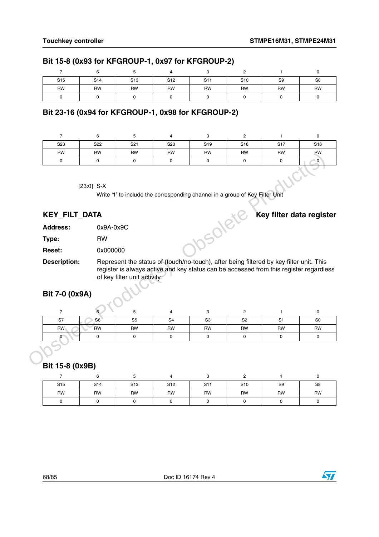## **Bit 15-8 (0x93 for KFGROUP-1, 0x97 for KFGROUP-2)**

| S <sub>15</sub> | S <sub>14</sub> | S <sub>13</sub> | S <sub>12</sub> | S <sub>11</sub> | S <sub>10</sub> | S <sub>9</sub> | S <sub>8</sub> |
|-----------------|-----------------|-----------------|-----------------|-----------------|-----------------|----------------|----------------|
| <b>RW</b>       | <b>RW</b>       | <b>RW</b>       | RW              | <b>RW</b>       | <b>RW</b>       | <b>RW</b>      | RW             |
|                 |                 |                 |                 |                 |                 |                |                |

## **Bit 23-16 (0x94 for KFGROUP-1, 0x98 for KFGROUP-2)**

| S23       | S22          | S <sub>21</sub> | S20       | S <sub>19</sub> | S <sub>18</sub> | S <sub>17</sub> | S <sub>16</sub> |
|-----------|--------------|-----------------|-----------|-----------------|-----------------|-----------------|-----------------|
| <b>RW</b> | <b>RW</b>    | <b>RW</b>       | <b>RW</b> | <b>RW</b>       | <b>RW</b>       | <b>RW</b>       | <b>RW</b>       |
|           |              |                 |           |                 |                 | 0               |                 |
|           | $[23:0]$ S-X |                 |           |                 |                 |                 |                 |

| <b>KEY_FILT_DATA</b> |             | Key filter data register                                                                |
|----------------------|-------------|-----------------------------------------------------------------------------------------|
| <b>Address:</b>      | $0x9A-0x9C$ |                                                                                         |
| Type:                | <b>RW</b>   |                                                                                         |
| <b>Reset:</b>        | 0x000000    |                                                                                         |
| Description:         |             | Represent the status of (touch/no-touch), after being filtered by key filter unit. This |

## **Bit 7-0 (0x9A)**

| <b>HVV</b>                            | <b>HVV</b>      | <b>HVV</b>                   | <b>HVV</b>      | <b>HVV</b>                                                                                                                                                                        | <b>HVV</b>     | <b>HVV</b>     | <b>HVV</b>               |
|---------------------------------------|-----------------|------------------------------|-----------------|-----------------------------------------------------------------------------------------------------------------------------------------------------------------------------------|----------------|----------------|--------------------------|
| 0                                     | $\mathbf 0$     | $\mathbf 0$                  | $\mathbf 0$     | 0                                                                                                                                                                                 | $\mathbf 0$    | 0              | $\overline{0}$           |
|                                       | $[23:0]$ S-X    |                              |                 | Write '1' to include the corresponding channel in a group of Key Filter Unit                                                                                                      |                |                |                          |
| <b>KEY_FILT_DATA</b>                  |                 |                              |                 |                                                                                                                                                                                   |                |                | Key filter data register |
| <b>Address:</b>                       | 0x9A-0x9C       |                              |                 | 350let                                                                                                                                                                            |                |                |                          |
| Type:                                 | <b>RW</b>       |                              |                 |                                                                                                                                                                                   |                |                |                          |
| <b>Reset:</b>                         | 0x000000        |                              |                 |                                                                                                                                                                                   |                |                |                          |
| <b>Description:</b><br>Bit 7-0 (0x9A) |                 | of key filter unit activity. |                 | Represent the status of (touch/no-touch), after being filtered by key filter unit. This<br>register is always active and key status can be accessed from this register regardless |                |                |                          |
| $\overline{7}$                        |                 | 5                            | 4               | 3                                                                                                                                                                                 | $\overline{2}$ | 1              | $\mathbf 0$              |
| S7                                    | S6              | S <sub>5</sub>               | S <sub>4</sub>  | S <sub>3</sub>                                                                                                                                                                    | S <sub>2</sub> | S <sub>1</sub> | S <sub>0</sub>           |
| RW                                    | RW              | <b>RW</b>                    | <b>RW</b>       | <b>RW</b>                                                                                                                                                                         | <b>RW</b>      | <b>RW</b>      | <b>RW</b>                |
| 0<br>Bit 15-8 (0x9B)                  | 0               | 0                            | $\mathbf 0$     | 0                                                                                                                                                                                 | 0              | 0              | 0                        |
| $\overline{7}$                        | 6               | 5                            | 4               | 3                                                                                                                                                                                 | $\overline{2}$ | 1              | $\mathbf 0$              |
| S <sub>15</sub>                       | S <sub>14</sub> | S <sub>13</sub>              | S <sub>12</sub> | S <sub>11</sub>                                                                                                                                                                   | S10            | S9             | S8                       |

## **Bit 15-8 (0x9B)**

| S <sub>15</sub> | S <sub>14</sub> | S <sub>13</sub> | S <sub>12</sub> | S <sub>11</sub> | S <sub>10</sub> | S <sub>9</sub> | S8 |
|-----------------|-----------------|-----------------|-----------------|-----------------|-----------------|----------------|----|
| <b>RW</b>       | <b>RW</b>       | <b>RW</b>       | RW              | <b>RW</b>       | <b>RW</b>       | <b>RW</b>      | RW |
|                 |                 |                 |                 |                 |                 |                |    |

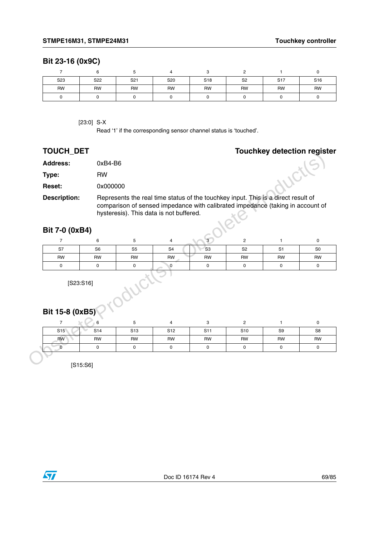### **Bit 23-16 (0x9C)**

| S <sub>23</sub> | S22 | S <sub>21</sub> | S20       | S <sub>18</sub> | S <sub>2</sub> | S <sub>17</sub> | S <sub>16</sub> |
|-----------------|-----|-----------------|-----------|-----------------|----------------|-----------------|-----------------|
| <b>RW</b>       | RW  | <b>RW</b>       | <b>RW</b> | <b>RW</b>       | <b>RW</b>      | <b>RW</b>       | <b>RW</b>       |
|                 |     |                 |           |                 |                |                 |                 |

[23:0] S-X

Read '1' if the corresponding sensor channel status is 'touched'.

## **TOUCH\_DET Touchkey detection register**

| <b>Address:</b>           | 0xB4-B6         |                                         |                 |                          |                |                                                                                                                                                                     |                   |
|---------------------------|-----------------|-----------------------------------------|-----------------|--------------------------|----------------|---------------------------------------------------------------------------------------------------------------------------------------------------------------------|-------------------|
| Type:                     | <b>RW</b>       |                                         |                 |                          |                | WCL                                                                                                                                                                 |                   |
| Reset:                    | 0x000000        |                                         |                 |                          |                |                                                                                                                                                                     |                   |
| <b>Description:</b>       |                 | hysteresis). This data is not buffered. |                 |                          |                | Represents the real time status of the touchkey input. This is a direct result of<br>comparison of sensed impedance with calibrated impedance (taking in account of |                   |
| Bit 7-0 (0xB4)            |                 |                                         |                 |                          |                |                                                                                                                                                                     |                   |
| $\overline{7}$            | 6               | 5                                       | 4               | 3                        | $\mathbf{2}$   | $\mathbf{1}$                                                                                                                                                        | $\pmb{0}$         |
| <b>S7</b>                 | S <sub>6</sub>  | S <sub>5</sub>                          | S <sub>4</sub>  | S <sub>3</sub>           | S <sub>2</sub> | S <sub>1</sub>                                                                                                                                                      | S <sub>0</sub>    |
| <b>RW</b>                 | <b>RW</b>       | <b>RW</b>                               | RW              | <b>RW</b>                | <b>RW</b>      | <b>RW</b>                                                                                                                                                           | <b>RW</b>         |
| $\mathsf{O}$              | 0               | 0                                       | 0               | 0                        | $\mathsf 0$    | 0                                                                                                                                                                   | $\mathbf 0$       |
|                           |                 |                                         |                 |                          |                |                                                                                                                                                                     |                   |
| Bit 15-8 (0xB5)           | [S23: S16]      | . Oduci                                 |                 |                          |                |                                                                                                                                                                     |                   |
| $\overline{7}$            | 6               | 5                                       | 4               | 3                        | $\overline{c}$ | 1                                                                                                                                                                   | 0                 |
| S <sub>15</sub>           | S <sub>14</sub> | S <sub>13</sub>                         | S <sub>12</sub> | S <sub>11</sub>          | S10            | S9                                                                                                                                                                  | S8                |
| <b>RW</b><br>$\mathbf{0}$ | <b>RW</b><br>0  | RW<br>0                                 | <b>RW</b><br>0  | <b>RW</b><br>$\mathbf 0$ | RW<br>0        | <b>RW</b><br>$\mathsf{O}$                                                                                                                                           | RW<br>$\mathbf 0$ |

## **Bit 7-0 (0xB4)**

| S7 | S <sub>6</sub> | S <sub>5</sub> | S <sub>4</sub> | S <sub>3</sub> | S <sub>2</sub> | C <sub>1</sub><br>ا ت | S <sub>0</sub> |
|----|----------------|----------------|----------------|----------------|----------------|-----------------------|----------------|
| RW | RW             | <b>RW</b>      | RW             | <b>RW</b>      | <b>RW</b>      | <b>RW</b>             | <b>RW</b>      |
|    |                |                |                |                |                |                       |                |

## **Bit 15-8 (0xB5)**

| S15       | S <sub>14</sub> | S <sub>13</sub> | S <sub>12</sub> | S <sub>11</sub> | S <sub>10</sub> | S <sub>9</sub> | S8        |
|-----------|-----------------|-----------------|-----------------|-----------------|-----------------|----------------|-----------|
| <b>RW</b> | RW              | RW              | RW              | RW              | RW              | <b>RW</b>      | <b>RW</b> |
|           |                 |                 |                 |                 |                 |                |           |

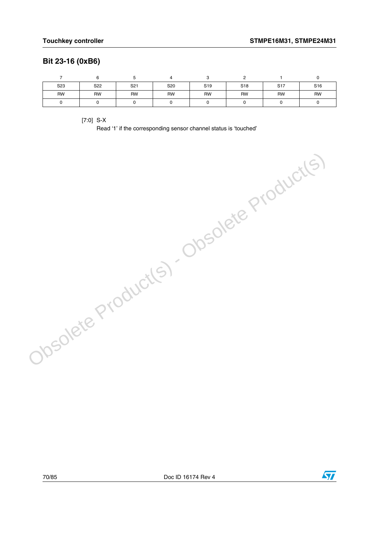## **Bit 23-16 (0xB6)**

| S <sub>23</sub> | S22 | S <sub>21</sub> | S20       | S <sub>19</sub> | S <sub>18</sub> | S <sub>17</sub> | S <sub>16</sub> |
|-----------------|-----|-----------------|-----------|-----------------|-----------------|-----------------|-----------------|
| <b>RW</b>       | RW  | <b>RW</b>       | <b>RW</b> | RW              | <b>RW</b>       | <b>RW</b>       | <b>RW</b>       |
|                 |     |                 |           |                 |                 |                 |                 |

[7:0] S-X

Read '1' if the corresponding sensor channel status is 'touched' Obsolete Product(s) - Obsolete Product(s)

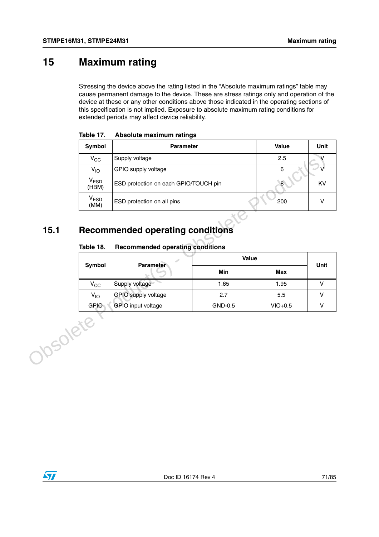# **15 Maximum rating**

Stressing the device above the rating listed in the "Absolute maximum ratings" table may cause permanent damage to the device. These are stress ratings only and operation of the device at these or any other conditions above those indicated in the operating sections of this specification is not implied. Exposure to absolute maximum rating conditions for extended periods may affect device reliability.

| Symbol                    | Parameter                               |         | Value   | Unit         |
|---------------------------|-----------------------------------------|---------|---------|--------------|
| $V_{CC}$                  | Supply voltage                          |         | 2.5     | V            |
| $V_{10}$                  | GPIO supply voltage                     |         | $\,6\,$ | V            |
| V <sub>ESD</sub><br>(HBM) | ESD protection on each GPIO/TOUCH pin   | $\bf 8$ | KV      |              |
| V <sub>ESD</sub><br>(MM)  | ESD protection on all pins              |         | 200     | V            |
| Table 18.                 | <b>Recommended operating conditions</b> |         |         |              |
|                           |                                         | Value   |         |              |
| Symbol                    | <b>Parameter</b>                        | Min     | Max     | Unit         |
| $V_{\rm CC}$              | Supply voltage                          | 1.65    | 1.95    | $\mathsf{V}$ |
| $V_{IO}$                  | GPIO supply voltage                     | 2.7     | 5.5     | V            |

**Table 17. Absolute maximum ratings**

# **15.1 Recommended operating conditions**

### Table 18. **Table 18. Recommended operating conditions**

| Symbol       | <b>Parameter</b>          | Value   | Unit      |  |
|--------------|---------------------------|---------|-----------|--|
|              |                           | Min     | Max       |  |
| $V_{\rm CC}$ | Supply voltage            | 1.65    | 1.95      |  |
| $V_{IO}$     | GPIO supply voltage       | 2.7     | 5.5       |  |
| GPIO         | <b>GPIO</b> input voltage | GND-0.5 | $VIO+0.5$ |  |

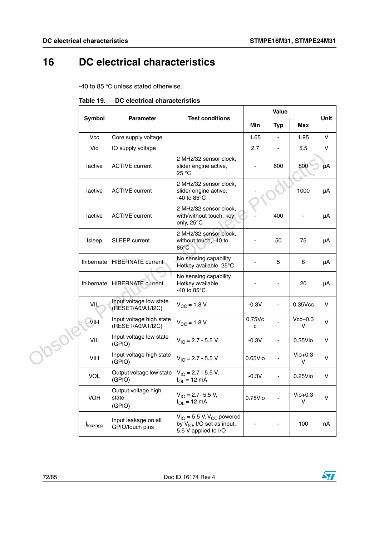# **16 DC electrical characteristics**

-40 to 85 °C unless stated otherwise.

|               | Symbol            | <b>Parameter</b>                              | <b>Test conditions</b>                                                                               | <b>Value</b>   |                          |                    |      |
|---------------|-------------------|-----------------------------------------------|------------------------------------------------------------------------------------------------------|----------------|--------------------------|--------------------|------|
|               |                   |                                               |                                                                                                      | Min            | <b>Typ</b>               | Max                | Unit |
|               | Vcc               | Core supply voltage                           |                                                                                                      | 1.65           | ÷,                       | 1.95               | V    |
| <b>JOSO18</b> | Vio               | IO supply voltage                             |                                                                                                      | 2.7            |                          | 5.5                | V    |
|               | lactive           | <b>ACTIVE current</b>                         | 2 MHz/32 sensor clock,<br>slider engine active,<br>25 °C                                             | ÷,             | 600                      | 800                | μA   |
|               | lactive           | <b>ACTIVE current</b>                         | 2 MHz/32 sensor clock,<br>slider engine active,<br>-40 to 85 $\mathrm{^{\circ}C}$                    |                |                          | 1000               | μA   |
|               | lactive           | <b>ACTIVE current</b>                         | 2 MHz/32 sensor clock,<br>with/without touch, key<br>only, 25°C                                      |                | 400                      | $\blacksquare$     | μA   |
|               | Isleep            | SLEEP current                                 | 2 MHz/32 sensor clock,<br>without touch, -40 to<br>$85^{\circ}$ C                                    | ÷,             | 50                       | 75                 | μA   |
|               | <b>Ihibernate</b> | <b>HIBERNATE current</b>                      | No sensing capability.<br>Hotkey available, 25°C                                                     |                | 5                        | 8                  | μA   |
|               | <b>Ihibernate</b> | <b>HIBERNATE</b> current                      | No sensing capability.<br>Hotkey available,<br>-40 to $85^{\circ}$ C                                 |                |                          | 20                 | μA   |
|               | VIL               | Input voltage low state<br>(RESET/A0/A1/I2C)  | $V_{\text{CC}} = 1.8 V$                                                                              | $-0.3V$        |                          | $0.35$ Vcc         | V    |
|               | $\lambda$ IH      | Input voltage high state<br>(RESET/A0/A1/I2C) | $V_{CC}$ = 1.8 V                                                                                     | $0.75$ Vc<br>с |                          | $Vcc+0.3$<br>v     | V    |
|               | <b>VIL</b>        | Input voltage low state<br>(GPIO)             | $V_{IO}$ = 2.7 - 5.5 V                                                                               | $-0.3V$        | $\overline{\phantom{a}}$ | $0.35$ Vio         | V    |
|               | VIH               | Input voltage high state<br>(GPIO)            | $V_{10} = 2.7 - 5.5 V$                                                                               | $0.65$ Vio     |                          | $V$ io $+0.3$<br>V | V    |
|               | VOL               | Output voltage low state<br>(GPIO)            | $V_{1O} = 2.7 - 5.5 V$ ,<br>$I_{OL} = 12 \text{ mA}$                                                 | $-0.3V$        | $\blacksquare$           | 0.25Vio            | V    |
|               | <b>VOH</b>        | Output voltage high<br>state<br>(GPIO)        | $V_{IO}$ = 2.7- 5.5 V,<br>$I_{OL}$ = 12 mA                                                           | 0.75Vio        |                          | $Vio+0.3$<br>v     | V    |
|               | leakage           | Input leakage on all<br>GPIO/touch pins       | $V_{IO}$ = 5.5 V, V <sub>CC</sub> powered<br>by $V_{1O}$ , I/O set as input,<br>5.5 V applied to I/O |                |                          | 100                | nA   |

### **Table 19. DC electrical characteristics**

72/85 Doc ID 16174 Rev 4

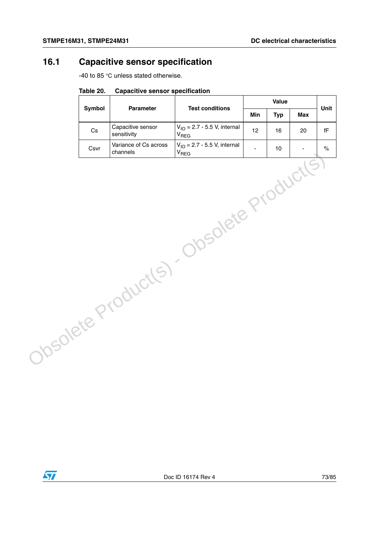## **16.1 Capacitive sensor specification**

-40 to 85 °C unless stated otherwise.

|                                           | <b>Symbol</b> | Parameter                        | <b>Test conditions</b>                                | Value |            |            | Unit                   |
|-------------------------------------------|---------------|----------------------------------|-------------------------------------------------------|-------|------------|------------|------------------------|
|                                           |               |                                  |                                                       | Min   | <b>Typ</b> | <b>Max</b> |                        |
|                                           | $\mathsf{Cs}$ | Capacitive sensor<br>sensitivity | $V_{IO} = 2.7 - 5.5 V$ , internal<br>V <sub>REG</sub> | 12    | 16         | 20         | $\mathsf{f}\mathsf{F}$ |
|                                           | Csvr          | Variance of Cs across            | $V_{IO} = 2.7 - 5.5 V$ , internal                     |       | 10         |            | $\%$                   |
| Obsolete Product(s) - Obsolete Product(s) |               |                                  |                                                       |       |            |            |                        |

#### **Table 20. Capacitive sensor specification**

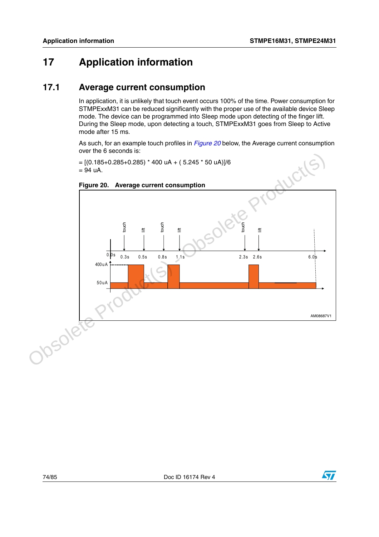### **17 Application information**

#### **17.1 Average current consumption**

In application, it is unlikely that touch event occurs 100% of the time. Power consumption for STMPExxM31 can be reduced significantly with the proper use of the available device Sleep mode. The device can be programmed into Sleep mode upon detecting of the finger lift. During the Sleep mode, upon detecting a touch, STMPExxM31 goes from Sleep to Active mode after 15 ms.

As such, for an example touch profiles in *[Figure 20](#page-73-0)* below, the Average current consumption over the 6 seconds is:

 $= [(0.185+0.285+0.285) * 400 uA + (5.245 * 50 uA)]/6$  $= 94$  uA.



<span id="page-73-0"></span>**Figure 20. Average current consumption**

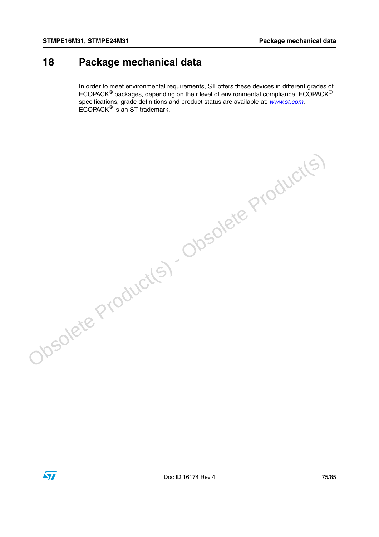### **18 Package mechanical data**

In order to meet environmental requirements, ST offers these devices in different grades of ECOPACK® packages, depending on their level of environmental compliance. ECOPACK® specifications, grade definitions and product status are available at: *[www.st.com](http://www.st.com)*. ECOPACK® is an ST trademark.



Obsolete Product(s) - Obsolete Product(s)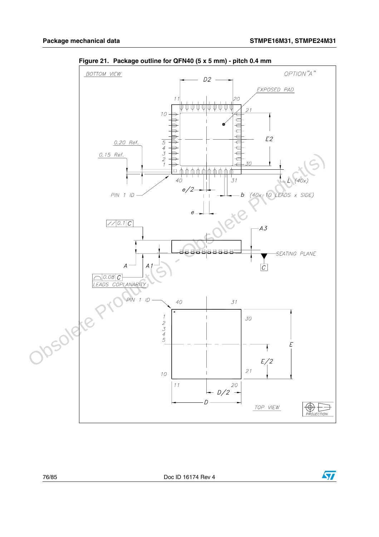

**Figure 21. Package outline for QFN40 (5 x 5 mm) - pitch 0.4 mm** 

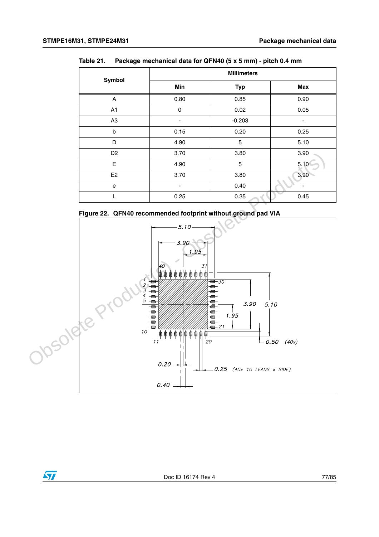| Symbol         | <b>Millimeters</b> |            |                |  |  |
|----------------|--------------------|------------|----------------|--|--|
|                | Min                | <b>Typ</b> | Max            |  |  |
| Α              | 0.80               | 0.85       | 0.90           |  |  |
| A1             | $\mathbf 0$        | 0.02       | 0.05           |  |  |
| A <sub>3</sub> |                    | $-0.203$   | $\blacksquare$ |  |  |
| b              | 0.15               | 0.20       | 0.25           |  |  |
| D              | 4.90               | 5          | 5.10           |  |  |
| D <sub>2</sub> | 3.70               | 3.80       | 3.90           |  |  |
| E              | 4.90               | 5          | 5.10           |  |  |
| E <sub>2</sub> | 3.70               | 3.80       | 3.90           |  |  |
| e              | -                  | 0.40       |                |  |  |
|                | 0.25               | 0.35       | 0.45           |  |  |

**Table 21. Package mechanical data for QFN40 (5 x 5 mm) - pitch 0.4 mm**



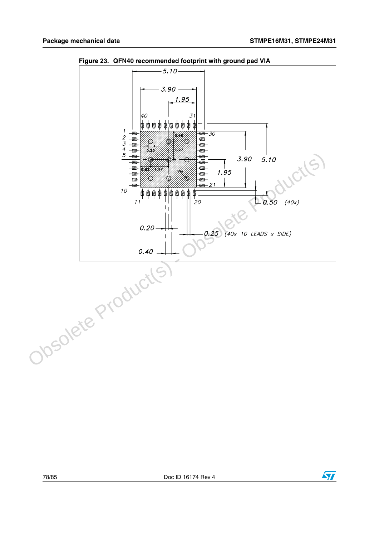

**Figure 23. QFN40 recommended footprint with ground pad VIA**

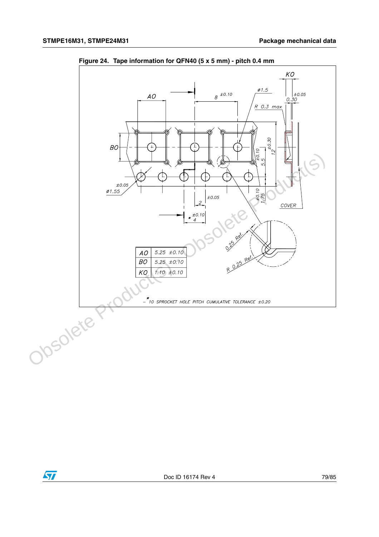

**Figure 24. Tape information for QFN40 (5 x 5 mm) - pitch 0.4 mm** 

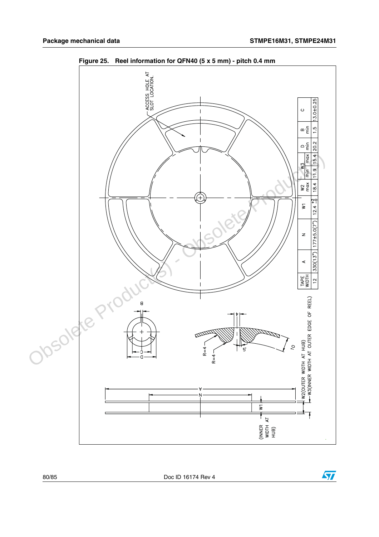$\sqrt{2}$ 



**Figure 25. Reel information for QFN40 (5 x 5 mm) - pitch 0.4 mm** 

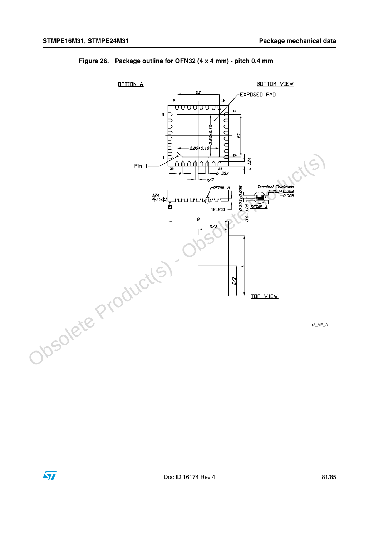

**Figure 26. Package outline for QFN32 (4 x 4 mm) - pitch 0.4 mm**

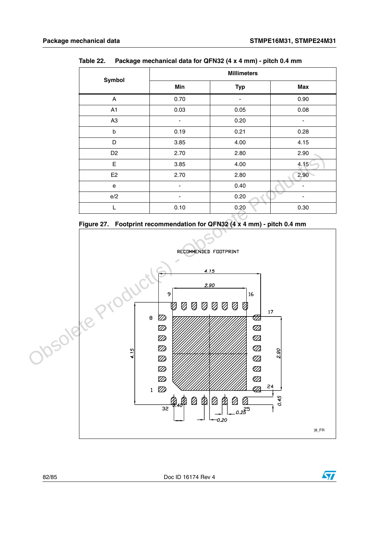| Symbol         | <b>Millimeters</b>       |            |                              |  |  |
|----------------|--------------------------|------------|------------------------------|--|--|
|                | Min                      | <b>Typ</b> | <b>Max</b>                   |  |  |
| A              | 0.70                     |            | 0.90                         |  |  |
| A1             | 0.03                     | 0.05       | 0.08                         |  |  |
| A <sub>3</sub> | $\overline{\phantom{a}}$ | 0.20       | $\overline{\phantom{a}}$     |  |  |
| b              | 0.19                     | 0.21       | 0.28                         |  |  |
| D              | 3.85                     | 4.00       | 4.15                         |  |  |
| D <sub>2</sub> | 2.70                     | 2.80       | 2.90                         |  |  |
| Е              | 3.85                     | 4.00       | 4.15                         |  |  |
| E <sub>2</sub> | 2.70                     | 2.80       | 2.90                         |  |  |
| e              | $\overline{\phantom{0}}$ | 0.40       |                              |  |  |
| e/2            | $\overline{\phantom{a}}$ | 0.20       | $\qquad \qquad \blacksquare$ |  |  |
| L              | 0.10                     | 0.20       | 0.30                         |  |  |

**Table 22. Package mechanical data for QFN32 (4 x 4 mm) - pitch 0.4 mm**





82/85 Doc ID 16174 Rev 4

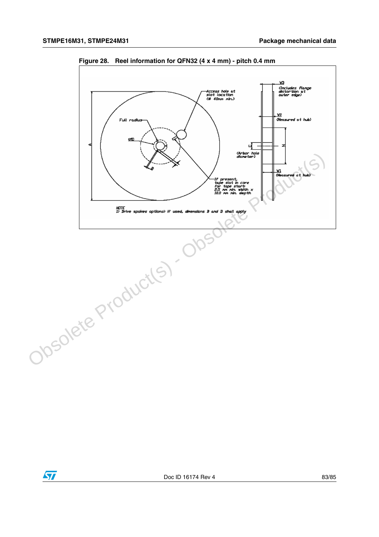

**Figure 28. Reel information for QFN32 (4 x 4 mm) - pitch 0.4 mm**

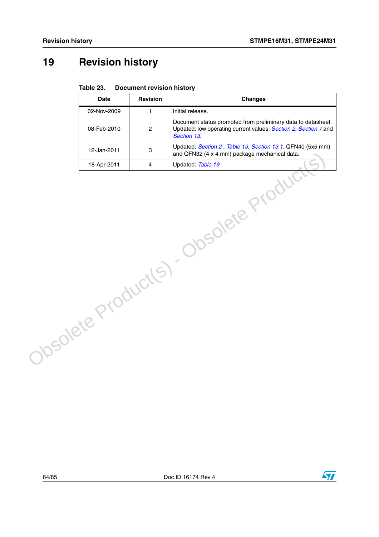# **19 Revision history**

#### Table 23. **Document revision history**

|                                        | <b>Date</b> | <b>Revision</b> | <b>Changes</b>                                                                                                                                 |  |  |
|----------------------------------------|-------------|-----------------|------------------------------------------------------------------------------------------------------------------------------------------------|--|--|
|                                        | 02-Nov-2009 | $\mathbf{1}$    | Initial release.                                                                                                                               |  |  |
|                                        | 08-Feb-2010 | $\overline{c}$  | Document status promoted from preliminary data to datasheet.<br>Updated: low operating current values, Section 2, Section 7 and<br>Section 13. |  |  |
|                                        | 12-Jan-2011 | 3               | Updated: Section 2, Table 19, Section 13.1, QFN40 (5x5 mm)<br>and QFN32 (4 x 4 mm) package mechanical data.                                    |  |  |
|                                        |             |                 |                                                                                                                                                |  |  |
| Obsolete Product(s) - Obsolete Product |             |                 |                                                                                                                                                |  |  |